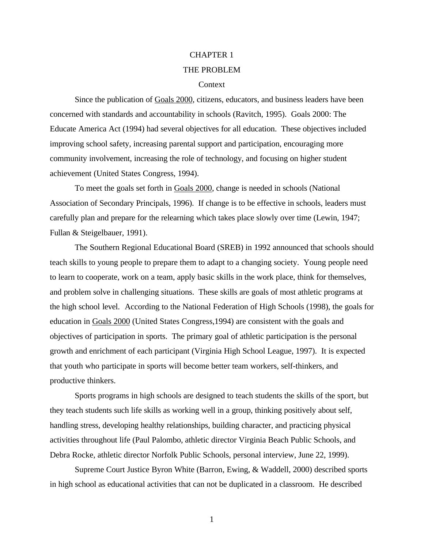# CHAPTER 1 [THE PROBLEM](#page-5-0)

# **Context**

Since the publication of Goals 2000, citizens, educators, and business leaders have been concerned with standards and accountability in schools (Ravitch, 1995). Goals 2000: The Educate America Act (1994) had several objectives for all education. These objectives included improving school safety, increasing parental support and participation, encouraging more community involvement, increasing the role of technology, and focusing on higher student achievement (United States Congress, 1994).

To meet the goals set forth in Goals 2000, change is needed in schools (National Association of Secondary Principals, 1996). If change is to be effective in schools, leaders must carefully plan and prepare for the relearning which takes place slowly over time (Lewin, 1947; Fullan & Steigelbauer, 1991).

The Southern Regional Educational Board (SREB) in 1992 announced that schools should teach skills to young people to prepare them to adapt to a changing society. Young people need to learn to cooperate, work on a team, apply basic skills in the work place, think for themselves, and problem solve in challenging situations. These skills are goals of most athletic programs at the high school level. According to the National Federation of High Schools (1998), the goals for education in Goals 2000 (United States Congress,1994) are consistent with the goals and objectives of participation in sports. The primary goal of athletic participation is the personal growth and enrichment of each participant (Virginia High School League, 1997). It is expected that youth who participate in sports will become better team workers, self-thinkers, and productive thinkers.

Sports programs in high schools are designed to teach students the skills of the sport, but they teach students such life skills as working well in a group, thinking positively about self, handling stress, developing healthy relationships, building character, and practicing physical activities throughout life (Paul Palombo, athletic director Virginia Beach Public Schools, and Debra Rocke, athletic director Norfolk Public Schools, personal interview, June 22, 1999).

Supreme Court Justice Byron White (Barron, Ewing, & Waddell, 2000) described sports in high school as educational activities that can not be duplicated in a classroom. He described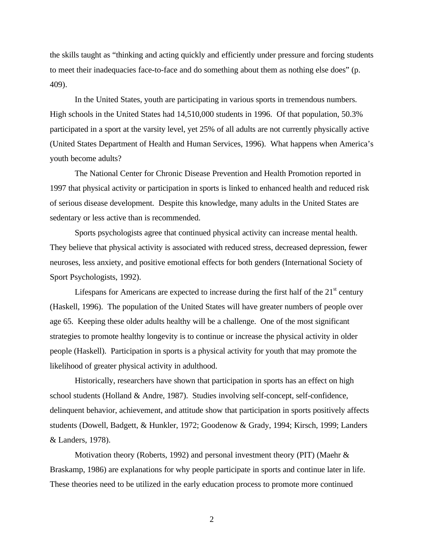the skills taught as "thinking and acting quickly and efficiently under pressure and forcing students to meet their inadequacies face-to-face and do something about them as nothing else does" (p. 409).

In the United States, youth are participating in various sports in tremendous numbers. High schools in the United States had 14,510,000 students in 1996. Of that population, 50.3% participated in a sport at the varsity level, yet 25% of all adults are not currently physically active (United States Department of Health and Human Services, 1996). What happens when America's youth become adults?

The National Center for Chronic Disease Prevention and Health Promotion reported in 1997 that physical activity or participation in sports is linked to enhanced health and reduced risk of serious disease development. Despite this knowledge, many adults in the United States are sedentary or less active than is recommended.

Sports psychologists agree that continued physical activity can increase mental health. They believe that physical activity is associated with reduced stress, decreased depression, fewer neuroses, less anxiety, and positive emotional effects for both genders (International Society of Sport Psychologists, 1992).

Lifespans for Americans are expected to increase during the first half of the  $21<sup>st</sup>$  century (Haskell, 1996). The population of the United States will have greater numbers of people over age 65. Keeping these older adults healthy will be a challenge. One of the most significant strategies to promote healthy longevity is to continue or increase the physical activity in older people (Haskell). Participation in sports is a physical activity for youth that may promote the likelihood of greater physical activity in adulthood.

Historically, researchers have shown that participation in sports has an effect on high school students (Holland & Andre, 1987). Studies involving self-concept, self-confidence, delinquent behavior, achievement, and attitude show that participation in sports positively affects students (Dowell, Badgett, & Hunkler, 1972; Goodenow & Grady, 1994; Kirsch, 1999; Landers & Landers, 1978).

Motivation theory (Roberts, 1992) and personal investment theory (PIT) (Maehr & Braskamp, 1986) are explanations for why people participate in sports and continue later in life. These theories need to be utilized in the early education process to promote more continued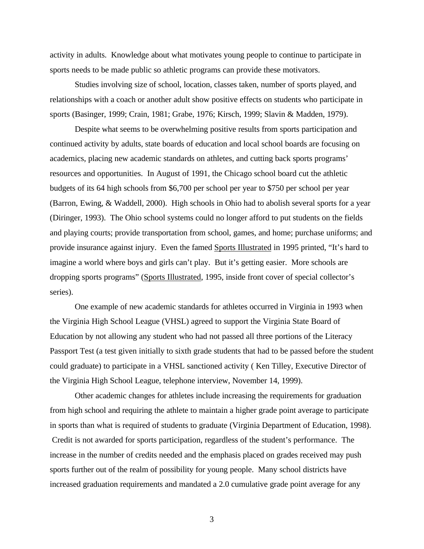activity in adults. Knowledge about what motivates young people to continue to participate in sports needs to be made public so athletic programs can provide these motivators.

Studies involving size of school, location, classes taken, number of sports played, and relationships with a coach or another adult show positive effects on students who participate in sports (Basinger, 1999; Crain, 1981; Grabe, 1976; Kirsch, 1999; Slavin & Madden, 1979).

Despite what seems to be overwhelming positive results from sports participation and continued activity by adults, state boards of education and local school boards are focusing on academics, placing new academic standards on athletes, and cutting back sports programs' resources and opportunities. In August of 1991, the Chicago school board cut the athletic budgets of its 64 high schools from \$6,700 per school per year to \$750 per school per year (Barron, Ewing, & Waddell, 2000). High schools in Ohio had to abolish several sports for a year (Diringer, 1993). The Ohio school systems could no longer afford to put students on the fields and playing courts; provide transportation from school, games, and home; purchase uniforms; and provide insurance against injury. Even the famed Sports Illustrated in 1995 printed, "It's hard to imagine a world where boys and girls can't play. But it's getting easier. More schools are dropping sports programs" (Sports Illustrated, 1995, inside front cover of special collector's series).

One example of new academic standards for athletes occurred in Virginia in 1993 when the Virginia High School League (VHSL) agreed to support the Virginia State Board of Education by not allowing any student who had not passed all three portions of the Literacy Passport Test (a test given initially to sixth grade students that had to be passed before the student could graduate) to participate in a VHSL sanctioned activity ( Ken Tilley, Executive Director of the Virginia High School League, telephone interview, November 14, 1999).

Other academic changes for athletes include increasing the requirements for graduation from high school and requiring the athlete to maintain a higher grade point average to participate in sports than what is required of students to graduate (Virginia Department of Education, 1998). Credit is not awarded for sports participation, regardless of the student's performance. The increase in the number of credits needed and the emphasis placed on grades received may push sports further out of the realm of possibility for young people. Many school districts have increased graduation requirements and mandated a 2.0 cumulative grade point average for any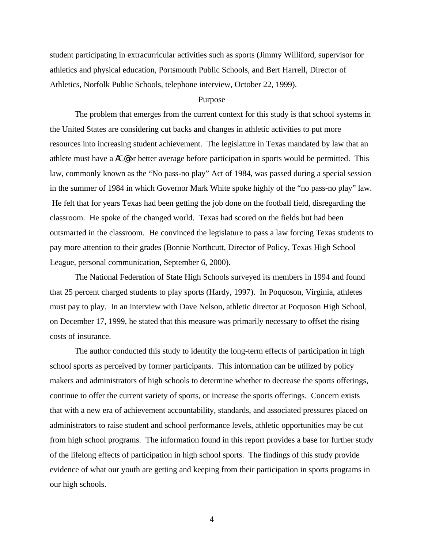student participating in extracurricular activities such as sports (Jimmy Williford, supervisor for athletics and physical education, Portsmouth Public Schools, and Bert Harrell, Director of Athletics, Norfolk Public Schools, telephone interview, October 22, 1999).

#### Purpose

The problem that emerges from the current context for this study is that school systems in the United States are considering cut backs and changes in athletic activities to put more resources into increasing student achievement. The legislature in Texas mandated by law that an athlete must have a AC@ or better average before participation in sports would be permitted. This law, commonly known as the "No pass-no play" Act of 1984, was passed during a special session in the summer of 1984 in which Governor Mark White spoke highly of the "no pass-no play" law. He felt that for years Texas had been getting the job done on the football field, disregarding the classroom. He spoke of the changed world. Texas had scored on the fields but had been outsmarted in the classroom. He convinced the legislature to pass a law forcing Texas students to pay more attention to their grades (Bonnie Northcutt, Director of Policy, Texas High School League, personal communication, September 6, 2000).

The National Federation of State High Schools surveyed its members in 1994 and found that 25 percent charged students to play sports (Hardy, 1997). In Poquoson, Virginia, athletes must pay to play. In an interview with Dave Nelson, athletic director at Poquoson High School, on December 17, 1999, he stated that this measure was primarily necessary to offset the rising costs of insurance.

The author conducted this study to identify the long-term effects of participation in high school sports as perceived by former participants. This information can be utilized by policy makers and administrators of high schools to determine whether to decrease the sports offerings, continue to offer the current variety of sports, or increase the sports offerings. Concern exists that with a new era of achievement accountability, standards, and associated pressures placed on administrators to raise student and school performance levels, athletic opportunities may be cut from high school programs. The information found in this report provides a base for further study of the lifelong effects of participation in high school sports. The findings of this study provide evidence of what our youth are getting and keeping from their participation in sports programs in our high schools.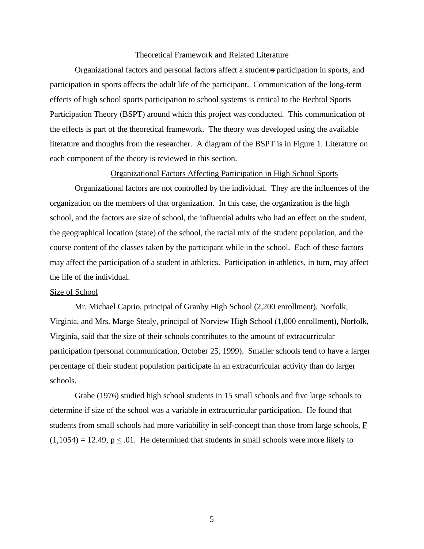#### Theoretical Framework and Related Literature

Organizational factors and personal factors affect a student=s participation in sports, and participation in sports affects the adult life of the participant. Communication of the long-term effects of high school sports participation to school systems is critical to the Bechtol Sports Participation Theory (BSPT) around which this project was conducted. This communication of the effects is part of the theoretical framework. The theory was developed using the available literature and thoughts from the researcher. A diagram of the BSPT is in Figure 1. Literature on each component of the theory is reviewed in this section.

#### Organizational Factors Affecting Participation in High School Sports

Organizational factors are not controlled by the individual. They are the influences of the organization on the members of that organization. In this case, the organization is the high school, and the factors are size of school, the influential adults who had an effect on the student, the geographical location (state) of the school, the racial mix of the student population, and the course content of the classes taken by the participant while in the school. Each of these factors may affect the participation of a student in athletics. Participation in athletics, in turn, may affect the life of the individual.

### Size of School

Mr. Michael Caprio, principal of Granby High School (2,200 enrollment), Norfolk, Virginia, and Mrs. Marge Stealy, principal of Norview High School (1,000 enrollment), Norfolk, Virginia, said that the size of their schools contributes to the amount of extracurricular participation (personal communication, October 25, 1999). Smaller schools tend to have a larger percentage of their student population participate in an extracurricular activity than do larger schools.

Grabe (1976) studied high school students in 15 small schools and five large schools to determine if size of the school was a variable in extracurricular participation. He found that students from small schools had more variability in self-concept than those from large schools,  $\overline{F}$  $(1,1054) = 12.49$ ,  $p \le 0.01$ . He determined that students in small schools were more likely to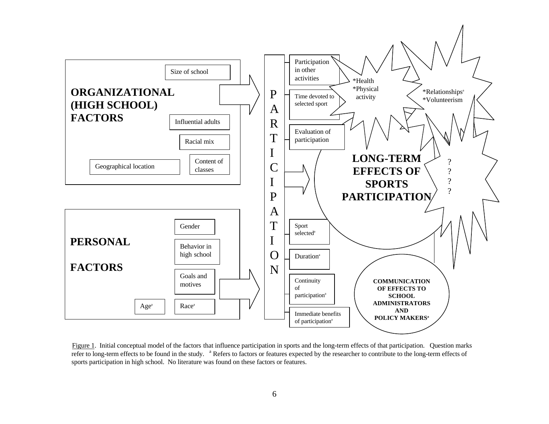<span id="page-5-0"></span>

Figure 1. Initial conceptual model of the factors that influence participation in sports and the long-term effects of that participation. Question marks refer to long-term effects to be found in the study. <sup>a</sup> Refers to factors or features expected by the researcher to contribute to the long-term effects of sports participation in high school. No literature was found on these factors or features.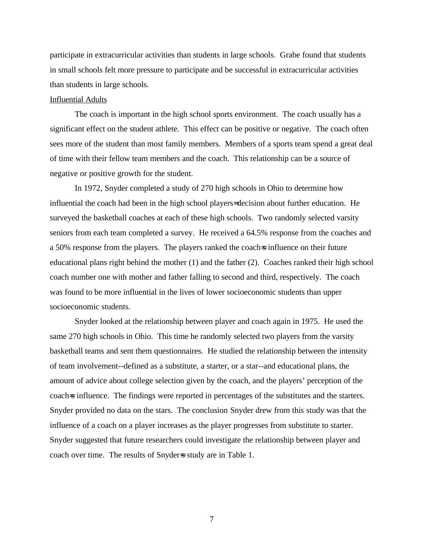participate in extracurricular activities than students in large schools. Grabe found that students in small schools felt more pressure to participate and be successful in extracurricular activities than students in large schools.

### Influential Adults

The coach is important in the high school sports environment. The coach usually has a significant effect on the student athlete. This effect can be positive or negative. The coach often sees more of the student than most family members. Members of a sports team spend a great deal of time with their fellow team members and the coach. This relationship can be a source of negative or positive growth for the student.

In 1972, Snyder completed a study of 270 high schools in Ohio to determine how influential the coach had been in the high school players= decision about further education. He surveyed the basketball coaches at each of these high schools. Two randomly selected varsity seniors from each team completed a survey. He received a 64.5% response from the coaches and a 50% response from the players. The players ranked the coach-s influence on their future educational plans right behind the mother (1) and the father (2). Coaches ranked their high school coach number one with mother and father falling to second and third, respectively. The coach was found to be more influential in the lives of lower socioeconomic students than upper socioeconomic students.

Snyder looked at the relationship between player and coach again in 1975. He used the same 270 high schools in Ohio. This time he randomly selected two players from the varsity basketball teams and sent them questionnaires. He studied the relationship between the intensity of team involvement--defined as a substitute, a starter, or a star--and educational plans, the amount of advice about college selection given by the coach, and the players' perception of the coach=s influence. The findings were reported in percentages of the substitutes and the starters. Snyder provided no data on the stars. The conclusion Snyder drew from this study was that the influence of a coach on a player increases as the player progresses from substitute to starter. Snyder suggested that future researchers could investigate the relationship between player and coach over time. The results of Snyder=s study are in Table 1.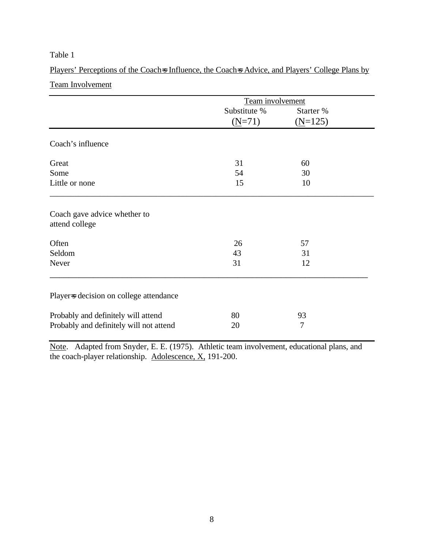# Table 1

Players' Perceptions of the Coach=s Influence, the Coach=s Advice, and Players' College Plans by Team Involvement

| Team involvement |           |  |
|------------------|-----------|--|
| Substitute %     | Starter % |  |
| $(N=71)$         | $(N=125)$ |  |
|                  |           |  |
| 31               | 60        |  |
| 54               | 30        |  |
| 15               | 10        |  |
|                  |           |  |
| 26               | 57        |  |
| 43               | 31        |  |
| 31               | 12        |  |
|                  |           |  |
| 80               | 93        |  |
| 20               | 7         |  |
|                  |           |  |

Note. Adapted from Snyder, E. E. (1975). Athletic team involvement, educational plans, and the coach-player relationship. Adolescence, X, 191-200.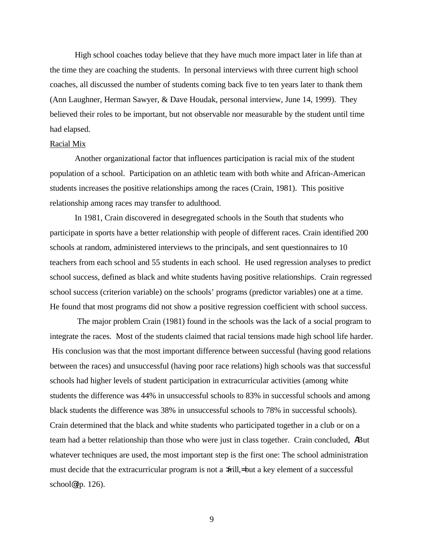High school coaches today believe that they have much more impact later in life than at the time they are coaching the students. In personal interviews with three current high school coaches, all discussed the number of students coming back five to ten years later to thank them (Ann Laughner, Herman Sawyer, & Dave Houdak, personal interview, June 14, 1999). They believed their roles to be important, but not observable nor measurable by the student until time had elapsed.

#### Racial Mix

Another organizational factor that influences participation is racial mix of the student population of a school. Participation on an athletic team with both white and African-American students increases the positive relationships among the races (Crain, 1981). This positive relationship among races may transfer to adulthood.

In 1981, Crain discovered in desegregated schools in the South that students who participate in sports have a better relationship with people of different races. Crain identified 200 schools at random, administered interviews to the principals, and sent questionnaires to 10 teachers from each school and 55 students in each school. He used regression analyses to predict school success, defined as black and white students having positive relationships. Crain regressed school success (criterion variable) on the schools' programs (predictor variables) one at a time. He found that most programs did not show a positive regression coefficient with school success.

The major problem Crain (1981) found in the schools was the lack of a social program to integrate the races. Most of the students claimed that racial tensions made high school life harder. His conclusion was that the most important difference between successful (having good relations between the races) and unsuccessful (having poor race relations) high schools was that successful schools had higher levels of student participation in extracurricular activities (among white students the difference was 44% in unsuccessful schools to 83% in successful schools and among black students the difference was 38% in unsuccessful schools to 78% in successful schools). Crain determined that the black and white students who participated together in a club or on a team had a better relationship than those who were just in class together. Crain concluded, ABut whatever techniques are used, the most important step is the first one: The school administration must decide that the extracurricular program is not a >frill,= but a key element of a successful school@  $(p. 126)$ .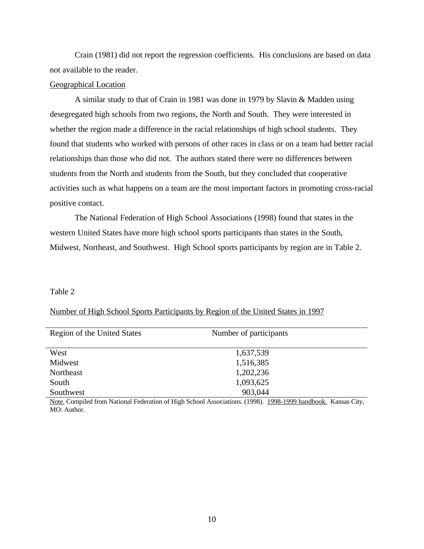Crain (1981) did not report the regression coefficients. His conclusions are based on data not available to the reader.

### Geographical Location

A similar study to that of Crain in 1981 was done in 1979 by Slavin & Madden using desegregated high schools from two regions, the North and South. They were interested in whether the region made a difference in the racial relationships of high school students. They found that students who worked with persons of other races in class or on a team had better racial relationships than those who did not. The authors stated there were no differences between students from the North and students from the South, but they concluded that cooperative activities such as what happens on a team are the most important factors in promoting cross-racial positive contact.

The National Federation of High School Associations (1998) found that states in the western United States have more high school sports participants than states in the South, Midwest, Northeast, and Southwest. High School sports participants by region are in Table 2.

#### Table 2

|  |  | Number of High School Sports Participants by Region of the United States in 1997 |
|--|--|----------------------------------------------------------------------------------|
|  |  |                                                                                  |

| Region of the United States | Number of participants |  |
|-----------------------------|------------------------|--|
| West                        | 1,637,539              |  |
| Midwest                     | 1,516,385              |  |
| Northeast                   | 1,202,236              |  |
| South                       | 1,093,625              |  |
| Southwest                   | 903,044                |  |
|                             |                        |  |

Note. Compiled from National Federation of High School Associations. (1998). 1998-1999 handbook. Kansas City, MO: Author.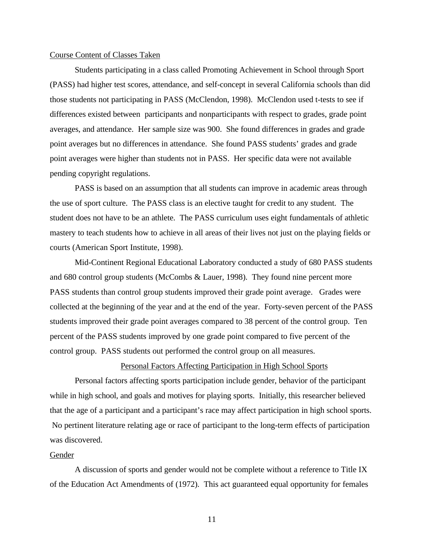#### Course Content of Classes Taken

Students participating in a class called Promoting Achievement in School through Sport (PASS) had higher test scores, attendance, and self-concept in several California schools than did those students not participating in PASS (McClendon, 1998). McClendon used t-tests to see if differences existed between participants and nonparticipants with respect to grades, grade point averages, and attendance. Her sample size was 900. She found differences in grades and grade point averages but no differences in attendance. She found PASS students' grades and grade point averages were higher than students not in PASS. Her specific data were not available pending copyright regulations.

PASS is based on an assumption that all students can improve in academic areas through the use of sport culture. The PASS class is an elective taught for credit to any student. The student does not have to be an athlete. The PASS curriculum uses eight fundamentals of athletic mastery to teach students how to achieve in all areas of their lives not just on the playing fields or courts (American Sport Institute, 1998).

Mid-Continent Regional Educational Laboratory conducted a study of 680 PASS students and 680 control group students (McCombs & Lauer, 1998). They found nine percent more PASS students than control group students improved their grade point average. Grades were collected at the beginning of the year and at the end of the year. Forty-seven percent of the PASS students improved their grade point averages compared to 38 percent of the control group. Ten percent of the PASS students improved by one grade point compared to five percent of the control group. PASS students out performed the control group on all measures.

### Personal Factors Affecting Participation in High School Sports

Personal factors affecting sports participation include gender, behavior of the participant while in high school, and goals and motives for playing sports. Initially, this researcher believed that the age of a participant and a participant's race may affect participation in high school sports. No pertinent literature relating age or race of participant to the long-term effects of participation was discovered.

### Gender

A discussion of sports and gender would not be complete without a reference to Title IX of the Education Act Amendments of (1972). This act guaranteed equal opportunity for females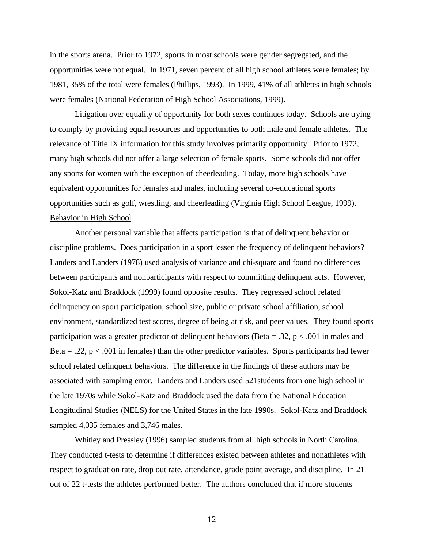in the sports arena. Prior to 1972, sports in most schools were gender segregated, and the opportunities were not equal. In 1971, seven percent of all high school athletes were females; by 1981, 35% of the total were females (Phillips, 1993). In 1999, 41% of all athletes in high schools were females (National Federation of High School Associations, 1999).

Litigation over equality of opportunity for both sexes continues today. Schools are trying to comply by providing equal resources and opportunities to both male and female athletes. The relevance of Title IX information for this study involves primarily opportunity. Prior to 1972, many high schools did not offer a large selection of female sports. Some schools did not offer any sports for women with the exception of cheerleading. Today, more high schools have equivalent opportunities for females and males, including several co-educational sports opportunities such as golf, wrestling, and cheerleading (Virginia High School League, 1999). Behavior in High School

Another personal variable that affects participation is that of delinquent behavior or discipline problems. Does participation in a sport lessen the frequency of delinquent behaviors? Landers and Landers (1978) used analysis of variance and chi-square and found no differences between participants and nonparticipants with respect to committing delinquent acts. However, Sokol-Katz and Braddock (1999) found opposite results. They regressed school related delinquency on sport participation, school size, public or private school affiliation, school environment, standardized test scores, degree of being at risk, and peer values. They found sports participation was a greater predictor of delinquent behaviors (Beta = .32,  $p \leq .001$  in males and Beta = .22,  $p \leq .001$  in females) than the other predictor variables. Sports participants had fewer school related delinquent behaviors. The difference in the findings of these authors may be associated with sampling error. Landers and Landers used 521students from one high school in the late 1970s while Sokol-Katz and Braddock used the data from the National Education Longitudinal Studies (NELS) for the United States in the late 1990s. Sokol-Katz and Braddock sampled 4,035 females and 3,746 males.

Whitley and Pressley (1996) sampled students from all high schools in North Carolina. They conducted t-tests to determine if differences existed between athletes and nonathletes with respect to graduation rate, drop out rate, attendance, grade point average, and discipline. In 21 out of 22 t-tests the athletes performed better. The authors concluded that if more students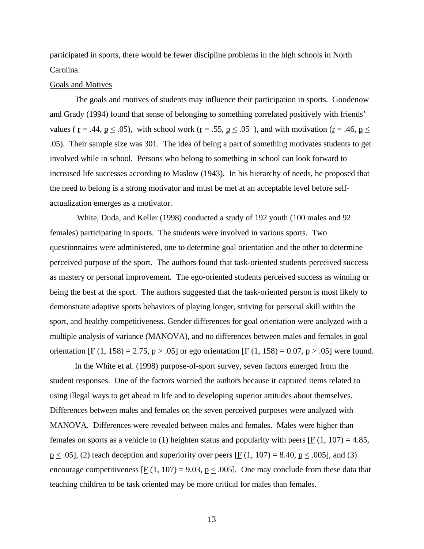participated in sports, there would be fewer discipline problems in the high schools in North Carolina.

### Goals and Motives

The goals and motives of students may influence their participation in sports. Goodenow and Grady (1994) found that sense of belonging to something correlated positively with friends' values ( $r = .44$ ,  $p \le .05$ ), with school work ( $r = .55$ ,  $p \le .05$ ), and with motivation ( $r = .46$ ,  $p \le$ .05). Their sample size was 301. The idea of being a part of something motivates students to get involved while in school. Persons who belong to something in school can look forward to increased life successes according to Maslow (1943). In his hierarchy of needs, he proposed that the need to belong is a strong motivator and must be met at an acceptable level before selfactualization emerges as a motivator.

 White, Duda, and Keller (1998) conducted a study of 192 youth (100 males and 92 females) participating in sports. The students were involved in various sports. Two questionnaires were administered, one to determine goal orientation and the other to determine perceived purpose of the sport. The authors found that task-oriented students perceived success as mastery or personal improvement. The ego-oriented students perceived success as winning or being the best at the sport. The authors suggested that the task-oriented person is most likely to demonstrate adaptive sports behaviors of playing longer, striving for personal skill within the sport, and healthy competitiveness. Gender differences for goal orientation were analyzed with a multiple analysis of variance (MANOVA), and no differences between males and females in goal orientation [F (1, 158) = 2.75, p > .05] or ego orientation [F (1, 158) = 0.07, p > .05] were found.

In the White et al. (1998) purpose-of-sport survey, seven factors emerged from the student responses. One of the factors worried the authors because it captured items related to using illegal ways to get ahead in life and to developing superior attitudes about themselves. Differences between males and females on the seven perceived purposes were analyzed with MANOVA. Differences were revealed between males and females. Males were higher than females on sports as a vehicle to (1) heighten status and popularity with peers [ $\underline{F}$  (1, 107) = 4.85,  $p \leq .05$ , (2) teach deception and superiority over peers [F (1, 107) = 8.40,  $p \leq .005$ ], and (3) encourage competitiveness  $[\underline{F}(1, 107) = 9.03, \underline{p} \le .005]$ . One may conclude from these data that teaching children to be task oriented may be more critical for males than females.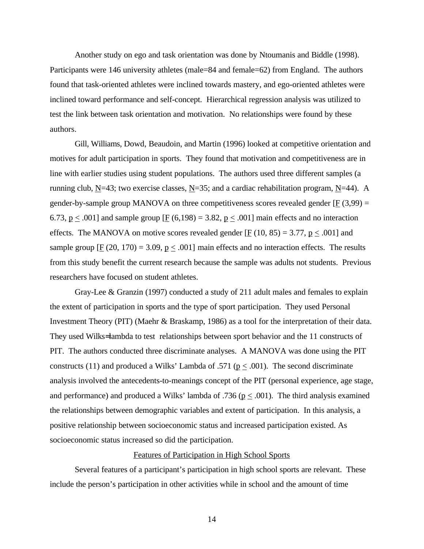Another study on ego and task orientation was done by Ntoumanis and Biddle (1998). Participants were 146 university athletes (male=84 and female=62) from England. The authors found that task-oriented athletes were inclined towards mastery, and ego-oriented athletes were inclined toward performance and self-concept. Hierarchical regression analysis was utilized to test the link between task orientation and motivation. No relationships were found by these authors.

Gill, Williams, Dowd, Beaudoin, and Martin (1996) looked at competitive orientation and motives for adult participation in sports. They found that motivation and competitiveness are in line with earlier studies using student populations. The authors used three different samples (a running club, N=43; two exercise classes, N=35; and a cardiac rehabilitation program, N=44). A gender-by-sample group MANOVA on three competitiveness scores revealed gender [F  $(3,99)$  = 6.73,  $p \leq .001$  and sample group [F (6,198) = 3.82,  $p \leq .001$  main effects and no interaction effects. The MANOVA on motive scores revealed gender [ $\text{F}$  (10, 85) = 3.77,  $p \le 0.001$ ] and sample group  $[\underline{F}(20, 170) = 3.09, \underline{p} \le .001]$  main effects and no interaction effects. The results from this study benefit the current research because the sample was adults not students. Previous researchers have focused on student athletes.

Gray-Lee & Granzin (1997) conducted a study of 211 adult males and females to explain the extent of participation in sports and the type of sport participation. They used Personal Investment Theory (PIT) (Maehr & Braskamp, 1986) as a tool for the interpretation of their data. They used Wilks= lambda to test relationships between sport behavior and the 11 constructs of PIT. The authors conducted three discriminate analyses. A MANOVA was done using the PIT constructs (11) and produced a Wilks' Lambda of .571 ( $p \leq .001$ ). The second discriminate analysis involved the antecedents-to-meanings concept of the PIT (personal experience, age stage, and performance) and produced a Wilks' lambda of .736 ( $p \leq .001$ ). The third analysis examined the relationships between demographic variables and extent of participation. In this analysis, a positive relationship between socioeconomic status and increased participation existed. As socioeconomic status increased so did the participation.

### Features of Participation in High School Sports

Several features of a participant's participation in high school sports are relevant. These include the person's participation in other activities while in school and the amount of time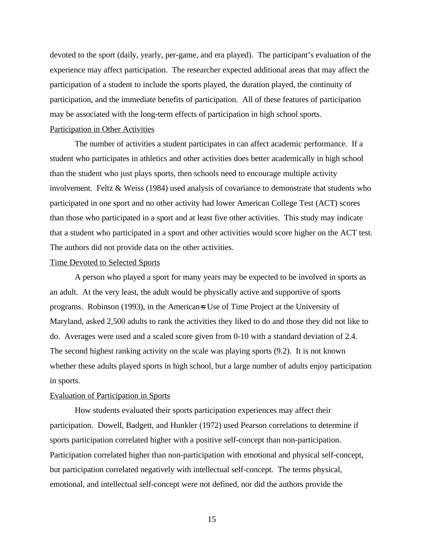devoted to the sport (daily, yearly, per-game, and era played). The participant's evaluation of the experience may affect participation. The researcher expected additional areas that may affect the participation of a student to include the sports played, the duration played, the continuity of participation, and the immediate benefits of participation. All of these features of participation may be associated with the long-term effects of participation in high school sports.

#### Participation in Other Activities

The number of activities a student participates in can affect academic performance. If a student who participates in athletics and other activities does better academically in high school than the student who just plays sports, then schools need to encourage multiple activity involvement. Feltz & Weiss (1984) used analysis of covariance to demonstrate that students who participated in one sport and no other activity had lower American College Test (ACT) scores than those who participated in a sport and at least five other activities. This study may indicate that a student who participated in a sport and other activities would score higher on the ACT test. The authors did not provide data on the other activities.

#### Time Devoted to Selected Sports

A person who played a sport for many years may be expected to be involved in sports as an adult. At the very least, the adult would be physically active and supportive of sports programs. Robinson (1993), in the American=s Use of Time Project at the University of Maryland, asked 2,500 adults to rank the activities they liked to do and those they did not like to do. Averages were used and a scaled score given from 0-10 with a standard deviation of 2.4. The second highest ranking activity on the scale was playing sports (9.2). It is not known whether these adults played sports in high school, but a large number of adults enjoy participation in sports.

#### Evaluation of Participation in Sports

How students evaluated their sports participation experiences may affect their participation. Dowell, Badgett, and Hunkler (1972) used Pearson correlations to determine if sports participation correlated higher with a positive self-concept than non-participation. Participation correlated higher than non-participation with emotional and physical self-concept, but participation correlated negatively with intellectual self-concept. The terms physical, emotional, and intellectual self-concept were not defined, nor did the authors provide the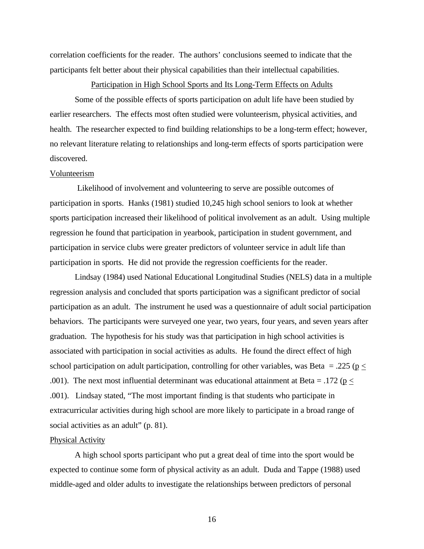correlation coefficients for the reader. The authors' conclusions seemed to indicate that the participants felt better about their physical capabilities than their intellectual capabilities.

Participation in High School Sports and Its Long-Term Effects on Adults

Some of the possible effects of sports participation on adult life have been studied by earlier researchers. The effects most often studied were volunteerism, physical activities, and health. The researcher expected to find building relationships to be a long-term effect; however, no relevant literature relating to relationships and long-term effects of sports participation were discovered.

#### Volunteerism

Likelihood of involvement and volunteering to serve are possible outcomes of participation in sports. Hanks (1981) studied 10,245 high school seniors to look at whether sports participation increased their likelihood of political involvement as an adult. Using multiple regression he found that participation in yearbook, participation in student government, and participation in service clubs were greater predictors of volunteer service in adult life than participation in sports. He did not provide the regression coefficients for the reader.

Lindsay (1984) used National Educational Longitudinal Studies (NELS) data in a multiple regression analysis and concluded that sports participation was a significant predictor of social participation as an adult. The instrument he used was a questionnaire of adult social participation behaviors. The participants were surveyed one year, two years, four years, and seven years after graduation. The hypothesis for his study was that participation in high school activities is associated with participation in social activities as adults. He found the direct effect of high school participation on adult participation, controlling for other variables, was Beta = .225 ( $p \le$ .001). The next most influential determinant was educational attainment at Beta = .172 ( $p \le$ .001). Lindsay stated, "The most important finding is that students who participate in extracurricular activities during high school are more likely to participate in a broad range of social activities as an adult" (p. 81).

#### Physical Activity

A high school sports participant who put a great deal of time into the sport would be expected to continue some form of physical activity as an adult. Duda and Tappe (1988) used middle-aged and older adults to investigate the relationships between predictors of personal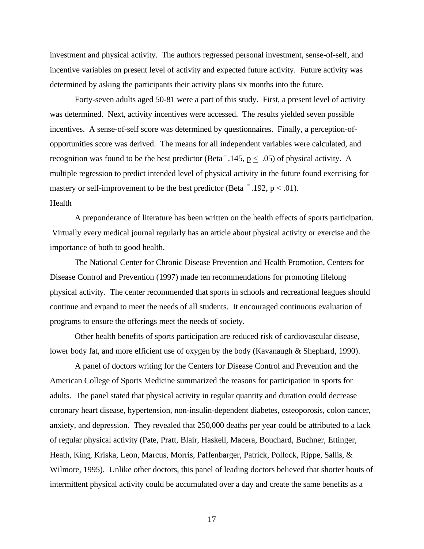investment and physical activity. The authors regressed personal investment, sense-of-self, and incentive variables on present level of activity and expected future activity. Future activity was determined by asking the participants their activity plans six months into the future.

Forty-seven adults aged 50-81 were a part of this study. First, a present level of activity was determined. Next, activity incentives were accessed. The results yielded seven possible incentives. A sense-of-self score was determined by questionnaires. Finally, a perception-ofopportunities score was derived. The means for all independent variables were calculated, and recognition was found to be the best predictor (Beta<sup>=</sup> .145,  $p \leq 0.05$ ) of physical activity. A multiple regression to predict intended level of physical activity in the future found exercising for mastery or self-improvement to be the best predictor (Beta  $=$  192, p < .01).

### Health

A preponderance of literature has been written on the health effects of sports participation. Virtually every medical journal regularly has an article about physical activity or exercise and the importance of both to good health.

The National Center for Chronic Disease Prevention and Health Promotion, Centers for Disease Control and Prevention (1997) made ten recommendations for promoting lifelong physical activity. The center recommended that sports in schools and recreational leagues should continue and expand to meet the needs of all students. It encouraged continuous evaluation of programs to ensure the offerings meet the needs of society.

Other health benefits of sports participation are reduced risk of cardiovascular disease, lower body fat, and more efficient use of oxygen by the body (Kavanaugh & Shephard, 1990).

A panel of doctors writing for the Centers for Disease Control and Prevention and the American College of Sports Medicine summarized the reasons for participation in sports for adults. The panel stated that physical activity in regular quantity and duration could decrease coronary heart disease, hypertension, non-insulin-dependent diabetes, osteoporosis, colon cancer, anxiety, and depression. They revealed that 250,000 deaths per year could be attributed to a lack of regular physical activity (Pate, Pratt, Blair, Haskell, Macera, Bouchard, Buchner, Ettinger, Heath, King, Kriska, Leon, Marcus, Morris, Paffenbarger, Patrick, Pollock, Rippe, Sallis, & Wilmore, 1995). Unlike other doctors, this panel of leading doctors believed that shorter bouts of intermittent physical activity could be accumulated over a day and create the same benefits as a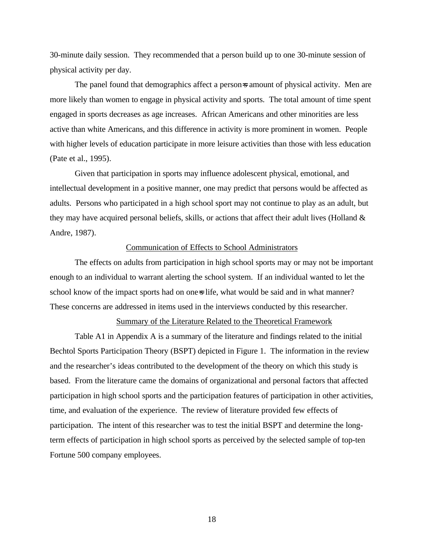30-minute daily session. They recommended that a person build up to one 30-minute session of physical activity per day.

The panel found that demographics affect a person=s amount of physical activity. Men are more likely than women to engage in physical activity and sports. The total amount of time spent engaged in sports decreases as age increases. African Americans and other minorities are less active than white Americans, and this difference in activity is more prominent in women. People with higher levels of education participate in more leisure activities than those with less education (Pate et al., 1995).

Given that participation in sports may influence adolescent physical, emotional, and intellectual development in a positive manner, one may predict that persons would be affected as adults. Persons who participated in a high school sport may not continue to play as an adult, but they may have acquired personal beliefs, skills, or actions that affect their adult lives (Holland  $\&$ Andre, 1987).

### Communication of Effects to School Administrators

The effects on adults from participation in high school sports may or may not be important enough to an individual to warrant alerting the school system. If an individual wanted to let the school know of the impact sports had on one-s life, what would be said and in what manner? These concerns are addressed in items used in the interviews conducted by this researcher.

#### Summary of the Literature Related to the Theoretical Framework

Table A1 in Appendix A is a summary of the literature and findings related to the initial Bechtol Sports Participation Theory (BSPT) depicted in Figure 1. The information in the review and the researcher's ideas contributed to the development of the theory on which this study is based. From the literature came the domains of organizational and personal factors that affected participation in high school sports and the participation features of participation in other activities, time, and evaluation of the experience. The review of literature provided few effects of participation. The intent of this researcher was to test the initial BSPT and determine the longterm effects of participation in high school sports as perceived by the selected sample of top-ten Fortune 500 company employees.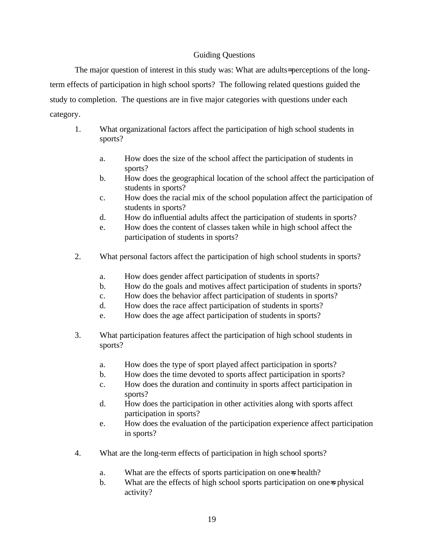## Guiding Questions

The major question of interest in this study was: What are adults= perceptions of the longterm effects of participation in high school sports? The following related questions guided the study to completion. The questions are in five major categories with questions under each category.

- 1. What organizational factors affect the participation of high school students in sports?
	- a. How does the size of the school affect the participation of students in sports?
	- b. How does the geographical location of the school affect the participation of students in sports?
	- c. How does the racial mix of the school population affect the participation of students in sports?
	- d. How do influential adults affect the participation of students in sports?
	- e. How does the content of classes taken while in high school affect the participation of students in sports?
- 2. What personal factors affect the participation of high school students in sports?
	- a. How does gender affect participation of students in sports?
	- b. How do the goals and motives affect participation of students in sports?
	- c. How does the behavior affect participation of students in sports?
	- d. How does the race affect participation of students in sports?
	- e. How does the age affect participation of students in sports?
- 3. What participation features affect the participation of high school students in sports?
	- a. How does the type of sport played affect participation in sports?
	- b. How does the time devoted to sports affect participation in sports?
	- c. How does the duration and continuity in sports affect participation in sports?
	- d. How does the participation in other activities along with sports affect participation in sports?
	- e. How does the evaluation of the participation experience affect participation in sports?
- 4. What are the long-term effects of participation in high school sports?
	- a. What are the effects of sports participation on one-s health?
	- b. What are the effects of high school sports participation on one-s physical activity?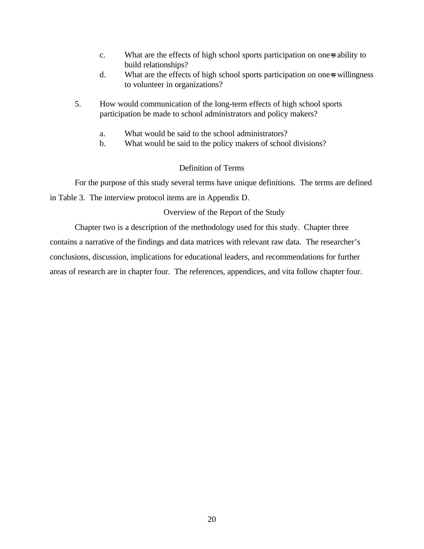- c. What are the effects of high school sports participation on one-s ability to build relationships?
- d. What are the effects of high school sports participation on one=s willingness to volunteer in organizations?
- 5. How would communication of the long-term effects of high school sports participation be made to school administrators and policy makers?
	- a. What would be said to the school administrators?
	- b. What would be said to the policy makers of school divisions?

### Definition of Terms

For the purpose of this study several terms have unique definitions. The terms are defined in Table 3. The interview protocol items are in Appendix D.

### Overview of the Report of the Study

Chapter two is a description of the methodology used for this study. Chapter three contains a narrative of the findings and data matrices with relevant raw data. The researcher's conclusions, discussion, implications for educational leaders, and recommendations for further areas of research are in chapter four. The references, appendices, and vita follow chapter four.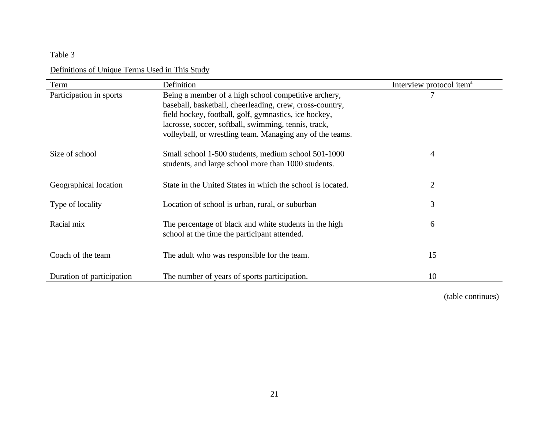# Table 3

# Definitions of Unique Terms Used in This Study

| Term                      | Definition                                                 | Interview protocol item <sup>a</sup> |
|---------------------------|------------------------------------------------------------|--------------------------------------|
| Participation in sports   | Being a member of a high school competitive archery,       |                                      |
|                           | baseball, basketball, cheerleading, crew, cross-country,   |                                      |
|                           | field hockey, football, golf, gymnastics, ice hockey,      |                                      |
|                           | lacrosse, soccer, softball, swimming, tennis, track,       |                                      |
|                           | volleyball, or wrestling team. Managing any of the teams.  |                                      |
| Size of school            | Small school 1-500 students, medium school 501-1000        | 4                                    |
|                           | students, and large school more than 1000 students.        |                                      |
| Geographical location     | State in the United States in which the school is located. | $\overline{2}$                       |
|                           |                                                            |                                      |
| Type of locality          | Location of school is urban, rural, or suburban            | 3                                    |
| Racial mix                | The percentage of black and white students in the high     | 6                                    |
|                           | school at the time the participant attended.               |                                      |
| Coach of the team         | The adult who was responsible for the team.                | 15                                   |
|                           |                                                            |                                      |
| Duration of participation | The number of years of sports participation.               | 10                                   |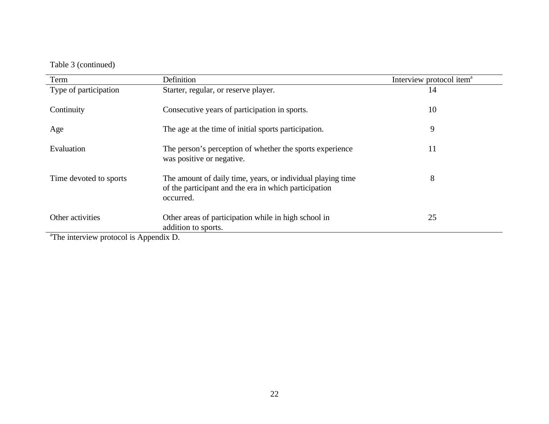# Table 3 (continued)

| Term                                                                                                                                                   | Definition                                                                                                                        | Interview protocol item <sup>a</sup> |
|--------------------------------------------------------------------------------------------------------------------------------------------------------|-----------------------------------------------------------------------------------------------------------------------------------|--------------------------------------|
| Type of participation                                                                                                                                  | Starter, regular, or reserve player.                                                                                              | 14                                   |
| Continuity                                                                                                                                             | Consecutive years of participation in sports.                                                                                     | 10                                   |
| Age                                                                                                                                                    | The age at the time of initial sports participation.                                                                              | 9                                    |
| Evaluation                                                                                                                                             | The person's perception of whether the sports experience<br>was positive or negative.                                             | 11                                   |
| Time devoted to sports                                                                                                                                 | The amount of daily time, years, or individual playing time<br>of the participant and the era in which participation<br>occurred. | 8                                    |
| Other activities<br>$\frac{\partial \mathbf{m}}{\partial t}$ is the subset of the set of $\mathbf{m}$ in $\mathbf{A}$ and $\mathbf{m}$ in $\mathbf{D}$ | Other areas of participation while in high school in<br>addition to sports.                                                       | 25                                   |

<sup>a</sup>The interview protocol is Appendix D.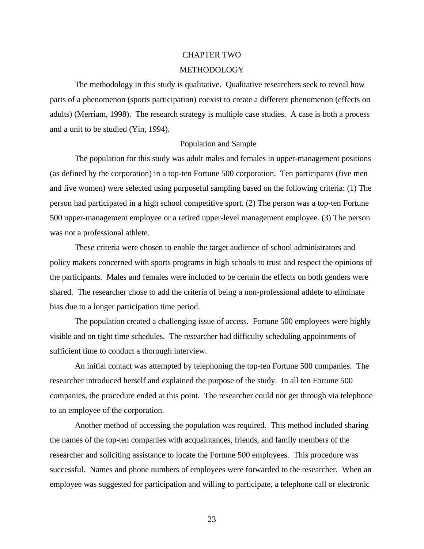#### CHAPTER TWO

#### **[METHODOLOGY](#page-5-0)**

The methodology in this study is qualitative. Qualitative researchers seek to reveal how parts of a phenomenon (sports participation) coexist to create a different phenomenon (effects on adults) (Merriam, 1998). The research strategy is multiple case studies. A case is both a process and a unit to be studied (Yin, 1994).

#### Population and Sample

The population for this study was adult males and females in upper-management positions (as defined by the corporation) in a top-ten Fortune 500 corporation. Ten participants (five men and five women) were selected using purposeful sampling based on the following criteria: (1) The person had participated in a high school competitive sport. (2) The person was a top-ten Fortune 500 upper-management employee or a retired upper-level management employee. (3) The person was not a professional athlete.

These criteria were chosen to enable the target audience of school administrators and policy makers concerned with sports programs in high schools to trust and respect the opinions of the participants. Males and females were included to be certain the effects on both genders were shared. The researcher chose to add the criteria of being a non-professional athlete to eliminate bias due to a longer participation time period.

The population created a challenging issue of access. Fortune 500 employees were highly visible and on tight time schedules. The researcher had difficulty scheduling appointments of sufficient time to conduct a thorough interview.

An initial contact was attempted by telephoning the top-ten Fortune 500 companies. The researcher introduced herself and explained the purpose of the study. In all ten Fortune 500 companies, the procedure ended at this point. The researcher could not get through via telephone to an employee of the corporation.

Another method of accessing the population was required. This method included sharing the names of the top-ten companies with acquaintances, friends, and family members of the researcher and soliciting assistance to locate the Fortune 500 employees. This procedure was successful. Names and phone numbers of employees were forwarded to the researcher. When an employee was suggested for participation and willing to participate, a telephone call or electronic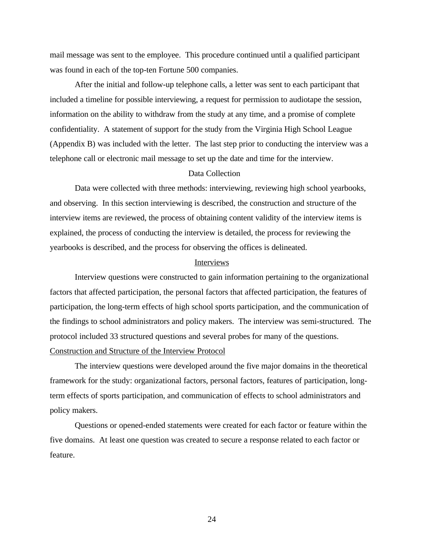mail message was sent to the employee. This procedure continued until a qualified participant was found in each of the top-ten Fortune 500 companies.

After the initial and follow-up telephone calls, a letter was sent to each participant that included a timeline for possible interviewing, a request for permission to audiotape the session, information on the ability to withdraw from the study at any time, and a promise of complete confidentiality. A statement of support for the study from the Virginia High School League (Appendix B) was included with the letter. The last step prior to conducting the interview was a telephone call or electronic mail message to set up the date and time for the interview.

### Data Collection

Data were collected with three methods: interviewing, reviewing high school yearbooks, and observing. In this section interviewing is described, the construction and structure of the interview items are reviewed, the process of obtaining content validity of the interview items is explained, the process of conducting the interview is detailed, the process for reviewing the yearbooks is described, and the process for observing the offices is delineated.

### Interviews

Interview questions were constructed to gain information pertaining to the organizational factors that affected participation, the personal factors that affected participation, the features of participation, the long-term effects of high school sports participation, and the communication of the findings to school administrators and policy makers. The interview was semi-structured. The protocol included 33 structured questions and several probes for many of the questions. Construction and Structure of the Interview Protocol

The interview questions were developed around the five major domains in the theoretical framework for the study: organizational factors, personal factors, features of participation, longterm effects of sports participation, and communication of effects to school administrators and policy makers.

Questions or opened-ended statements were created for each factor or feature within the five domains. At least one question was created to secure a response related to each factor or feature.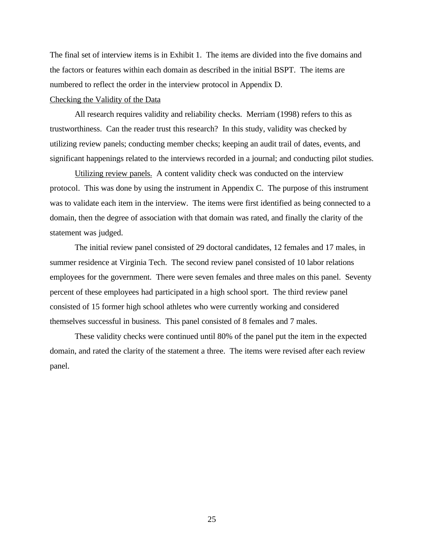The final set of interview items is in Exhibit 1. The items are divided into the five domains and the factors or features within each domain as described in the initial BSPT. The items are numbered to reflect the order in the interview protocol in Appendix D.

## Checking the Validity of the Data

All research requires validity and reliability checks. Merriam (1998) refers to this as trustworthiness. Can the reader trust this research? In this study, validity was checked by utilizing review panels; conducting member checks; keeping an audit trail of dates, events, and significant happenings related to the interviews recorded in a journal; and conducting pilot studies.

Utilizing review panels. A content validity check was conducted on the interview protocol. This was done by using the instrument in Appendix C. The purpose of this instrument was to validate each item in the interview. The items were first identified as being connected to a domain, then the degree of association with that domain was rated, and finally the clarity of the statement was judged.

The initial review panel consisted of 29 doctoral candidates, 12 females and 17 males, in summer residence at Virginia Tech. The second review panel consisted of 10 labor relations employees for the government. There were seven females and three males on this panel. Seventy percent of these employees had participated in a high school sport. The third review panel consisted of 15 former high school athletes who were currently working and considered themselves successful in business. This panel consisted of 8 females and 7 males.

These validity checks were continued until 80% of the panel put the item in the expected domain, and rated the clarity of the statement a three. The items were revised after each review panel.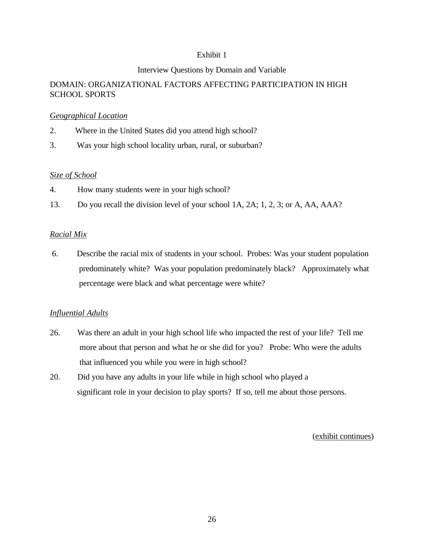## Exhibit 1

## Interview Questions by Domain and Variable

# DOMAIN: ORGANIZATIONAL FACTORS AFFECTING PARTICIPATION IN HIGH SCHOOL SPORTS

### *Geographical Location*

- 2. Where in the United States did you attend high school?
- 3. Was your high school locality urban, rural, or suburban?

## *Size of School*

- 4. How many students were in your high school?
- 13. Do you recall the division level of your school 1A, 2A; 1, 2, 3; or A, AA, AAA?

## *Racial Mix*

 6. Describe the racial mix of students in your school. Probes: Was your student population predominately white? Was your population predominately black? Approximately what percentage were black and what percentage were white?

# *Influential Adults*

- 26. Was there an adult in your high school life who impacted the rest of your life? Tell me more about that person and what he or she did for you? Probe: Who were the adults that influenced you while you were in high school?
- 20. Did you have any adults in your life while in high school who played a significant role in your decision to play sports? If so, tell me about those persons.

(exhibit continues)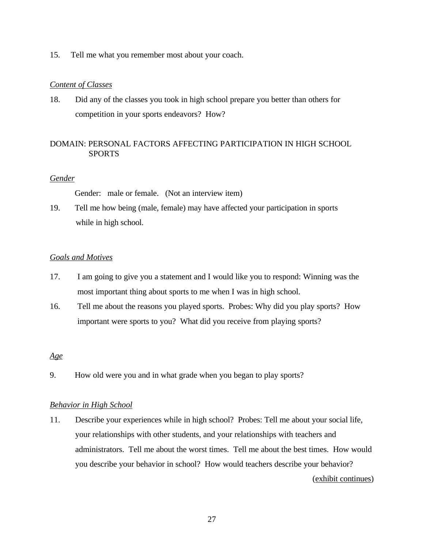15. Tell me what you remember most about your coach.

### *Content of Classes*

18. Did any of the classes you took in high school prepare you better than others for competition in your sports endeavors? How?

# DOMAIN: PERSONAL FACTORS AFFECTING PARTICIPATION IN HIGH SCHOOL **SPORTS**

### *Gender*

Gender: male or female. (Not an interview item)

19. Tell me how being (male, female) may have affected your participation in sports while in high school.

### *Goals and Motives*

- 17. I am going to give you a statement and I would like you to respond: Winning was the most important thing about sports to me when I was in high school.
- 16. Tell me about the reasons you played sports. Probes: Why did you play sports? How important were sports to you? What did you receive from playing sports?

### *Age*

9. How old were you and in what grade when you began to play sports?

### *Behavior in High School*

11. Describe your experiences while in high school? Probes: Tell me about your social life, your relationships with other students, and your relationships with teachers and administrators. Tell me about the worst times. Tell me about the best times. How would you describe your behavior in school? How would teachers describe your behavior? (exhibit continues)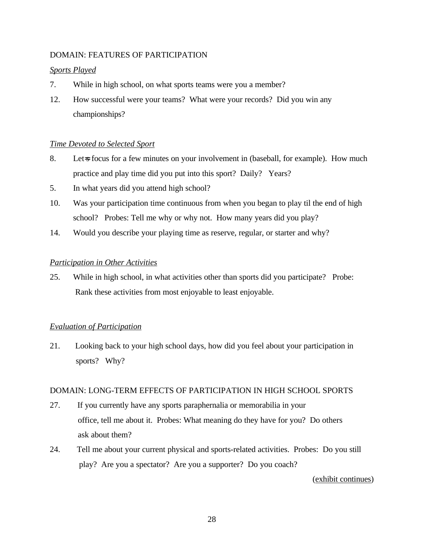# DOMAIN: FEATURES OF PARTICIPATION

### *Sports Played*

- 7. While in high school, on what sports teams were you a member?
- 12. How successful were your teams? What were your records? Did you win any championships?

## *Time Devoted to Selected Sport*

- 8. Let-s focus for a few minutes on your involvement in (baseball, for example). How much practice and play time did you put into this sport? Daily? Years?
- 5. In what years did you attend high school?
- 10. Was your participation time continuous from when you began to play til the end of high school? Probes: Tell me why or why not. How many years did you play?
- 14. Would you describe your playing time as reserve, regular, or starter and why?

### *Participation in Other Activities*

25. While in high school, in what activities other than sports did you participate? Probe: Rank these activities from most enjoyable to least enjoyable.

### *Evaluation of Participation*

21. Looking back to your high school days, how did you feel about your participation in sports? Why?

### DOMAIN: LONG-TERM EFFECTS OF PARTICIPATION IN HIGH SCHOOL SPORTS

- 27. If you currently have any sports paraphernalia or memorabilia in your office, tell me about it. Probes: What meaning do they have for you? Do others ask about them?
- 24. Tell me about your current physical and sports-related activities. Probes: Do you still play? Are you a spectator? Are you a supporter? Do you coach?

### (exhibit continues)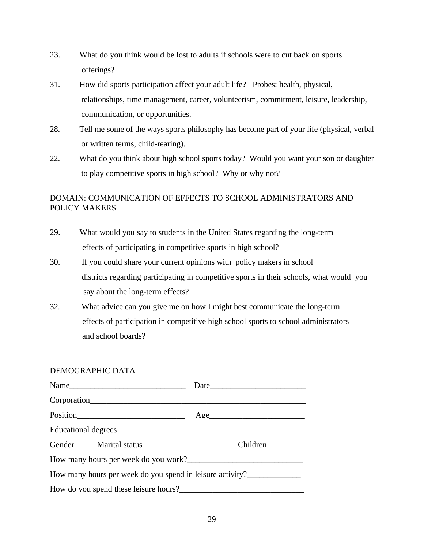- 23. What do you think would be lost to adults if schools were to cut back on sports offerings?
- 31. How did sports participation affect your adult life? Probes: health, physical, relationships, time management, career, volunteerism, commitment, leisure, leadership, communication, or opportunities.
- 28. Tell me some of the ways sports philosophy has become part of your life (physical, verbal or written terms, child-rearing).
- 22. What do you think about high school sports today? Would you want your son or daughter to play competitive sports in high school? Why or why not?

# DOMAIN: COMMUNICATION OF EFFECTS TO SCHOOL ADMINISTRATORS AND POLICY MAKERS

- 29. What would you say to students in the United States regarding the long-term effects of participating in competitive sports in high school?
- 30. If you could share your current opinions with policy makers in school districts regarding participating in competitive sports in their schools, what would you say about the long-term effects?
- 32. What advice can you give me on how I might best communicate the long-term effects of participation in competitive high school sports to school administrators and school boards?

### DEMOGRAPHIC DATA

| Corporation                                               |          |
|-----------------------------------------------------------|----------|
|                                                           | Age      |
|                                                           |          |
|                                                           | Children |
|                                                           |          |
| How many hours per week do you spend in leisure activity? |          |
|                                                           |          |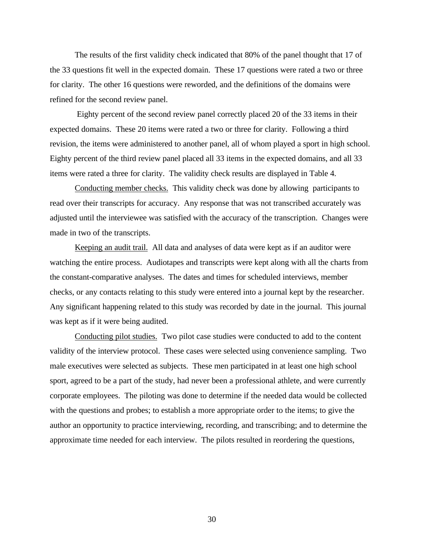The results of the first validity check indicated that 80% of the panel thought that 17 of the 33 questions fit well in the expected domain. These 17 questions were rated a two or three for clarity. The other 16 questions were reworded, and the definitions of the domains were refined for the second review panel.

 Eighty percent of the second review panel correctly placed 20 of the 33 items in their expected domains. These 20 items were rated a two or three for clarity. Following a third revision, the items were administered to another panel, all of whom played a sport in high school. Eighty percent of the third review panel placed all 33 items in the expected domains, and all 33 items were rated a three for clarity. The validity check results are displayed in Table 4.

Conducting member checks. This validity check was done by allowing participants to read over their transcripts for accuracy. Any response that was not transcribed accurately was adjusted until the interviewee was satisfied with the accuracy of the transcription. Changes were made in two of the transcripts.

Keeping an audit trail. All data and analyses of data were kept as if an auditor were watching the entire process. Audiotapes and transcripts were kept along with all the charts from the constant-comparative analyses. The dates and times for scheduled interviews, member checks, or any contacts relating to this study were entered into a journal kept by the researcher. Any significant happening related to this study was recorded by date in the journal. This journal was kept as if it were being audited.

Conducting pilot studies. Two pilot case studies were conducted to add to the content validity of the interview protocol. These cases were selected using convenience sampling. Two male executives were selected as subjects. These men participated in at least one high school sport, agreed to be a part of the study, had never been a professional athlete, and were currently corporate employees. The piloting was done to determine if the needed data would be collected with the questions and probes; to establish a more appropriate order to the items; to give the author an opportunity to practice interviewing, recording, and transcribing; and to determine the approximate time needed for each interview. The pilots resulted in reordering the questions,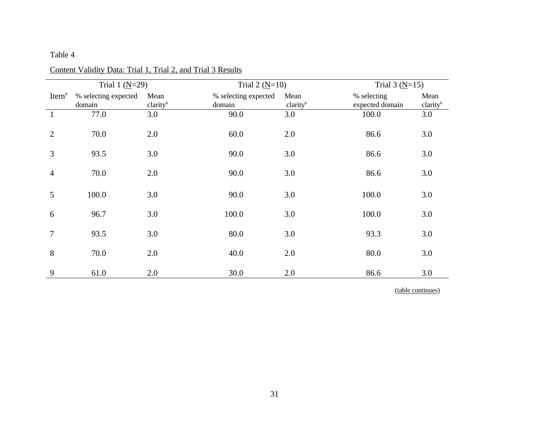# Table 4

| Trial 1 $(N=29)$  |                      |                      | Trial 2 $(N=10)$     |                      | Trial 3 $(N=15)$ |                      |
|-------------------|----------------------|----------------------|----------------------|----------------------|------------------|----------------------|
| Item <sup>a</sup> | % selecting expected | Mean                 | % selecting expected | Mean                 | % selecting      | Mean                 |
|                   | domain               | clarity <sup>b</sup> | domain               | clarity <sup>b</sup> | expected domain  | clarity <sup>b</sup> |
| $\mathbf{1}$      | 77.0                 | 3.0                  | 90.0                 | 3.0                  | 100.0            | 3.0                  |
| $\overline{2}$    | 70.0                 | 2.0                  | 60.0                 | 2.0                  | 86.6             | 3.0                  |
| 3                 | 93.5                 | 3.0                  | 90.0                 | 3.0                  | 86.6             | 3.0                  |
| 4                 | 70.0                 | 2.0                  | 90.0                 | 3.0                  | 86.6             | 3.0                  |
| 5                 | 100.0                | 3.0                  | 90.0                 | 3.0                  | 100.0            | 3.0                  |
| 6                 | 96.7                 | 3.0                  | 100.0                | 3.0                  | 100.0            | 3.0                  |
| 7                 | 93.5                 | 3.0                  | 80.0                 | 3.0                  | 93.3             | 3.0                  |
| 8                 | 70.0                 | 2.0                  | 40.0                 | 2.0                  | 80.0             | 3.0                  |
| 9                 | 61.0                 | 2.0                  | 30.0                 | 2.0                  | 86.6             | 3.0                  |

# Content Validity Data: Trial 1, Trial 2, and Trial 3 Results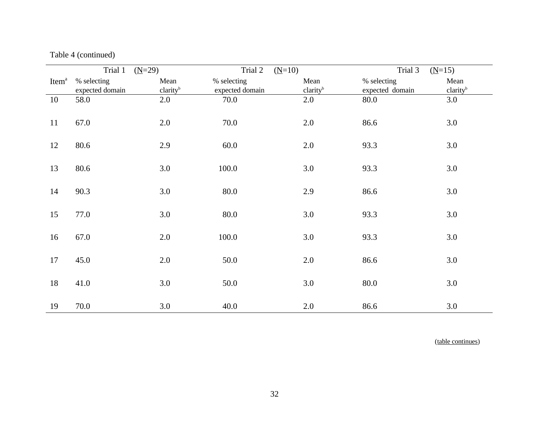|                   | Trial 1<br>$(M=29)$            |                              | Trial 2<br>$(M=10)$            |                              | Trial 3                        | $(M=15)$                     |
|-------------------|--------------------------------|------------------------------|--------------------------------|------------------------------|--------------------------------|------------------------------|
| Item <sup>a</sup> | % selecting<br>expected domain | Mean<br>clarity <sup>b</sup> | % selecting<br>expected domain | Mean<br>clarity <sup>b</sup> | % selecting<br>expected domain | Mean<br>clarity <sup>b</sup> |
| 10                | 58.0                           | 2.0                          | 70.0                           | 2.0                          | 80.0                           | 3.0                          |
| 11                | 67.0                           | 2.0                          | 70.0                           | 2.0                          | 86.6                           | 3.0                          |
| 12                | 80.6                           | 2.9                          | 60.0                           | 2.0                          | 93.3                           | 3.0                          |
| 13                | 80.6                           | 3.0                          | 100.0                          | 3.0                          | 93.3                           | 3.0                          |
| 14                | 90.3                           | 3.0                          | 80.0                           | 2.9                          | 86.6                           | 3.0                          |
| 15                | 77.0                           | 3.0                          | 80.0                           | 3.0                          | 93.3                           | 3.0                          |
| 16                | 67.0                           | 2.0                          | 100.0                          | 3.0                          | 93.3                           | 3.0                          |
| 17                | 45.0                           | 2.0                          | 50.0                           | 2.0                          | 86.6                           | 3.0                          |
| 18                | 41.0                           | 3.0                          | 50.0                           | 3.0                          | 80.0                           | 3.0                          |
| 19                | 70.0                           | 3.0                          | 40.0                           | 2.0                          | 86.6                           | 3.0                          |

Table 4 (continued)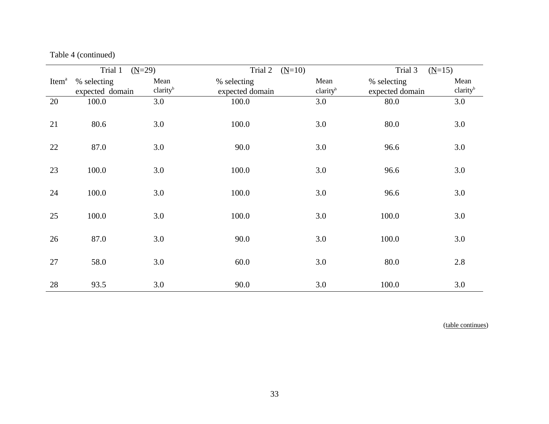|                   | Trial 1<br>$(N=29)$            |                              | Trial 2<br>$(M=10)$            |                              | Trial 3                        | $(M=15)$                     |
|-------------------|--------------------------------|------------------------------|--------------------------------|------------------------------|--------------------------------|------------------------------|
| Item <sup>a</sup> | % selecting<br>expected domain | Mean<br>clarity <sup>b</sup> | % selecting<br>expected domain | Mean<br>clarity <sup>b</sup> | % selecting<br>expected domain | Mean<br>clarity <sup>b</sup> |
| 20                | 100.0                          | 3.0                          | 100.0                          | 3.0                          | 80.0                           | 3.0                          |
| 21                | 80.6                           | 3.0                          | 100.0                          | 3.0                          | 80.0                           | 3.0                          |
| 22                | 87.0                           | 3.0                          | 90.0                           | 3.0                          | 96.6                           | 3.0                          |
| 23                | 100.0                          | 3.0                          | 100.0                          | 3.0                          | 96.6                           | 3.0                          |
| 24                | 100.0                          | 3.0                          | 100.0                          | 3.0                          | 96.6                           | 3.0                          |
| 25                | 100.0                          | 3.0                          | 100.0                          | 3.0                          | 100.0                          | 3.0                          |
| 26                | 87.0                           | 3.0                          | 90.0                           | 3.0                          | 100.0                          | 3.0                          |
| 27                | 58.0                           | 3.0                          | 60.0                           | 3.0                          | 80.0                           | 2.8                          |
| 28                | 93.5                           | 3.0                          | 90.0                           | 3.0                          | 100.0                          | 3.0                          |

Table 4 (continued)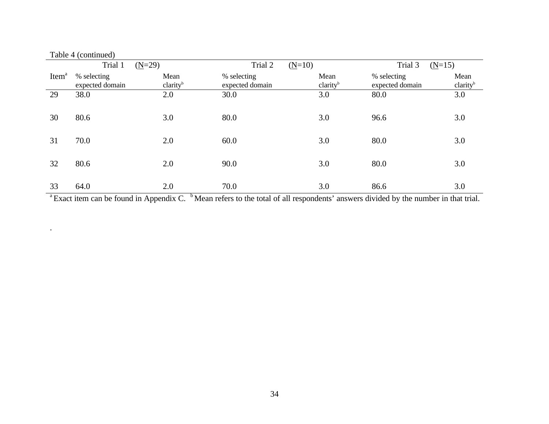|                   | Table 4 (continued)            |                              |                                |                              |                                |                              |
|-------------------|--------------------------------|------------------------------|--------------------------------|------------------------------|--------------------------------|------------------------------|
|                   | Trial 1                        | $(N=29)$                     | Trial 2<br>$(N=10)$            |                              | Trial 3<br>$(N=15)$            |                              |
| Item <sup>a</sup> | % selecting<br>expected domain | Mean<br>clarity <sup>b</sup> | % selecting<br>expected domain | Mean<br>clarity <sup>b</sup> | % selecting<br>expected domain | Mean<br>clarity <sup>b</sup> |
| 29                | 38.0                           | 2.0                          | 30.0                           | 3.0                          | 80.0                           | 3.0                          |
| 30                | 80.6                           | 3.0                          | 80.0                           | 3.0                          | 96.6                           | 3.0                          |
| 31                | 70.0                           | 2.0                          | 60.0                           | 3.0                          | 80.0                           | 3.0                          |
| 32                | 80.6                           | 2.0                          | 90.0                           | 3.0                          | 80.0                           | 3.0                          |
| 33                | 64.0                           | 2.0                          | 70.0                           | 3.0                          | 86.6                           | 3.0                          |

<sup>a</sup> Exact item can be found in Appendix C. <sup>b</sup> Mean refers to the total of all respondents' answers divided by the number in that trial.

.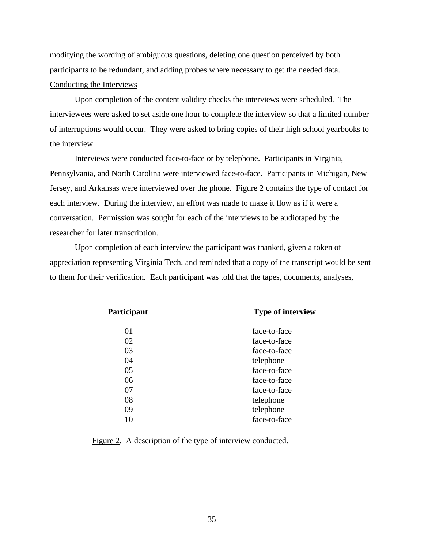modifying the wording of ambiguous questions, deleting one question perceived by both participants to be redundant, and adding probes where necessary to get the needed data. Conducting the Interviews

Upon completion of the content validity checks the interviews were scheduled. The interviewees were asked to set aside one hour to complete the interview so that a limited number of interruptions would occur. They were asked to bring copies of their high school yearbooks to the interview.

Interviews were conducted face-to-face or by telephone. Participants in Virginia, Pennsylvania, and North Carolina were interviewed face-to-face. Participants in Michigan, New Jersey, and Arkansas were interviewed over the phone. Figure 2 contains the type of contact for each interview. During the interview, an effort was made to make it flow as if it were a conversation. Permission was sought for each of the interviews to be audiotaped by the researcher for later transcription.

Upon completion of each interview the participant was thanked, given a token of appreciation representing Virginia Tech, and reminded that a copy of the transcript would be sent to them for their verification. Each participant was told that the tapes, documents, analyses,

| Participant | <b>Type of interview</b> |
|-------------|--------------------------|
| 01          | face-to-face             |
| 02          | face-to-face             |
| 03          | face-to-face             |
| 04          | telephone                |
| 05          | face-to-face             |
| 06          | face-to-face             |
| 07          | face-to-face             |
| 08          | telephone                |
| 09          | telephone                |
| 10          | face-to-face             |

Figure 2. A description of the type of interview conducted.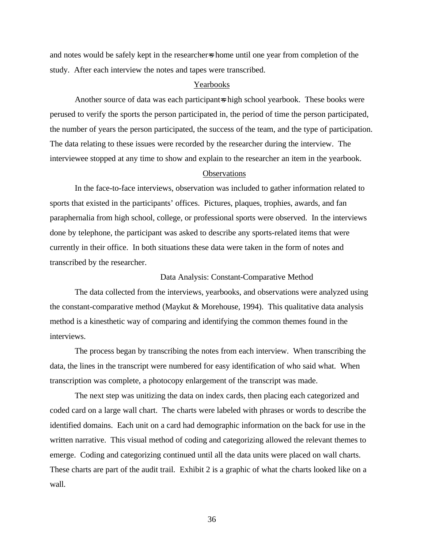and notes would be safely kept in the researcher=s home until one year from completion of the study. After each interview the notes and tapes were transcribed.

### Yearbooks

Another source of data was each participant=s high school yearbook. These books were perused to verify the sports the person participated in, the period of time the person participated, the number of years the person participated, the success of the team, and the type of participation. The data relating to these issues were recorded by the researcher during the interview. The interviewee stopped at any time to show and explain to the researcher an item in the yearbook.

#### **Observations**

In the face-to-face interviews, observation was included to gather information related to sports that existed in the participants' offices. Pictures, plaques, trophies, awards, and fan paraphernalia from high school, college, or professional sports were observed. In the interviews done by telephone, the participant was asked to describe any sports-related items that were currently in their office. In both situations these data were taken in the form of notes and transcribed by the researcher.

#### Data Analysis: Constant-Comparative Method

The data collected from the interviews, yearbooks, and observations were analyzed using the constant-comparative method (Maykut & Morehouse, 1994). This qualitative data analysis method is a kinesthetic way of comparing and identifying the common themes found in the interviews.

The process began by transcribing the notes from each interview. When transcribing the data, the lines in the transcript were numbered for easy identification of who said what. When transcription was complete, a photocopy enlargement of the transcript was made.

The next step was unitizing the data on index cards, then placing each categorized and coded card on a large wall chart. The charts were labeled with phrases or words to describe the identified domains. Each unit on a card had demographic information on the back for use in the written narrative. This visual method of coding and categorizing allowed the relevant themes to emerge. Coding and categorizing continued until all the data units were placed on wall charts. These charts are part of the audit trail. Exhibit 2 is a graphic of what the charts looked like on a wall.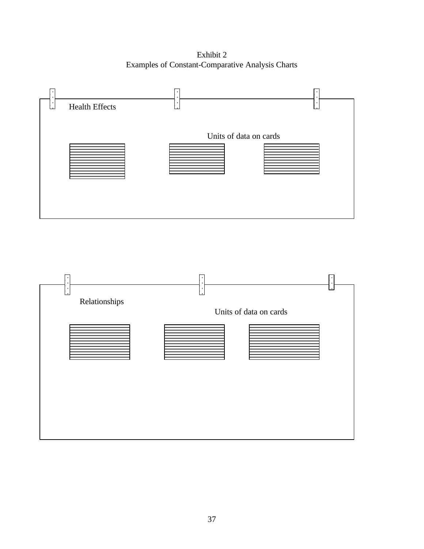Exhibit 2 Examples of Constant-Comparative Analysis Charts



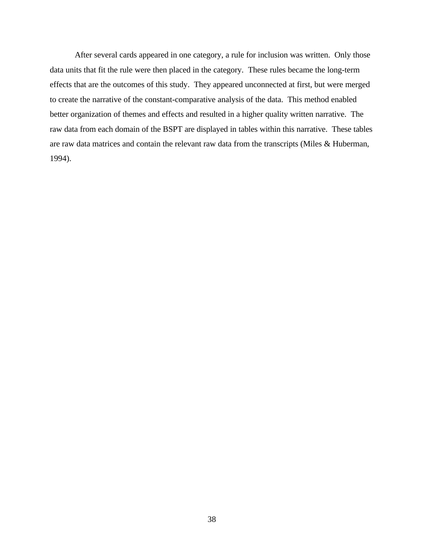After several cards appeared in one category, a rule for inclusion was written. Only those data units that fit the rule were then placed in the category. These rules became the long-term effects that are the outcomes of this study. They appeared unconnected at first, but were merged to create the narrative of the constant-comparative analysis of the data. This method enabled better organization of themes and effects and resulted in a higher quality written narrative. The raw data from each domain of the BSPT are displayed in tables within this narrative. These tables are raw data matrices and contain the relevant raw data from the transcripts (Miles & Huberman, 1994).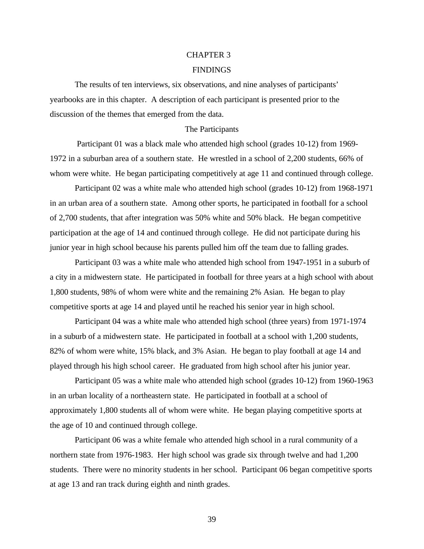### [CHAPTER 3](#page-5-0)

### FINDINGS

The results of ten interviews, six observations, and nine analyses of participants' yearbooks are in this chapter. A description of each participant is presented prior to the discussion of the themes that emerged from the data.

#### The Participants

 Participant 01 was a black male who attended high school (grades 10-12) from 1969- 1972 in a suburban area of a southern state. He wrestled in a school of 2,200 students, 66% of whom were white. He began participating competitively at age 11 and continued through college.

Participant 02 was a white male who attended high school (grades 10-12) from 1968-1971 in an urban area of a southern state. Among other sports, he participated in football for a school of 2,700 students, that after integration was 50% white and 50% black. He began competitive participation at the age of 14 and continued through college. He did not participate during his junior year in high school because his parents pulled him off the team due to falling grades.

Participant 03 was a white male who attended high school from 1947-1951 in a suburb of a city in a midwestern state. He participated in football for three years at a high school with about 1,800 students, 98% of whom were white and the remaining 2% Asian. He began to play competitive sports at age 14 and played until he reached his senior year in high school.

Participant 04 was a white male who attended high school (three years) from 1971-1974 in a suburb of a midwestern state. He participated in football at a school with 1,200 students, 82% of whom were white, 15% black, and 3% Asian. He began to play football at age 14 and played through his high school career. He graduated from high school after his junior year.

Participant 05 was a white male who attended high school (grades 10-12) from 1960-1963 in an urban locality of a northeastern state. He participated in football at a school of approximately 1,800 students all of whom were white. He began playing competitive sports at the age of 10 and continued through college.

Participant 06 was a white female who attended high school in a rural community of a northern state from 1976-1983. Her high school was grade six through twelve and had 1,200 students. There were no minority students in her school. Participant 06 began competitive sports at age 13 and ran track during eighth and ninth grades.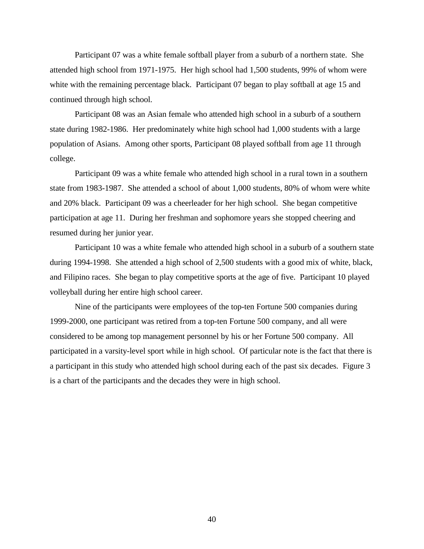Participant 07 was a white female softball player from a suburb of a northern state. She attended high school from 1971-1975. Her high school had 1,500 students, 99% of whom were white with the remaining percentage black. Participant 07 began to play softball at age 15 and continued through high school.

Participant 08 was an Asian female who attended high school in a suburb of a southern state during 1982-1986. Her predominately white high school had 1,000 students with a large population of Asians. Among other sports, Participant 08 played softball from age 11 through college.

Participant 09 was a white female who attended high school in a rural town in a southern state from 1983-1987. She attended a school of about 1,000 students, 80% of whom were white and 20% black. Participant 09 was a cheerleader for her high school. She began competitive participation at age 11. During her freshman and sophomore years she stopped cheering and resumed during her junior year.

Participant 10 was a white female who attended high school in a suburb of a southern state during 1994-1998. She attended a high school of 2,500 students with a good mix of white, black, and Filipino races. She began to play competitive sports at the age of five. Participant 10 played volleyball during her entire high school career.

Nine of the participants were employees of the top-ten Fortune 500 companies during 1999-2000, one participant was retired from a top-ten Fortune 500 company, and all were considered to be among top management personnel by his or her Fortune 500 company. All participated in a varsity-level sport while in high school. Of particular note is the fact that there is a participant in this study who attended high school during each of the past six decades. Figure 3 is a chart of the participants and the decades they were in high school.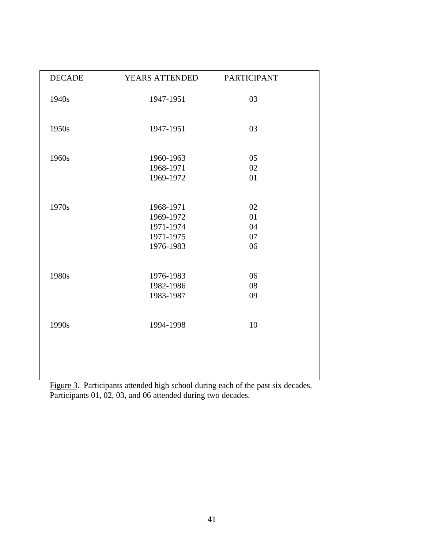| <b>DECADE</b> | YEARS ATTENDED                                                | <b>PARTICIPANT</b>         |  |
|---------------|---------------------------------------------------------------|----------------------------|--|
| 1940s         | 1947-1951                                                     | 03                         |  |
| 1950s         | 1947-1951                                                     | 03                         |  |
| 1960s         | 1960-1963<br>1968-1971<br>1969-1972                           | 05<br>02<br>01             |  |
| 1970s         | 1968-1971<br>1969-1972<br>1971-1974<br>1971-1975<br>1976-1983 | 02<br>01<br>04<br>07<br>06 |  |
| 1980s         | 1976-1983<br>1982-1986<br>1983-1987                           | 06<br>08<br>09             |  |
| 1990s         | 1994-1998                                                     | 10                         |  |
|               |                                                               |                            |  |

Figure 3. Participants attended high school during each of the past six decades. Participants 01, 02, 03, and 06 attended during two decades.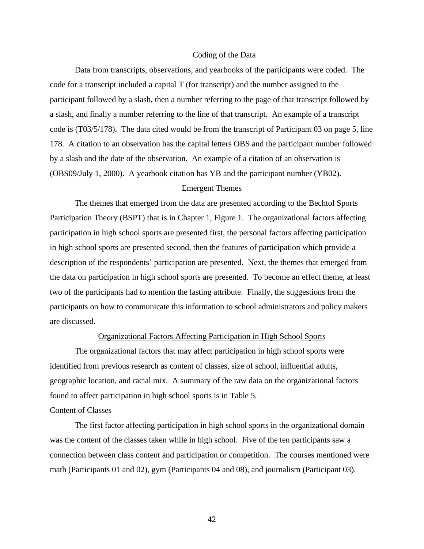#### Coding of the Data

Data from transcripts, observations, and yearbooks of the participants were coded. The code for a transcript included a capital T (for transcript) and the number assigned to the participant followed by a slash, then a number referring to the page of that transcript followed by a slash, and finally a number referring to the line of that transcript. An example of a transcript code is (T03/5/178). The data cited would be from the transcript of Participant 03 on page 5, line 178. A citation to an observation has the capital letters OBS and the participant number followed by a slash and the date of the observation. An example of a citation of an observation is (OBS09/July 1, 2000). A yearbook citation has YB and the participant number (YB02).

## Emergent Themes

The themes that emerged from the data are presented according to the Bechtol Sports Participation Theory (BSPT) that is in Chapter 1, Figure 1. The organizational factors affecting participation in high school sports are presented first, the personal factors affecting participation in high school sports are presented second, then the features of participation which provide a description of the respondents' participation are presented. Next, the themes that emerged from the data on participation in high school sports are presented. To become an effect theme, at least two of the participants had to mention the lasting attribute. Finally, the suggestions from the participants on how to communicate this information to school administrators and policy makers are discussed.

## Organizational Factors Affecting Participation in High School Sports

The organizational factors that may affect participation in high school sports were identified from previous research as content of classes, size of school, influential adults, geographic location, and racial mix. A summary of the raw data on the organizational factors found to affect participation in high school sports is in Table 5.

#### Content of Classes

The first factor affecting participation in high school sports in the organizational domain was the content of the classes taken while in high school. Five of the ten participants saw a connection between class content and participation or competition. The courses mentioned were math (Participants 01 and 02), gym (Participants 04 and 08), and journalism (Participant 03).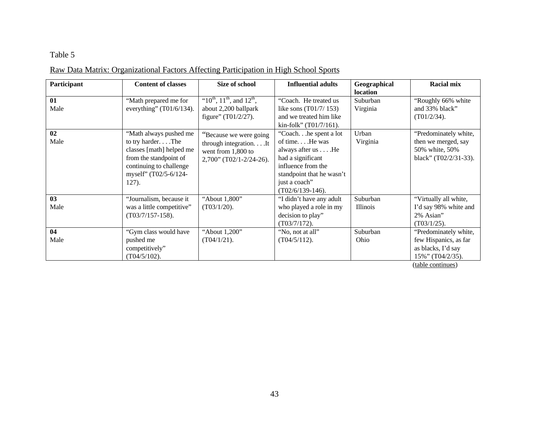# Table 5

| Participant | <b>Content of classes</b>                                                                                                                                     | Size of school                                                                                         | <b>Influential adults</b>                                                                                                                                                     | Geographical<br><b>location</b> | <b>Racial mix</b>                                                                            |
|-------------|---------------------------------------------------------------------------------------------------------------------------------------------------------------|--------------------------------------------------------------------------------------------------------|-------------------------------------------------------------------------------------------------------------------------------------------------------------------------------|---------------------------------|----------------------------------------------------------------------------------------------|
| 01<br>Male  | "Math prepared me for<br>everything" $(T01/6/134)$ .                                                                                                          | " $10^{th}$ , $11^{th}$ , and $12^{th}$ ,<br>about 2,200 ballpark<br>figure" (T01/2/27).               | "Coach. He treated us<br>like sons (T01/7/153)<br>and we treated him like<br>kin-folk" (T01/7/161).                                                                           | Suburban<br>Virginia            | "Roughly 66% white<br>and 33% black"<br>$(T01/2/34)$ .                                       |
| 02<br>Male  | "Math always pushed me<br>to try harderThe<br>classes [math] helped me<br>from the standpoint of<br>continuing to challenge<br>myself" (T02/5-6/124-<br>127). | "Because we were going"<br>through integration. It<br>went from 1,800 to<br>$2,700$ " (T02/1-2/24-26). | "Coachhe spent a lot"<br>of time He was<br>always after us He<br>had a significant<br>influence from the<br>standpoint that he wasn't<br>just a coach"<br>$(T02/6/139-146)$ . | Urban<br>Virginia               | "Predominately white,<br>then we merged, say<br>50% white, 50%<br>black" $(T02/2/31-33)$ .   |
| 03<br>Male  | "Journalism, because it<br>was a little competitive"<br>$(T03/7/157-158).$                                                                                    | "About 1,800"<br>$(T03/1/20)$ .                                                                        | "I didn't have any adult<br>who played a role in my<br>decision to play"<br>$(T03/7/172)$ .                                                                                   | Suburban<br><i>Illinois</i>     | "Virtually all white,<br>I'd say 98% white and<br>2% Asian"<br>$(T03/1/25)$ .                |
| 04<br>Male  | "Gym class would have<br>pushed me<br>competitively"<br>$(T04/5/102)$ .                                                                                       | "About 1,200"<br>$(T04/1/21)$ .                                                                        | "No, not at all"<br>$(T04/5/112)$ .                                                                                                                                           | Suburban<br>Ohio                | "Predominately white,<br>few Hispanics, as far<br>as blacks, I'd say<br>$15\%$ " (T04/2/35). |

# Raw Data Matrix: Organizational Factors Affecting Participation in High School Sports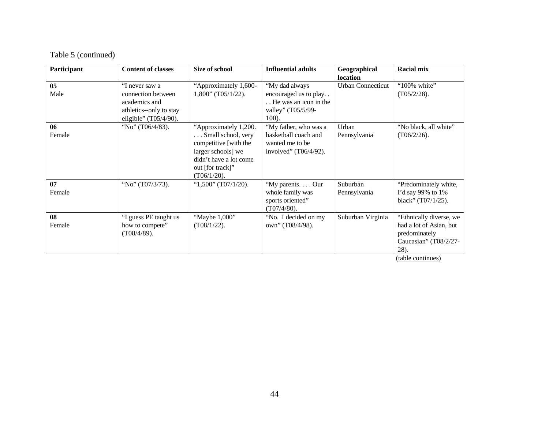| Participant | <b>Content of classes</b> | Size of school          | <b>Influential adults</b> | Geographical             | <b>Racial mix</b>                     |
|-------------|---------------------------|-------------------------|---------------------------|--------------------------|---------------------------------------|
|             |                           |                         |                           | location                 |                                       |
| 05          | "I never saw a            | "Approximately 1,600-   | "My dad always            | <b>Urban Connecticut</b> | "100% white"                          |
| Male        | connection between        | $1,800$ " (T05/1/22).   | encouraged us to play     |                          | (T05/2/28).                           |
|             | academics and             |                         | He was an icon in the     |                          |                                       |
|             | athletics--only to stay   |                         | valley" (T05/5/99-        |                          |                                       |
|             | eligible" (T05/4/90).     |                         | $100$ ).                  |                          |                                       |
| 06          | "No" (T06/4/83).          | "Approximately 1,200.   | "My father, who was a     | Urban                    | "No black, all white"                 |
| Female      |                           | Small school, very      | basketball coach and      | Pennsylvania             | $(T06/2/26)$ .                        |
|             |                           | competitive [with the   | wanted me to be           |                          |                                       |
|             |                           | larger schools] we      | involved" $(T06/4/92)$ .  |                          |                                       |
|             |                           | didn't have a lot come  |                           |                          |                                       |
|             |                           | out [for track]"        |                           |                          |                                       |
|             |                           | (T06/1/20).             |                           |                          |                                       |
| 07          | "No" (T07/3/73).          | " $1,500$ " (T07/1/20). | "My parents Our           | Suburban                 | "Predominately white,                 |
| Female      |                           |                         | whole family was          | Pennsylvania             | I'd say 99% to 1%                     |
|             |                           |                         | sports oriented"          |                          | black" $(T07/1/25)$ .                 |
|             |                           |                         | $(T07/4/80)$ .            |                          |                                       |
| 08          | "I guess PE taught us     | "Maybe 1,000"           | "No. I decided on my      | Suburban Virginia        | "Ethnically diverse, we               |
| Female      | how to compete"           | $(T08/1/22)$ .          | own" (T08/4/98).          |                          | had a lot of Asian, but               |
|             | $(T08/4/89)$ .            |                         |                           |                          | predominately                         |
|             |                           |                         |                           |                          | Caucasian" (T08/2/27-                 |
|             |                           |                         |                           |                          | 28).                                  |
|             |                           |                         |                           |                          | $\lambda$ and $\lambda$ and $\lambda$ |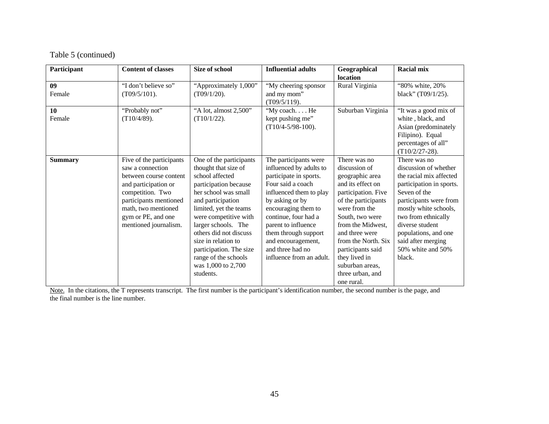Table 5 (continued)

| Participant    | <b>Content of classes</b>                                                                                                                                                                                          | Size of school                                                                                                                                                                                                                                                                                                                                            | <b>Influential adults</b>                                                                                                                                                                                                                                                                                         | Geographical<br>location                                                                                                                                                                                                                                                                                         | <b>Racial mix</b>                                                                                                                                                                                                                                                                      |
|----------------|--------------------------------------------------------------------------------------------------------------------------------------------------------------------------------------------------------------------|-----------------------------------------------------------------------------------------------------------------------------------------------------------------------------------------------------------------------------------------------------------------------------------------------------------------------------------------------------------|-------------------------------------------------------------------------------------------------------------------------------------------------------------------------------------------------------------------------------------------------------------------------------------------------------------------|------------------------------------------------------------------------------------------------------------------------------------------------------------------------------------------------------------------------------------------------------------------------------------------------------------------|----------------------------------------------------------------------------------------------------------------------------------------------------------------------------------------------------------------------------------------------------------------------------------------|
| 09<br>Female   | "I don't believe so"<br>$(T09/5/101)$ .                                                                                                                                                                            | "Approximately 1,000"<br>$(T09/1/20)$ .                                                                                                                                                                                                                                                                                                                   | "My cheering sponsor<br>and my mom"<br>$(T09/5/119)$ .                                                                                                                                                                                                                                                            | Rural Virginia                                                                                                                                                                                                                                                                                                   | "80% white, 20%<br>black" (T09/1/25).                                                                                                                                                                                                                                                  |
| 10<br>Female   | "Probably not"<br>(T10/4/89).                                                                                                                                                                                      | "A lot, almost 2,500"<br>$(T10/1/22)$ .                                                                                                                                                                                                                                                                                                                   | "My coach. He<br>kept pushing me"<br>$(T10/4 - 5/98 - 100)$ .                                                                                                                                                                                                                                                     | Suburban Virginia                                                                                                                                                                                                                                                                                                | "It was a good mix of<br>white, black, and<br>Asian (predominately<br>Filipino). Equal<br>percentages of all"<br>$(T10/2/27-28)$ .                                                                                                                                                     |
| <b>Summary</b> | Five of the participants<br>saw a connection<br>between course content<br>and participation or<br>competition. Two<br>participants mentioned<br>math, two mentioned<br>gym or PE, and one<br>mentioned journalism. | One of the participants<br>thought that size of<br>school affected<br>participation because<br>her school was small<br>and participation<br>limited, yet the teams<br>were competitive with<br>larger schools. The<br>others did not discuss<br>size in relation to<br>participation. The size<br>range of the schools<br>was 1,000 to 2,700<br>students. | The participants were<br>influenced by adults to<br>participate in sports.<br>Four said a coach<br>influenced them to play<br>by asking or by<br>encouraging them to<br>continue, four had a<br>parent to influence<br>them through support<br>and encouragement,<br>and three had no<br>influence from an adult. | There was no<br>discussion of<br>geographic area<br>and its effect on<br>participation. Five<br>of the participants<br>were from the<br>South, two were<br>from the Midwest.<br>and three were<br>from the North. Six<br>participants said<br>they lived in<br>suburban areas,<br>three urban, and<br>one rural. | There was no<br>discussion of whether<br>the racial mix affected<br>participation in sports.<br>Seven of the<br>participants were from<br>mostly white schools,<br>two from ethnically<br>diverse student<br>populations, and one<br>said after merging<br>50% white and 50%<br>black. |

Note. In the citations, the T represents transcript. The first number is the participant's identification number, the second number is the page, and the final number is the line number.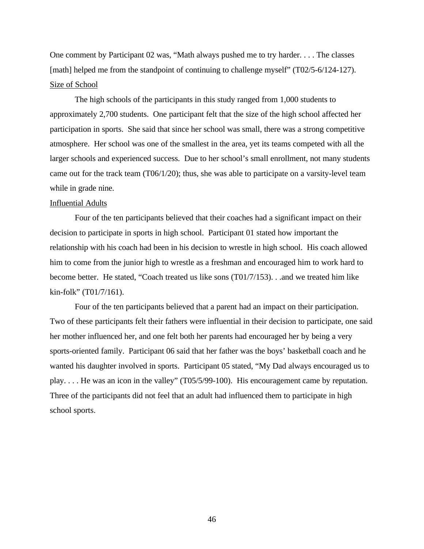One comment by Participant 02 was, "Math always pushed me to try harder. . . . The classes [math] helped me from the standpoint of continuing to challenge myself" (T02/5-6/124-127). Size of School

The high schools of the participants in this study ranged from 1,000 students to approximately 2,700 students. One participant felt that the size of the high school affected her participation in sports. She said that since her school was small, there was a strong competitive atmosphere. Her school was one of the smallest in the area, yet its teams competed with all the larger schools and experienced success. Due to her school's small enrollment, not many students came out for the track team (T06/1/20); thus, she was able to participate on a varsity-level team while in grade nine.

### Influential Adults

Four of the ten participants believed that their coaches had a significant impact on their decision to participate in sports in high school. Participant 01 stated how important the relationship with his coach had been in his decision to wrestle in high school. His coach allowed him to come from the junior high to wrestle as a freshman and encouraged him to work hard to become better. He stated, "Coach treated us like sons (T01/7/153). . .and we treated him like kin-folk" (T01/7/161).

Four of the ten participants believed that a parent had an impact on their participation. Two of these participants felt their fathers were influential in their decision to participate, one said her mother influenced her, and one felt both her parents had encouraged her by being a very sports-oriented family. Participant 06 said that her father was the boys' basketball coach and he wanted his daughter involved in sports. Participant 05 stated, "My Dad always encouraged us to play. . . . He was an icon in the valley" (T05/5/99-100). His encouragement came by reputation. Three of the participants did not feel that an adult had influenced them to participate in high school sports.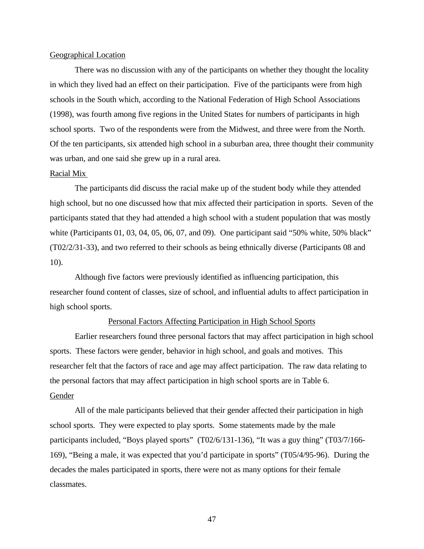## Geographical Location

There was no discussion with any of the participants on whether they thought the locality in which they lived had an effect on their participation. Five of the participants were from high schools in the South which, according to the National Federation of High School Associations (1998), was fourth among five regions in the United States for numbers of participants in high school sports. Two of the respondents were from the Midwest, and three were from the North. Of the ten participants, six attended high school in a suburban area, three thought their community was urban, and one said she grew up in a rural area.

## Racial Mix

The participants did discuss the racial make up of the student body while they attended high school, but no one discussed how that mix affected their participation in sports. Seven of the participants stated that they had attended a high school with a student population that was mostly white (Participants 01, 03, 04, 05, 06, 07, and 09). One participant said "50% white, 50% black" (T02/2/31-33), and two referred to their schools as being ethnically diverse (Participants 08 and 10).

Although five factors were previously identified as influencing participation, this researcher found content of classes, size of school, and influential adults to affect participation in high school sports.

## Personal Factors Affecting Participation in High School Sports

Earlier researchers found three personal factors that may affect participation in high school sports. These factors were gender, behavior in high school, and goals and motives. This researcher felt that the factors of race and age may affect participation. The raw data relating to the personal factors that may affect participation in high school sports are in Table 6. Gender

All of the male participants believed that their gender affected their participation in high school sports. They were expected to play sports. Some statements made by the male participants included, "Boys played sports" (T02/6/131-136), "It was a guy thing" (T03/7/166- 169), "Being a male, it was expected that you'd participate in sports" (T05/4/95-96). During the decades the males participated in sports, there were not as many options for their female classmates.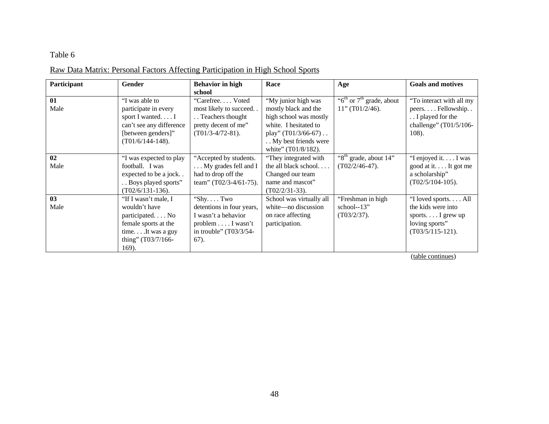# Table 6

# Raw Data Matrix: Personal Factors Affecting Participation in High School Sports

| Participant | <b>Gender</b>            | <b>Behavior</b> in high   | Race                     | Age                                               | <b>Goals and motives</b> |
|-------------|--------------------------|---------------------------|--------------------------|---------------------------------------------------|--------------------------|
|             |                          | school                    |                          |                                                   |                          |
| 01          | "I was able to           | "Carefree Voted           | "My junior high was      | " $6^{\text{th}}$ or $7^{\text{th}}$ grade, about | "To interact with all my |
| Male        | participate in every     | most likely to succeed    | mostly black and the     | 11" (T01/2/46).                                   | peersFellowship          |
|             | sport I wantedI          | Teachers thought          | high school was mostly   |                                                   | I played for the         |
|             | can't see any difference | pretty decent of me"      | white. I hesitated to    |                                                   | challenge" (T01/5/106-   |
|             | [between genders]"       | $(T01/3-4/72-81)$ .       | play" $(T01/3/66-67)$    |                                                   | 108).                    |
|             | $(T01/6/144-148).$       |                           | My best friends were     |                                                   |                          |
|             |                          |                           | white" (T01/8/182).      |                                                   |                          |
| 02          | "I was expected to play  | "Accepted by students.    | "They integrated with    | "8 <sup>th</sup> grade, about 14"                 | "I enjoyed it. I was     |
| Male        | football. I was          | My grades fell and I      | the all black school     | $(T02/2/46-47)$ .                                 | good at it It got me     |
|             | expected to be a jock    | had to drop off the       | Changed our team         |                                                   | a scholarship"           |
|             | Boys played sports"      | team" (T02/3-4/61-75).    | name and mascot"         |                                                   | $(T02/5/104-105)$ .      |
|             | $(T02/6/131-136)$ .      |                           | $(T02/2/31-33)$ .        |                                                   |                          |
| 03          | "If I wasn't male, I     | "ShyTwo                   | School was virtually all | "Freshman in high                                 | "I loved sportsAll       |
| Male        | wouldn't have            | detentions in four years, | white—no discussion      | school- $-13$ "                                   | the kids were into       |
|             | participated No          | I wasn't a behavior       | on race affecting        | (T03/2/37).                                       | sports I grew up         |
|             | female sports at the     | $problem \dots I wasn't$  | participation.           |                                                   | loving sports"           |
|             | timeIt was a guy         | in trouble" $(T03/3/54-$  |                          |                                                   | $(T03/5/115-121)$ .      |
|             | thing" (T03/7/166-       | $67)$ .                   |                          |                                                   |                          |
|             | 169).                    |                           |                          |                                                   |                          |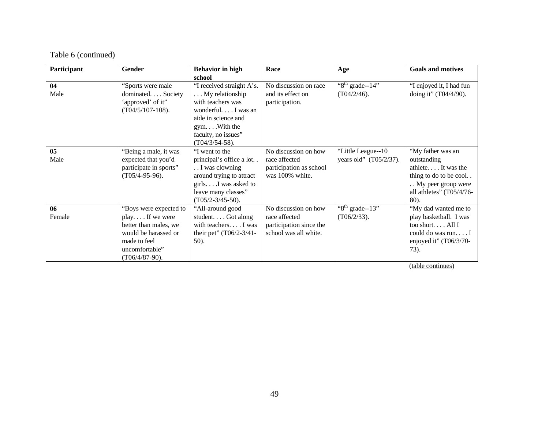| Participant    | Gender                 | <b>Behavior</b> in high   | Race                    | Age                        | <b>Goals and motives</b>  |
|----------------|------------------------|---------------------------|-------------------------|----------------------------|---------------------------|
|                |                        | school                    |                         |                            |                           |
| 04             | "Sports were male      | "I received straight A's. | No discussion on race   | $\sqrt[416]{8}$ grade--14" | "I enjoyed it, I had fun  |
| Male           | dominated Society      | My relationship           | and its effect on       | $(T04/2/46)$ .             | doing it" $(T04/4/90)$ .  |
|                | 'approved' of it"      | with teachers was         | participation.          |                            |                           |
|                | $(T04/5/107-108)$ .    | wonderful I was an        |                         |                            |                           |
|                |                        | aide in science and       |                         |                            |                           |
|                |                        | $gym. \ldots$ With the    |                         |                            |                           |
|                |                        | faculty, no issues"       |                         |                            |                           |
|                |                        | $(T04/3/54-58)$ .         |                         |                            |                           |
| 0 <sub>5</sub> | "Being a male, it was  | "I went to the            | No discussion on how    | "Little League--10"        | "My father was an         |
| Male           | expected that you'd    | principal's office a lot  | race affected           | years old" (T05/2/37).     | outstanding               |
|                | participate in sports" | I was clowning            | participation as school |                            | athlete It was the        |
|                | $(T05/4-95-96)$ .      | around trying to attract  | was 100% white.         |                            | thing to do to be cool    |
|                |                        | girls I was asked to      |                         |                            | My peer group were        |
|                |                        | leave many classes"       |                         |                            | all athletes" (T05/4/76-  |
|                |                        | $(T05/2-3/45-50)$ .       |                         |                            | 80).                      |
| 06             | "Boys were expected to | "All-around good          | No discussion on how    | $\sqrt[416]{8}$ grade--13" | "My dad wanted me to      |
| Female         | play If we were        | student Got along         | race affected           | $(T06/2/33)$ .             | play basketball. I was    |
|                | better than males, we  | with teachers. I was      | participation since the |                            | too short $All I$         |
|                | would be harassed or   | their pet" (T06/2-3/41-   | school was all white.   |                            | could do was run $I$      |
|                | made to feel           | 50).                      |                         |                            | enjoyed it" $(T06/3/70 -$ |
|                | uncomfortable"         |                           |                         |                            | 73).                      |
|                | $(T06/4/87-90)$ .      |                           |                         |                            |                           |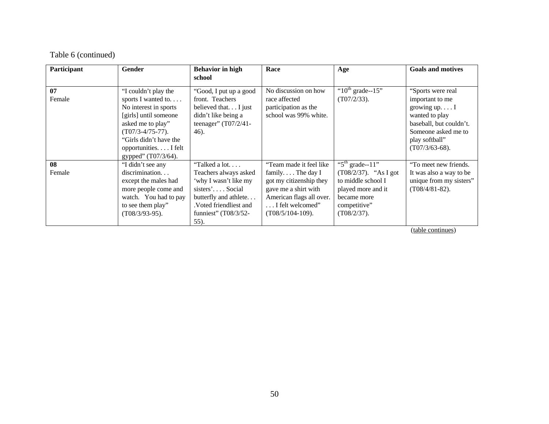| Participant  | <b>Gender</b>                                                                                                                                                                                                    | <b>Behavior</b> in high<br>school                                                                                                                                                  | Race                                                                                                                                                                            | Age                                                                                                                                         | <b>Goals and motives</b>                                                                                                                                                   |
|--------------|------------------------------------------------------------------------------------------------------------------------------------------------------------------------------------------------------------------|------------------------------------------------------------------------------------------------------------------------------------------------------------------------------------|---------------------------------------------------------------------------------------------------------------------------------------------------------------------------------|---------------------------------------------------------------------------------------------------------------------------------------------|----------------------------------------------------------------------------------------------------------------------------------------------------------------------------|
| 07<br>Female | "I couldn't play the<br>sports I wanted to<br>No interest in sports<br>[girls] until someone<br>asked me to play"<br>$(T07/3-4/75-77)$ .<br>"Girls didn't have the<br>opportunitiesI felt<br>gypped" (T07/3/64). | "Good, I put up a good<br>front. Teachers<br>believed that I just<br>didn't like being a<br>teenager" $(T07/2/41 -$<br>46).                                                        | No discussion on how<br>race affected<br>participation as the<br>school was 99% white.                                                                                          | " $10^{th}$ grade--15"<br>$(T07/2/33)$ .                                                                                                    | "Sports were real"<br>important to me<br>growing $up. \ldots I$<br>wanted to play<br>baseball, but couldn't.<br>Someone asked me to<br>play softball"<br>$(T07/3/63-68)$ . |
| 08<br>Female | "I didn't see any<br>discrimination<br>except the males had<br>more people come and<br>watch. You had to pay<br>to see them play"<br>$(T08/3/93-95)$ .                                                           | "Talked a lot<br>Teachers always asked<br>'why I wasn't like my<br>$sisters'. \ldots Social$<br>butterfly and athlete<br>.Voted friendliest and<br>funniest" $(T08/3/52 -$<br>55). | "Team made it feel like<br>family. $\ldots$ The day I<br>got my citizenship they<br>gave me a shirt with<br>American flags all over.<br>I felt welcomed"<br>$(T08/5/104-109)$ . | " $5th$ grade--11"<br>$(T08/2/37)$ . "As I got<br>to middle school I<br>played more and it<br>became more<br>competitive"<br>$(T08/2/37)$ . | "To meet new friends.<br>It was also a way to be<br>unique from my sisters"<br>$(T08/4/81-82)$ .                                                                           |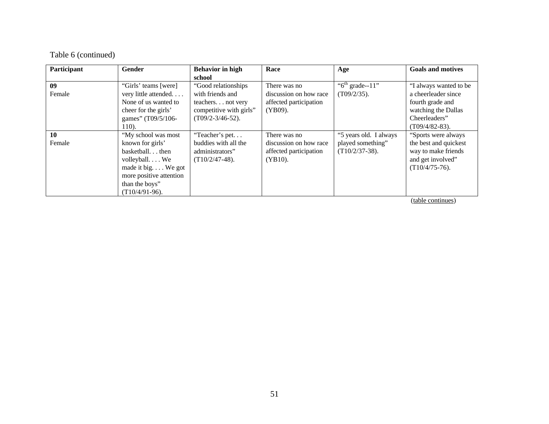| Participant | <b>Gender</b>           | <b>Behavior in high</b> | Race                   | Age                                     | <b>Goals and motives</b> |
|-------------|-------------------------|-------------------------|------------------------|-----------------------------------------|--------------------------|
|             |                         | school                  |                        |                                         |                          |
| 09          | "Girls' teams [were]    | "Good relationships"    | There was no           | $\overline{6}$ <sup>th</sup> grade--11" | "I always wanted to be   |
| Female      | very little attended    | with friends and        | discussion on how race | $(T09/2/35)$ .                          | a cheerleader since      |
|             | None of us wanted to    | teachers not very       | affected participation |                                         | fourth grade and         |
|             | cheer for the girls'    | competitive with girls" | (YB09).                |                                         | watching the Dallas      |
|             | games" (T09/5/106-      | $(T09/2-3/46-52)$ .     |                        |                                         | Cheerleaders"            |
|             | 110).                   |                         |                        |                                         | $(T09/4/82-83)$ .        |
| 10          | "My school was most     | "Teacher's pet          | There was no           | "5 years old. I always                  | "Sports were always"     |
| Female      | known for girls'        | buddies with all the    | discussion on how race | played something"                       | the best and quickest    |
|             | basketballthen          | administrators"         | affected participation | $(T10/2/37-38)$ .                       | way to make friends      |
|             | volleyball We           | $(T10/2/47-48)$ .       | $(YB10)$ .             |                                         | and get involved"        |
|             | made it big We got      |                         |                        |                                         | $(T10/4/75-76)$ .        |
|             | more positive attention |                         |                        |                                         |                          |
|             | than the boys"          |                         |                        |                                         |                          |
|             | $(T10/4/91-96)$ .       |                         |                        |                                         |                          |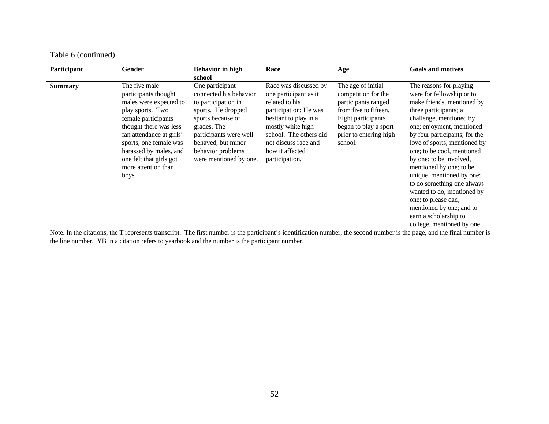| Participant    | <b>Gender</b>            | <b>Behavior</b> in high | Race                   | Age                    | <b>Goals and motives</b>      |
|----------------|--------------------------|-------------------------|------------------------|------------------------|-------------------------------|
|                |                          | school                  |                        |                        |                               |
| <b>Summary</b> | The five male            | One participant         | Race was discussed by  | The age of initial     | The reasons for playing       |
|                | participants thought     | connected his behavior  | one participant as it  | competition for the    | were for fellowship or to     |
|                | males were expected to   | to participation in     | related to his         | participants ranged    | make friends, mentioned by    |
|                | play sports. Two         | sports. He dropped      | participation: He was  | from five to fifteen.  | three participants; a         |
|                | female participants      | sports because of       | hesitant to play in a  | Eight participants     | challenge, mentioned by       |
|                | thought there was less   | grades. The             | mostly white high      | began to play a sport  | one; enjoyment, mentioned     |
|                | fan attendance at girls' | participants were well  | school. The others did | prior to entering high | by four participants; for the |
|                | sports, one female was   | behaved, but minor      | not discuss race and   | school.                | love of sports, mentioned by  |
|                | harassed by males, and   | behavior problems       | how it affected        |                        | one; to be cool, mentioned    |
|                | one felt that girls got  | were mentioned by one.  | participation.         |                        | by one; to be involved,       |
|                | more attention than      |                         |                        |                        | mentioned by one; to be       |
|                | boys.                    |                         |                        |                        | unique, mentioned by one;     |
|                |                          |                         |                        |                        | to do something one always    |
|                |                          |                         |                        |                        | wanted to do, mentioned by    |
|                |                          |                         |                        |                        | one; to please dad,           |
|                |                          |                         |                        |                        | mentioned by one; and to      |
|                |                          |                         |                        |                        | earn a scholarship to         |
|                |                          |                         |                        |                        | college, mentioned by one.    |

Note. In the citations, the T represents transcript. The first number is the participant's identification number, the second number is the page, and the final number is the line number. YB in a citation refers to yearbook and the number is the participant number.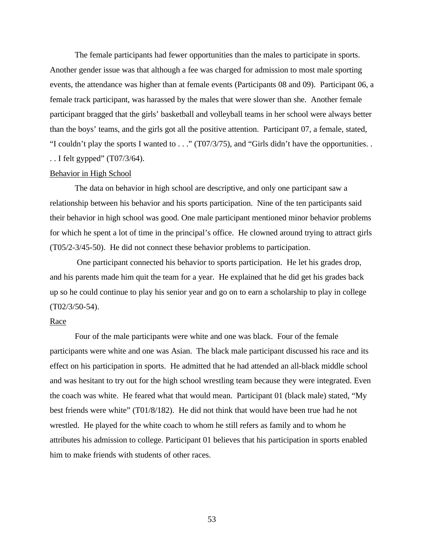The female participants had fewer opportunities than the males to participate in sports. Another gender issue was that although a fee was charged for admission to most male sporting events, the attendance was higher than at female events (Participants 08 and 09). Participant 06, a female track participant, was harassed by the males that were slower than she. Another female participant bragged that the girls' basketball and volleyball teams in her school were always better than the boys' teams, and the girls got all the positive attention. Participant 07, a female, stated, "I couldn't play the sports I wanted to . . ." (T07/3/75), and "Girls didn't have the opportunities. . . . I felt gypped" (T07/3/64).

# Behavior in High School

The data on behavior in high school are descriptive, and only one participant saw a relationship between his behavior and his sports participation. Nine of the ten participants said their behavior in high school was good. One male participant mentioned minor behavior problems for which he spent a lot of time in the principal's office. He clowned around trying to attract girls (T05/2-3/45-50). He did not connect these behavior problems to participation.

 One participant connected his behavior to sports participation. He let his grades drop, and his parents made him quit the team for a year. He explained that he did get his grades back up so he could continue to play his senior year and go on to earn a scholarship to play in college (T02/3/50-54).

### Race

Four of the male participants were white and one was black. Four of the female participants were white and one was Asian. The black male participant discussed his race and its effect on his participation in sports. He admitted that he had attended an all-black middle school and was hesitant to try out for the high school wrestling team because they were integrated. Even the coach was white. He feared what that would mean. Participant 01 (black male) stated, "My best friends were white" (T01/8/182). He did not think that would have been true had he not wrestled. He played for the white coach to whom he still refers as family and to whom he attributes his admission to college. Participant 01 believes that his participation in sports enabled him to make friends with students of other races.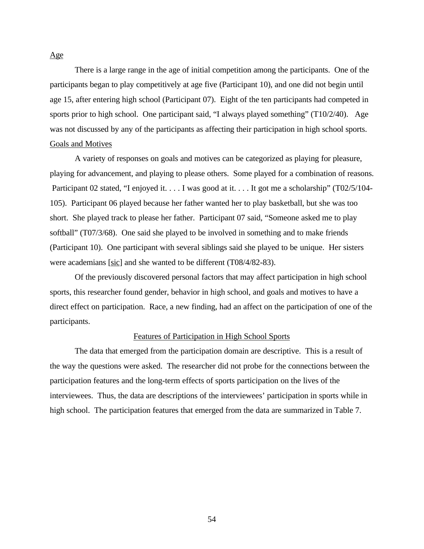There is a large range in the age of initial competition among the participants. One of the participants began to play competitively at age five (Participant 10), and one did not begin until age 15, after entering high school (Participant 07). Eight of the ten participants had competed in sports prior to high school. One participant said, "I always played something" (T10/2/40). Age was not discussed by any of the participants as affecting their participation in high school sports. Goals and Motives

A variety of responses on goals and motives can be categorized as playing for pleasure, playing for advancement, and playing to please others. Some played for a combination of reasons. Participant 02 stated, "I enjoyed it. . . . I was good at it. . . . It got me a scholarship" (T02/5/104-105). Participant 06 played because her father wanted her to play basketball, but she was too short. She played track to please her father. Participant 07 said, "Someone asked me to play softball" (T07/3/68). One said she played to be involved in something and to make friends (Participant 10). One participant with several siblings said she played to be unique. Her sisters were academians [sic] and she wanted to be different (T08/4/82-83).

Of the previously discovered personal factors that may affect participation in high school sports, this researcher found gender, behavior in high school, and goals and motives to have a direct effect on participation. Race, a new finding, had an affect on the participation of one of the participants.

### Features of Participation in High School Sports

The data that emerged from the participation domain are descriptive. This is a result of the way the questions were asked. The researcher did not probe for the connections between the participation features and the long-term effects of sports participation on the lives of the interviewees. Thus, the data are descriptions of the interviewees' participation in sports while in high school. The participation features that emerged from the data are summarized in Table 7.

#### Age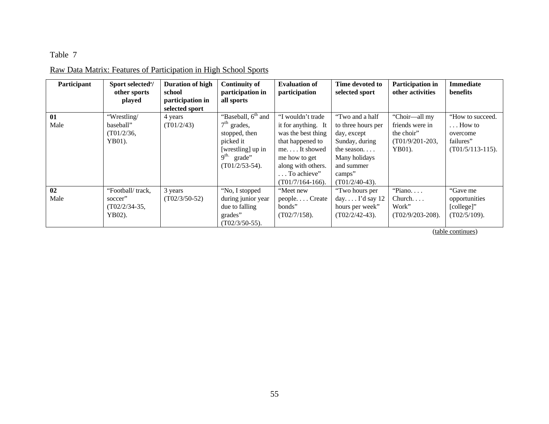# Table 7

# Raw Data Matrix: Features of Participation in High School Sports

| Participant | Sport selected <sup>a</sup> / | <b>Duration of high</b> | <b>Continuity of</b>           | <b>Evaluation of</b> | Time devoted to       | Participation in    | <b>Immediate</b>    |
|-------------|-------------------------------|-------------------------|--------------------------------|----------------------|-----------------------|---------------------|---------------------|
|             | other sports                  | school                  | participation in               | participation        | selected sport        | other activities    | benefits            |
|             | played                        | participation in        | all sports                     |                      |                       |                     |                     |
|             |                               | selected sport          |                                |                      |                       |                     |                     |
| 01          | "Wrestling/                   | 4 years                 | "Baseball, 6 <sup>th</sup> and | "I wouldn't trade    | "Two and a half       | "Choir—all my       | "How to succeed.    |
| Male        | baseball"                     | (T01/2/43)              | $7th$ grades,                  | it for anything. It  | to three hours per    | friends were in     | $\ldots$ How to     |
|             | (T01/2/36,                    |                         | stopped, then                  | was the best thing   | day, except           | the choir"          | overcome            |
|             | YB01).                        |                         | picked it                      | that happened to     | Sunday, during        | $(T01/9/201-203,$   | failures"           |
|             |                               |                         | [wrestling] up in              | meIt showed          | the season            | YB01).              | $(T01/5/113-115)$ . |
|             |                               |                         | $9^{\text{th}}$<br>grade"      | me how to get        | Many holidays         |                     |                     |
|             |                               |                         | $(T01/2/53-54)$ .              | along with others.   | and summer            |                     |                     |
|             |                               |                         |                                | To achieve"          | camps"                |                     |                     |
|             |                               |                         |                                | $(T01/7/164-166)$ .  | $(T01/2/40-43)$ .     |                     |                     |
| 02          | "Football/track,              | 3 years                 | "No, I stopped                 | "Meet new            | "Two hours per        | "Piano              | "Gave me            |
| Male        | soccer"                       | $(T02/3/50-52)$         | during junior year             | peopleCreate         | day $\Gamma$ d say 12 | Church. $\ldots$    | opportunities       |
|             | $(T02/2/34-35,$               |                         | due to falling                 | bonds"               | hours per week"       | Work"               | [college]"          |
|             | YB02).                        |                         | grades"                        | $(T02/7/158)$ .      | $(T02/2/42-43)$ .     | $(T02/9/203-208)$ . | $(T02/5/109)$ .     |
|             |                               |                         | $(T02/3/50-55)$ .              |                      |                       |                     |                     |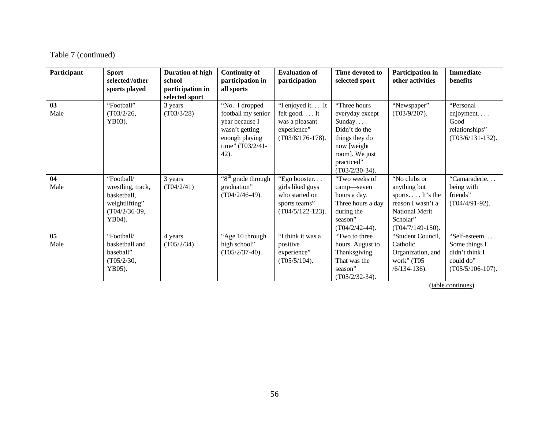| Participant | <b>Sport</b><br>selected <sup>a</sup> /other<br>sports played                                 | <b>Duration of high</b><br>school<br>participation in<br>selected sport | <b>Continuity of</b><br>participation in<br>all sports                                                                    | <b>Evaluation of</b><br>participation                                                      | Time devoted to<br>selected sport                                                                                                                 | Participation in<br>other activities                                                                                      | <b>Immediate</b><br><b>benefits</b>                                                 |
|-------------|-----------------------------------------------------------------------------------------------|-------------------------------------------------------------------------|---------------------------------------------------------------------------------------------------------------------------|--------------------------------------------------------------------------------------------|---------------------------------------------------------------------------------------------------------------------------------------------------|---------------------------------------------------------------------------------------------------------------------------|-------------------------------------------------------------------------------------|
| 03<br>Male  | "Football"<br>(T03/2/26,<br>YB03).                                                            | 3 years<br>(T03/3/28)                                                   | "No. I dropped<br>football my senior<br>year because I<br>wasn't getting<br>enough playing<br>time" $(T03/2/41 -$<br>42). | "I enjoyed it It<br>felt good It<br>was a pleasant<br>experience"<br>$(T03/8/176-178).$    | "Three hours<br>everyday except<br>Sunday<br>Didn't do the<br>things they do<br>now [weight]<br>room]. We just<br>practiced"<br>$(T03/2/30-34)$ . | "Newspaper"<br>$(T03/9/207)$ .                                                                                            | "Personal<br>enjoyment. $\ldots$<br>Good<br>relationships"<br>$(T03/6/131-132)$ .   |
| 04<br>Male  | "Football/<br>wrestling, track,<br>basketball,<br>weightlifting"<br>$(T04/2/36-39,$<br>YB04). | 3 years<br>(T04/2/41)                                                   | "8 <sup>th</sup> grade through<br>graduation"<br>$(T04/2/46-49)$ .                                                        | "Ego booster<br>girls liked guys<br>who started on<br>sports teams"<br>$(T04/5/122-123)$ . | "Two weeks of<br>camp-seven<br>hours a day.<br>Three hours a day<br>during the<br>season"<br>$(T04/2/42-44)$ .                                    | "No clubs or<br>anything but<br>sports It's the<br>reason I wasn't a<br>National Merit<br>Scholar"<br>$(T04/7/149-150)$ . | "Camaraderie<br>being with<br>friends"<br>$(T04/4/91-92)$ .                         |
| 05<br>Male  | "Football/<br>basketball and<br>baseball"<br>(T05/2/30,<br>YB05).                             | 4 years<br>(T05/2/34)                                                   | "Age 10 through<br>high school"<br>$(T05/2/37-40)$ .                                                                      | "I think it was a<br>positive<br>experience"<br>$(T05/5/104)$ .                            | "Two to three"<br>hours August to<br>Thanksgiving.<br>That was the<br>season"<br>$(T05/2/32-34)$ .                                                | "Student Council,<br>Catholic<br>Organization, and<br>work" (T05<br>$/6/134-136$ .                                        | "Self-esteem<br>Some things I<br>didn't think I<br>could do"<br>$(T05/5/106-107)$ . |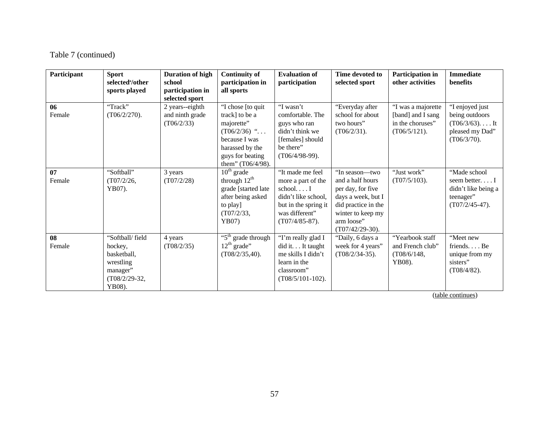| Participant  | <b>Sport</b><br>selected <sup>a</sup> /other<br>sports played                                   | <b>Duration of high</b><br>school<br>participation in | <b>Continuity of</b><br>participation in<br>all sports                                                                                           | <b>Evaluation of</b><br>participation                                                                                                      | Time devoted to<br>selected sport                                                                                                                             | Participation in<br>other activities                                           | <b>Immediate</b><br>benefits                                                              |
|--------------|-------------------------------------------------------------------------------------------------|-------------------------------------------------------|--------------------------------------------------------------------------------------------------------------------------------------------------|--------------------------------------------------------------------------------------------------------------------------------------------|---------------------------------------------------------------------------------------------------------------------------------------------------------------|--------------------------------------------------------------------------------|-------------------------------------------------------------------------------------------|
|              |                                                                                                 | selected sport                                        |                                                                                                                                                  |                                                                                                                                            |                                                                                                                                                               |                                                                                |                                                                                           |
| 06<br>Female | "Track"<br>$(T06/2/270)$ .                                                                      | 2 years--eighth<br>and ninth grade<br>(T06/2/33)      | "I chose [to quit<br>track] to be a<br>majorette"<br>$(T06/2/36)$ "<br>because I was<br>harassed by the<br>guys for beating<br>them" (T06/4/98). | "I wasn't<br>comfortable. The<br>guys who ran<br>didn't think we<br>[females] should<br>be there"<br>$(T06/4/98-99)$ .                     | "Everyday after<br>school for about<br>two hours"<br>(T06/2/31).                                                                                              | "I was a majorette<br>[band] and I sang<br>in the choruses"<br>$(T06/5/121)$ . | "I enjoyed just<br>being outdoors<br>$(T06/3/63)$ It<br>pleased my Dad"<br>$(T06/3/70)$ . |
| 07<br>Female | "Softball"<br>(T07/2/26,<br>YB07).                                                              | 3 years<br>(T07/2/28)                                 | $10^{th}$ grade<br>through $12^{\text{th}}$<br>grade [started late<br>after being asked<br>to play]<br>(T07/2/33,<br>YB07                        | "It made me feel<br>more a part of the<br>school $I$<br>didn't like school.<br>but in the spring it<br>was different"<br>$(T07/4/85-87)$ . | "In season—two<br>and a half hours<br>per day, for five<br>days a week, but I<br>did practice in the<br>winter to keep my<br>arm loose"<br>$(T07/42/29-30)$ . | "Just work"<br>$(T07/5/103)$ .                                                 | "Made school<br>seem betterI<br>didn't like being a<br>teenager"<br>$(T07/2/45-47)$ .     |
| 08<br>Female | "Softball/field<br>hockey,<br>basketball,<br>wrestling<br>manager"<br>$(T08/2/29-32,$<br>YB08). | 4 years<br>(T08/2/35)                                 | "5 <sup>th</sup> grade through<br>$12th$ grade"<br>$(T08/2/35,40)$ .                                                                             | "I'm really glad I<br>did it. It taught<br>me skills I didn't<br>learn in the<br>classroom"<br>$(T08/5/101-102)$ .                         | "Daily, 6 days a<br>week for 4 years"<br>$(T08/2/34-35)$ .                                                                                                    | "Yearbook staff<br>and French club"<br>(T08/6/148,<br>YB08).                   | "Meet new<br>friendsBe<br>unique from my<br>sisters"<br>$(T08/4/82)$ .                    |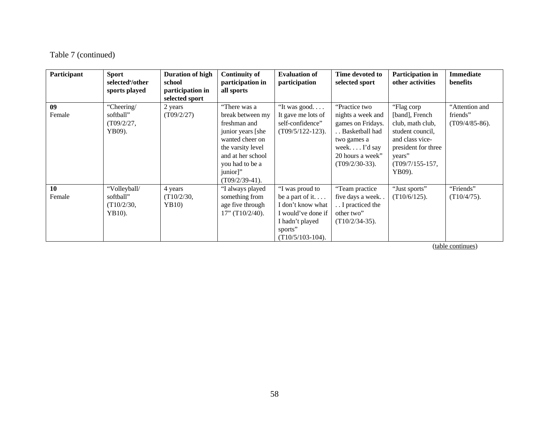| Participant  | <b>Sport</b><br>selected <sup>a</sup> /other<br>sports played | <b>Duration of high</b><br>school<br>participation in<br>selected sport | <b>Continuity of</b><br>participation in<br>all sports                                                                                                                                 | <b>Evaluation of</b><br>participation                                                                                              | Time devoted to<br>selected sport                                                                                                                       | Participation in<br>other activities                                                                                                                    | <b>Immediate</b><br>benefits                    |
|--------------|---------------------------------------------------------------|-------------------------------------------------------------------------|----------------------------------------------------------------------------------------------------------------------------------------------------------------------------------------|------------------------------------------------------------------------------------------------------------------------------------|---------------------------------------------------------------------------------------------------------------------------------------------------------|---------------------------------------------------------------------------------------------------------------------------------------------------------|-------------------------------------------------|
| 09<br>Female | "Cheering/<br>softball"<br>(T09/2/27,<br>YB09).               | 2 years<br>(T09/2/27)                                                   | "There was a<br>break between my<br>freshman and<br>junior years [she<br>wanted cheer on<br>the varsity level<br>and at her school<br>you had to be a<br>junior]"<br>$(T09/2/39-41)$ . | "It was good<br>It gave me lots of<br>self-confidence"<br>$(T09/5/122-123)$ .                                                      | "Practice two<br>nights a week and<br>games on Fridays.<br>. . Basketball had<br>two games a<br>week $I'd$ say<br>20 hours a week"<br>$(T09/2/30-33)$ . | "Flag corp<br>[band], French<br>club, math club,<br>student council,<br>and class vice-<br>president for three<br>years"<br>$(T09/7/155-157,$<br>YB09). | "Attention and<br>friends"<br>$(T09/4/85-86)$ . |
| 10<br>Female | "Volleyball/<br>softball"<br>(T10/2/30,<br>YB10).             | 4 years<br>(T10/2/30,<br>YB10)                                          | "I always played<br>something from<br>age five through<br>$17"$ (T $10/2/40$ ).                                                                                                        | "I was proud to<br>be a part of it<br>I don't know what<br>I would've done if<br>I hadn't played<br>sports"<br>$(T10/5/103-104)$ . | "Team practice<br>five days a week<br>I practiced the<br>other two"<br>$(T10/2/34-35)$ .                                                                | "Just sports"<br>$(T10/6/125)$ .                                                                                                                        | "Friends"<br>$(T10/4/75)$ .                     |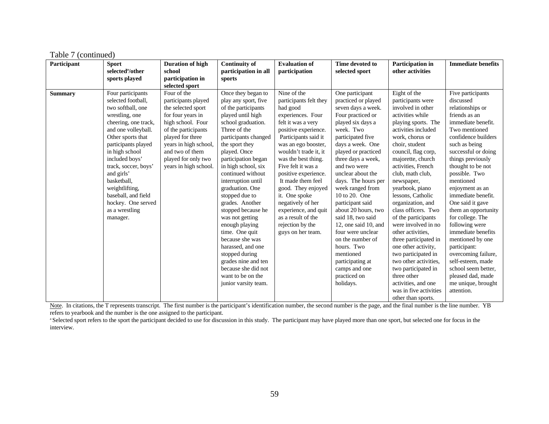| Participant    | <b>Sport</b><br>selected <sup>a</sup> /other                                                                                                                                                                                                                                                                                                                                     | <b>Duration of high</b><br>school                                                                                                                                                                                                                                               | <b>Continuity of</b>                                                                                                                                                                                                                                                                                                                                                                                                                                                                                                                                                                | <b>Evaluation of</b>                                                                                                                                                                                                                                                                                                                                                                                                                      | Time devoted to                                                                                                                                                                                                                                                                                                                                                                                                                                                                                                                          | Participation in<br>other activities                                                                                                                                                                                                                                                                                                                                                                                                                                                                                                                                                                            | <b>Immediate benefits</b>                                                                                                                                                                                                                                                                                                                                                                                                                                                                                                                                         |
|----------------|----------------------------------------------------------------------------------------------------------------------------------------------------------------------------------------------------------------------------------------------------------------------------------------------------------------------------------------------------------------------------------|---------------------------------------------------------------------------------------------------------------------------------------------------------------------------------------------------------------------------------------------------------------------------------|-------------------------------------------------------------------------------------------------------------------------------------------------------------------------------------------------------------------------------------------------------------------------------------------------------------------------------------------------------------------------------------------------------------------------------------------------------------------------------------------------------------------------------------------------------------------------------------|-------------------------------------------------------------------------------------------------------------------------------------------------------------------------------------------------------------------------------------------------------------------------------------------------------------------------------------------------------------------------------------------------------------------------------------------|------------------------------------------------------------------------------------------------------------------------------------------------------------------------------------------------------------------------------------------------------------------------------------------------------------------------------------------------------------------------------------------------------------------------------------------------------------------------------------------------------------------------------------------|-----------------------------------------------------------------------------------------------------------------------------------------------------------------------------------------------------------------------------------------------------------------------------------------------------------------------------------------------------------------------------------------------------------------------------------------------------------------------------------------------------------------------------------------------------------------------------------------------------------------|-------------------------------------------------------------------------------------------------------------------------------------------------------------------------------------------------------------------------------------------------------------------------------------------------------------------------------------------------------------------------------------------------------------------------------------------------------------------------------------------------------------------------------------------------------------------|
|                |                                                                                                                                                                                                                                                                                                                                                                                  |                                                                                                                                                                                                                                                                                 | participation in all                                                                                                                                                                                                                                                                                                                                                                                                                                                                                                                                                                | participation                                                                                                                                                                                                                                                                                                                                                                                                                             | selected sport                                                                                                                                                                                                                                                                                                                                                                                                                                                                                                                           |                                                                                                                                                                                                                                                                                                                                                                                                                                                                                                                                                                                                                 |                                                                                                                                                                                                                                                                                                                                                                                                                                                                                                                                                                   |
|                |                                                                                                                                                                                                                                                                                                                                                                                  |                                                                                                                                                                                                                                                                                 |                                                                                                                                                                                                                                                                                                                                                                                                                                                                                                                                                                                     |                                                                                                                                                                                                                                                                                                                                                                                                                                           |                                                                                                                                                                                                                                                                                                                                                                                                                                                                                                                                          |                                                                                                                                                                                                                                                                                                                                                                                                                                                                                                                                                                                                                 |                                                                                                                                                                                                                                                                                                                                                                                                                                                                                                                                                                   |
| <b>Summary</b> | sports played<br>Four participants<br>selected football,<br>two softball, one<br>wrestling, one<br>cheering, one track,<br>and one volleyball.<br>Other sports that<br>participants played<br>in high school<br>included boys'<br>track, soccer, boys'<br>and girls'<br>basketball.<br>weightlifting,<br>baseball, and field<br>hockey. One served<br>as a wrestling<br>manager. | participation in<br>selected sport<br>Four of the<br>participants played<br>the selected sport<br>for four years in<br>high school. Four<br>of the participants<br>played for three<br>years in high school,<br>and two of them<br>played for only two<br>years in high school. | sports<br>Once they began to<br>play any sport, five<br>of the participants<br>played until high<br>school graduation.<br>Three of the<br>participants changed<br>the sport they<br>played. Once<br>participation began<br>in high school, six<br>continued without<br>interruption until<br>graduation. One<br>stopped due to<br>grades. Another<br>stopped because he<br>was not getting<br>enough playing<br>time. One quit<br>because she was<br>harassed, and one<br>stopped during<br>grades nine and ten<br>because she did not<br>want to be on the<br>junior varsity team. | Nine of the<br>participants felt they<br>had good<br>experiences. Four<br>felt it was a very<br>positive experience.<br>Participants said it<br>was an ego booster,<br>wouldn't trade it, it<br>was the best thing.<br>Five felt it was a<br>positive experience.<br>It made them feel<br>good. They enjoyed<br>it. One spoke<br>negatively of her<br>experience, and quit<br>as a result of the<br>rejection by the<br>guys on her team. | One participant<br>practiced or played<br>seven days a week.<br>Four practiced or<br>played six days a<br>week. Two<br>participated five<br>days a week. One<br>played or practiced<br>three days a week,<br>and two were<br>unclear about the<br>days. The hours per<br>week ranged from<br>10 to 20. One<br>participant said<br>about 20 hours, two<br>said 18, two said<br>12, one said 10, and<br>four were unclear<br>on the number of<br>hours. Two<br>mentioned<br>participating at<br>camps and one<br>practiced on<br>holidays. | Eight of the<br>participants were<br>involved in other<br>activities while<br>playing sports. The<br>activities included<br>work, chorus or<br>choir, student<br>council, flag corp,<br>majorette, church<br>activities, French<br>club, math club,<br>newspaper,<br>yearbook, piano<br>lessons, Catholic<br>organization, and<br>class officers. Two<br>of the participants<br>were involved in no<br>other activities.<br>three participated in<br>one other activity,<br>two participated in<br>two other activities,<br>two participated in<br>three other<br>activities, and one<br>was in five activities | Five participants<br>discussed<br>relationships or<br>friends as an<br>immediate benefit.<br>Two mentioned<br>confidence builders<br>such as being<br>successful or doing<br>things previously<br>thought to be not<br>possible. Two<br>mentioned<br>enjoyment as an<br>immediate benefit.<br>One said it gave<br>them an opportunity<br>for college. The<br>following were<br>immediate benefits<br>mentioned by one<br>participant:<br>overcoming failure,<br>self-esteem, made<br>school seem better,<br>pleased dad, made<br>me unique, brought<br>attention. |
|                |                                                                                                                                                                                                                                                                                                                                                                                  |                                                                                                                                                                                                                                                                                 |                                                                                                                                                                                                                                                                                                                                                                                                                                                                                                                                                                                     |                                                                                                                                                                                                                                                                                                                                                                                                                                           |                                                                                                                                                                                                                                                                                                                                                                                                                                                                                                                                          | other than sports.                                                                                                                                                                                                                                                                                                                                                                                                                                                                                                                                                                                              |                                                                                                                                                                                                                                                                                                                                                                                                                                                                                                                                                                   |

Note. In citations, the T represents transcript. The first number is the participant's identification number, the second number is the page, and the final number is the line number. YB refers to yearbook and the number is the one assigned to the participant.

<sup>a</sup> Selected sport refers to the sport the participant decided to use for discussion in this study. The participant may have played more than one sport, but selected one for focus in the interview.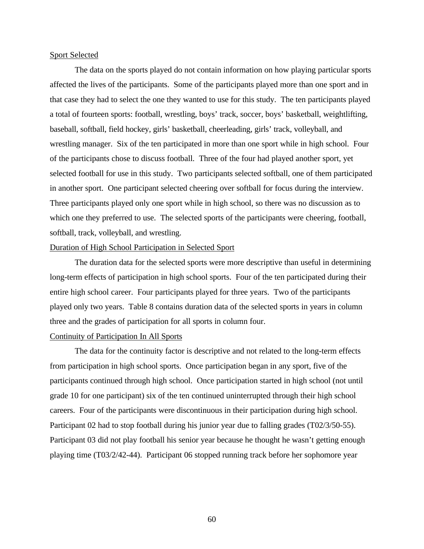## Sport Selected

The data on the sports played do not contain information on how playing particular sports affected the lives of the participants. Some of the participants played more than one sport and in that case they had to select the one they wanted to use for this study. The ten participants played a total of fourteen sports: football, wrestling, boys' track, soccer, boys' basketball, weightlifting, baseball, softball, field hockey, girls' basketball, cheerleading, girls' track, volleyball, and wrestling manager. Six of the ten participated in more than one sport while in high school. Four of the participants chose to discuss football. Three of the four had played another sport, yet selected football for use in this study. Two participants selected softball, one of them participated in another sport. One participant selected cheering over softball for focus during the interview. Three participants played only one sport while in high school, so there was no discussion as to which one they preferred to use. The selected sports of the participants were cheering, football, softball, track, volleyball, and wrestling.

## Duration of High School Participation in Selected Sport

The duration data for the selected sports were more descriptive than useful in determining long-term effects of participation in high school sports. Four of the ten participated during their entire high school career. Four participants played for three years. Two of the participants played only two years. Table 8 contains duration data of the selected sports in years in column three and the grades of participation for all sports in column four.

## Continuity of Participation In All Sports

The data for the continuity factor is descriptive and not related to the long-term effects from participation in high school sports. Once participation began in any sport, five of the participants continued through high school. Once participation started in high school (not until grade 10 for one participant) six of the ten continued uninterrupted through their high school careers. Four of the participants were discontinuous in their participation during high school. Participant 02 had to stop football during his junior year due to falling grades (T02/3/50-55). Participant 03 did not play football his senior year because he thought he wasn't getting enough playing time (T03/2/42-44). Participant 06 stopped running track before her sophomore year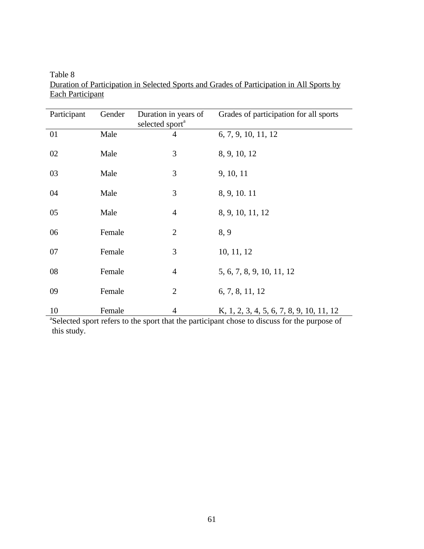| Participant | Gender | Duration in years of<br>selected sport <sup>a</sup> | Grades of participation for all sports   |
|-------------|--------|-----------------------------------------------------|------------------------------------------|
| 01          | Male   | $\overline{4}$                                      | 6, 7, 9, 10, 11, 12                      |
| 02          | Male   | 3                                                   | 8, 9, 10, 12                             |
| 03          | Male   | 3                                                   | 9, 10, 11                                |
| 04          | Male   | 3                                                   | 8, 9, 10. 11                             |
| 05          | Male   | $\overline{4}$                                      | 8, 9, 10, 11, 12                         |
| 06          | Female | $\overline{2}$                                      | 8, 9                                     |
| 07          | Female | 3                                                   | 10, 11, 12                               |
| 08          | Female | $\overline{4}$                                      | 5, 6, 7, 8, 9, 10, 11, 12                |
| 09          | Female | $\overline{2}$                                      | 6, 7, 8, 11, 12                          |
| 10          | Female | $\overline{4}$                                      | K, 1, 2, 3, 4, 5, 6, 7, 8, 9, 10, 11, 12 |

Table 8 Duration of Participation in Selected Sports and Grades of Participation in All Sports by Each Participant

<sup>a</sup>Selected sport refers to the sport that the participant chose to discuss for the purpose of this study.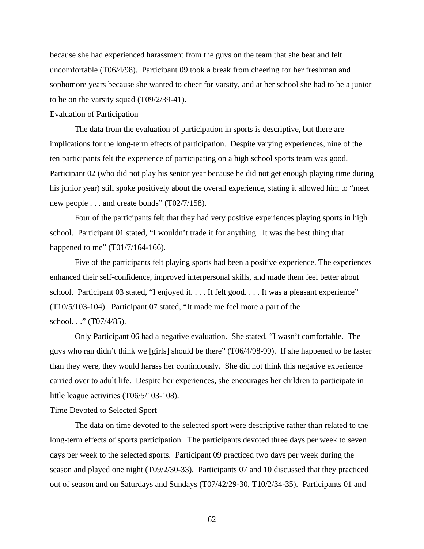because she had experienced harassment from the guys on the team that she beat and felt uncomfortable (T06/4/98). Participant 09 took a break from cheering for her freshman and sophomore years because she wanted to cheer for varsity, and at her school she had to be a junior to be on the varsity squad (T09/2/39-41).

## Evaluation of Participation

The data from the evaluation of participation in sports is descriptive, but there are implications for the long-term effects of participation. Despite varying experiences, nine of the ten participants felt the experience of participating on a high school sports team was good. Participant 02 (who did not play his senior year because he did not get enough playing time during his junior year) still spoke positively about the overall experience, stating it allowed him to "meet new people . . . and create bonds" (T02/7/158).

Four of the participants felt that they had very positive experiences playing sports in high school. Participant 01 stated, "I wouldn't trade it for anything. It was the best thing that happened to me" (T01/7/164-166).

Five of the participants felt playing sports had been a positive experience. The experiences enhanced their self-confidence, improved interpersonal skills, and made them feel better about school. Participant 03 stated, "I enjoyed it. . . . It felt good. . . . It was a pleasant experience" (T10/5/103-104). Participant 07 stated, "It made me feel more a part of the school. . ." (T07/4/85).

Only Participant 06 had a negative evaluation. She stated, "I wasn't comfortable. The guys who ran didn't think we [girls] should be there" (T06/4/98-99). If she happened to be faster than they were, they would harass her continuously. She did not think this negative experience carried over to adult life. Despite her experiences, she encourages her children to participate in little league activities (T06/5/103-108).

### Time Devoted to Selected Sport

The data on time devoted to the selected sport were descriptive rather than related to the long-term effects of sports participation. The participants devoted three days per week to seven days per week to the selected sports. Participant 09 practiced two days per week during the season and played one night (T09/2/30-33). Participants 07 and 10 discussed that they practiced out of season and on Saturdays and Sundays (T07/42/29-30, T10/2/34-35). Participants 01 and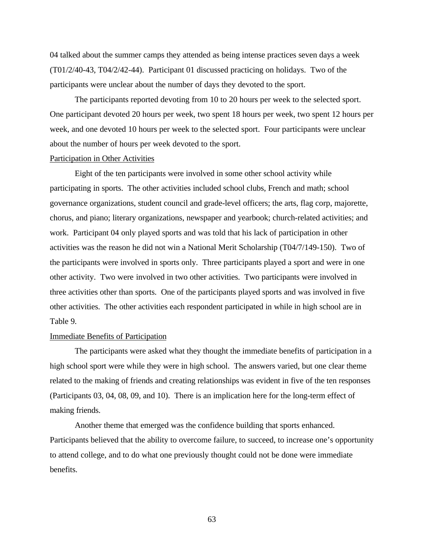04 talked about the summer camps they attended as being intense practices seven days a week (T01/2/40-43, T04/2/42-44). Participant 01 discussed practicing on holidays. Two of the participants were unclear about the number of days they devoted to the sport.

The participants reported devoting from 10 to 20 hours per week to the selected sport. One participant devoted 20 hours per week, two spent 18 hours per week, two spent 12 hours per week, and one devoted 10 hours per week to the selected sport. Four participants were unclear about the number of hours per week devoted to the sport.

#### Participation in Other Activities

Eight of the ten participants were involved in some other school activity while participating in sports. The other activities included school clubs, French and math; school governance organizations, student council and grade-level officers; the arts, flag corp, majorette, chorus, and piano; literary organizations, newspaper and yearbook; church-related activities; and work. Participant 04 only played sports and was told that his lack of participation in other activities was the reason he did not win a National Merit Scholarship (T04/7/149-150). Two of the participants were involved in sports only. Three participants played a sport and were in one other activity. Two were involved in two other activities. Two participants were involved in three activities other than sports. One of the participants played sports and was involved in five other activities. The other activities each respondent participated in while in high school are in Table 9.

### Immediate Benefits of Participation

The participants were asked what they thought the immediate benefits of participation in a high school sport were while they were in high school. The answers varied, but one clear theme related to the making of friends and creating relationships was evident in five of the ten responses (Participants 03, 04, 08, 09, and 10). There is an implication here for the long-term effect of making friends.

Another theme that emerged was the confidence building that sports enhanced. Participants believed that the ability to overcome failure, to succeed, to increase one's opportunity to attend college, and to do what one previously thought could not be done were immediate benefits.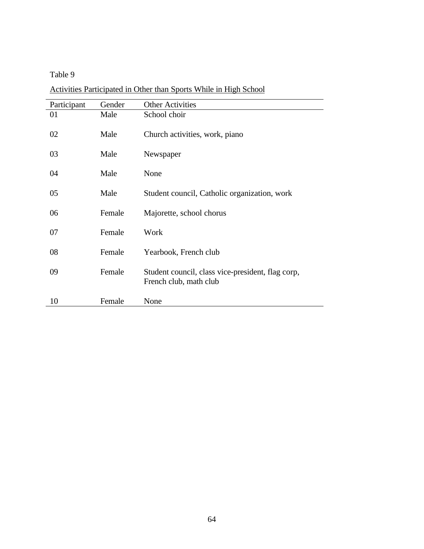Table 9

Activities Participated in Other than Sports While in High School

| Participant | Gender | <b>Other Activities</b>                                                     |
|-------------|--------|-----------------------------------------------------------------------------|
| 01          | Male   | School choir                                                                |
| 02          | Male   | Church activities, work, piano                                              |
| 03          | Male   | Newspaper                                                                   |
| 04          | Male   | None                                                                        |
| 05          | Male   | Student council, Catholic organization, work                                |
| 06          | Female | Majorette, school chorus                                                    |
| 07          | Female | Work                                                                        |
| 08          | Female | Yearbook, French club                                                       |
| 09          | Female | Student council, class vice-president, flag corp,<br>French club, math club |
| 10          | Female | None                                                                        |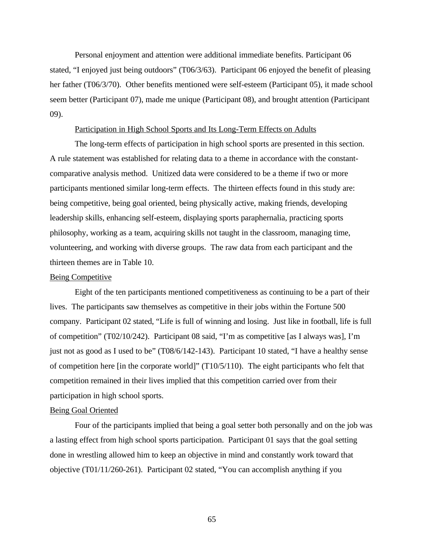Personal enjoyment and attention were additional immediate benefits. Participant 06 stated, "I enjoyed just being outdoors" (T06/3/63). Participant 06 enjoyed the benefit of pleasing her father (T06/3/70). Other benefits mentioned were self-esteem (Participant 05), it made school seem better (Participant 07), made me unique (Participant 08), and brought attention (Participant 09).

#### Participation in High School Sports and Its Long-Term Effects on Adults

The long-term effects of participation in high school sports are presented in this section. A rule statement was established for relating data to a theme in accordance with the constantcomparative analysis method. Unitized data were considered to be a theme if two or more participants mentioned similar long-term effects. The thirteen effects found in this study are: being competitive, being goal oriented, being physically active, making friends, developing leadership skills, enhancing self-esteem, displaying sports paraphernalia, practicing sports philosophy, working as a team, acquiring skills not taught in the classroom, managing time, volunteering, and working with diverse groups. The raw data from each participant and the thirteen themes are in Table 10.

#### Being Competitive

Eight of the ten participants mentioned competitiveness as continuing to be a part of their lives. The participants saw themselves as competitive in their jobs within the Fortune 500 company. Participant 02 stated, "Life is full of winning and losing. Just like in football, life is full of competition" (T02/10/242). Participant 08 said, "I'm as competitive [as I always was], I'm just not as good as I used to be" (T08/6/142-143). Participant 10 stated, "I have a healthy sense of competition here [in the corporate world]" (T10/5/110). The eight participants who felt that competition remained in their lives implied that this competition carried over from their participation in high school sports.

### Being Goal Oriented

Four of the participants implied that being a goal setter both personally and on the job was a lasting effect from high school sports participation. Participant 01 says that the goal setting done in wrestling allowed him to keep an objective in mind and constantly work toward that objective (T01/11/260-261). Participant 02 stated, "You can accomplish anything if you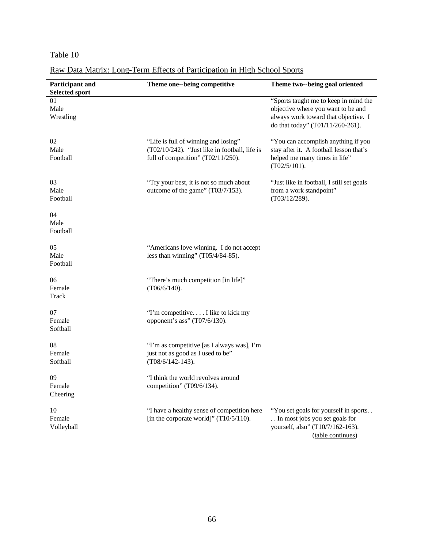# Table 10

Raw Data Matrix: Long-Term Effects of Participation in High School Sports

| Participant and<br><b>Selected sport</b> | Theme one--being competitive                                                                                                   | Theme two--being goal oriented                                                                                                                          |
|------------------------------------------|--------------------------------------------------------------------------------------------------------------------------------|---------------------------------------------------------------------------------------------------------------------------------------------------------|
| 01<br>Male<br>Wrestling                  |                                                                                                                                | "Sports taught me to keep in mind the<br>objective where you want to be and<br>always work toward that objective. I<br>do that today" (T01/11/260-261). |
| 02<br>Male<br>Football                   | "Life is full of winning and losing"<br>(T02/10/242). "Just like in football, life is<br>full of competition" $(T02/11/250)$ . | "You can accomplish anything if you<br>stay after it. A football lesson that's<br>helped me many times in life"<br>$(T02/5/101)$ .                      |
| 03<br>Male<br>Football                   | "Try your best, it is not so much about<br>outcome of the game" (T03/7/153).                                                   | "Just like in football, I still set goals<br>from a work standpoint"<br>(T03/12/289).                                                                   |
| 04<br>Male<br>Football                   |                                                                                                                                |                                                                                                                                                         |
| 05<br>Male<br>Football                   | "Americans love winning. I do not accept<br>less than winning" $(T05/4/84-85)$ .                                               |                                                                                                                                                         |
| 06<br>Female<br>Track                    | "There's much competition [in life]"<br>$(T06/6/140)$ .                                                                        |                                                                                                                                                         |
| 07<br>Female<br>Softball                 | "I'm competitive I like to kick my<br>opponent's ass" (T07/6/130).                                                             |                                                                                                                                                         |
| 08<br>Female<br>Softball                 | "I'm as competitive [as I always was], I'm<br>just not as good as I used to be"<br>$(T08/6/142-143).$                          |                                                                                                                                                         |
| 09<br>Female<br>Cheering                 | "I think the world revolves around<br>competition" (T09/6/134).                                                                |                                                                                                                                                         |
| 10<br>Female<br>Volleyball               | "I have a healthy sense of competition here<br>[in the corporate world]" $(T10/5/110)$ .                                       | "You set goals for yourself in sports<br>In most jobs you set goals for<br>yourself, also" (T10/7/162-163).<br>(table continues)                        |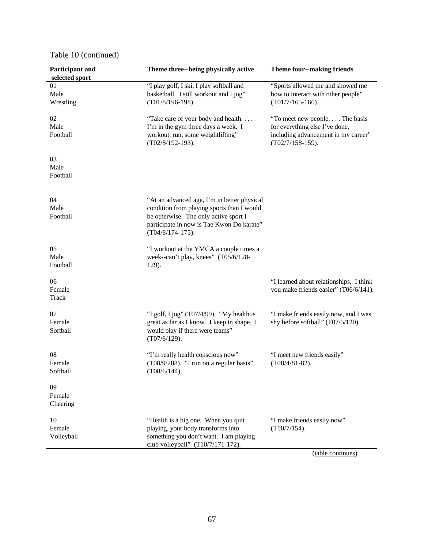| "I play golf, I ski, I play softball and<br>01<br>basketball. I still workout and I jog"<br>Male<br>$(T01/8/196-198).$<br>$(T01/7/165-166)$ .<br>Wrestling<br>02<br>"Take care of your body and health<br>Male<br>I'm in the gym three days a week. I<br>for everything else I've done,<br>workout, run, some weightlifting"<br>Football<br>(T02/8/192-193).<br>$(T02/7/158-159).$<br>03<br>Male<br>Football<br>04<br>"At an advanced age, I'm in better physical<br>Male<br>condition from playing sports than I would<br>be otherwise. The only active sport I<br>Football<br>participate in now is Tae Kwon Do karate"<br>$(T04/8/174-175)$ .<br>"I workout at the YMCA a couple times a<br>Male<br>week--can't play, knees" (T05/6/128-<br>Football<br>129).<br>06<br>Female<br>Track<br>"I golf, I jog" (T07/4/99). "My health is<br>great as far as I know. I keep in shape. I<br>shy before softball" (T07/5/120).<br>would play if there were teams"<br>Softball<br>(T07/6/129).<br>08<br>"I'm really health conscious now"<br>"I meet new friends easily"<br>(T08/9/208). "I run on a regular basis"<br>Female<br>$(T08/4/81-82)$ .<br>Softball<br>$(T08/6/144)$ .<br>09<br>Female<br>Cheering<br>10<br>"Health is a big one. When you quit<br>"I make friends easily now"<br>Female<br>playing, your body transforms into<br>$(T10/7/154)$ .<br>something you don't want. I am playing<br>Volleyball<br>club volleyball" (T10/7/171-172). | Participant and<br>selected sport | Theme three--being physically active | <b>Theme four--making friends</b>                                                |
|-----------------------------------------------------------------------------------------------------------------------------------------------------------------------------------------------------------------------------------------------------------------------------------------------------------------------------------------------------------------------------------------------------------------------------------------------------------------------------------------------------------------------------------------------------------------------------------------------------------------------------------------------------------------------------------------------------------------------------------------------------------------------------------------------------------------------------------------------------------------------------------------------------------------------------------------------------------------------------------------------------------------------------------------------------------------------------------------------------------------------------------------------------------------------------------------------------------------------------------------------------------------------------------------------------------------------------------------------------------------------------------------------------------------------------------------------------|-----------------------------------|--------------------------------------|----------------------------------------------------------------------------------|
|                                                                                                                                                                                                                                                                                                                                                                                                                                                                                                                                                                                                                                                                                                                                                                                                                                                                                                                                                                                                                                                                                                                                                                                                                                                                                                                                                                                                                                                     |                                   |                                      | "Sports allowed me and showed me<br>how to interact with other people"           |
|                                                                                                                                                                                                                                                                                                                                                                                                                                                                                                                                                                                                                                                                                                                                                                                                                                                                                                                                                                                                                                                                                                                                                                                                                                                                                                                                                                                                                                                     |                                   |                                      | "To meet new people The basis<br>including advancement in my career"             |
|                                                                                                                                                                                                                                                                                                                                                                                                                                                                                                                                                                                                                                                                                                                                                                                                                                                                                                                                                                                                                                                                                                                                                                                                                                                                                                                                                                                                                                                     |                                   |                                      |                                                                                  |
| 05<br>07<br>Female                                                                                                                                                                                                                                                                                                                                                                                                                                                                                                                                                                                                                                                                                                                                                                                                                                                                                                                                                                                                                                                                                                                                                                                                                                                                                                                                                                                                                                  |                                   |                                      |                                                                                  |
|                                                                                                                                                                                                                                                                                                                                                                                                                                                                                                                                                                                                                                                                                                                                                                                                                                                                                                                                                                                                                                                                                                                                                                                                                                                                                                                                                                                                                                                     |                                   |                                      |                                                                                  |
|                                                                                                                                                                                                                                                                                                                                                                                                                                                                                                                                                                                                                                                                                                                                                                                                                                                                                                                                                                                                                                                                                                                                                                                                                                                                                                                                                                                                                                                     |                                   |                                      | "I learned about relationships. I think<br>you make friends easier" (T06/6/141). |
|                                                                                                                                                                                                                                                                                                                                                                                                                                                                                                                                                                                                                                                                                                                                                                                                                                                                                                                                                                                                                                                                                                                                                                                                                                                                                                                                                                                                                                                     |                                   |                                      | "I make friends easily now, and I was                                            |
|                                                                                                                                                                                                                                                                                                                                                                                                                                                                                                                                                                                                                                                                                                                                                                                                                                                                                                                                                                                                                                                                                                                                                                                                                                                                                                                                                                                                                                                     |                                   |                                      |                                                                                  |
|                                                                                                                                                                                                                                                                                                                                                                                                                                                                                                                                                                                                                                                                                                                                                                                                                                                                                                                                                                                                                                                                                                                                                                                                                                                                                                                                                                                                                                                     |                                   |                                      |                                                                                  |
|                                                                                                                                                                                                                                                                                                                                                                                                                                                                                                                                                                                                                                                                                                                                                                                                                                                                                                                                                                                                                                                                                                                                                                                                                                                                                                                                                                                                                                                     |                                   |                                      |                                                                                  |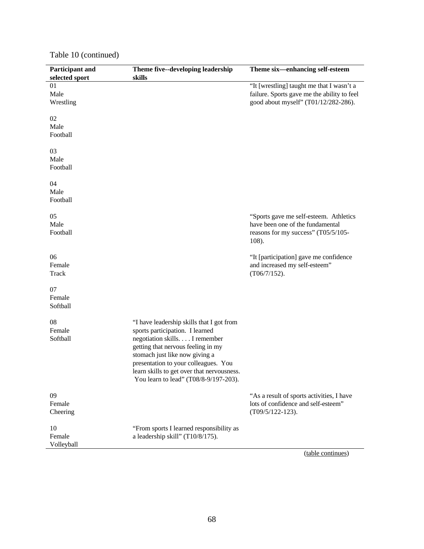| Participant and<br>selected sport | Theme five--developing leadership<br>skills                                                                                                                                                                                                                                                                           | Theme six-enhancing self-esteem                                                                                                  |
|-----------------------------------|-----------------------------------------------------------------------------------------------------------------------------------------------------------------------------------------------------------------------------------------------------------------------------------------------------------------------|----------------------------------------------------------------------------------------------------------------------------------|
| 01<br>Male<br>Wrestling           |                                                                                                                                                                                                                                                                                                                       | "It [wrestling] taught me that I wasn't a<br>failure. Sports gave me the ability to feel<br>good about myself" (T01/12/282-286). |
| 02<br>Male<br>Football            |                                                                                                                                                                                                                                                                                                                       |                                                                                                                                  |
| 03<br>Male<br>Football            |                                                                                                                                                                                                                                                                                                                       |                                                                                                                                  |
| 04<br>Male<br>Football            |                                                                                                                                                                                                                                                                                                                       |                                                                                                                                  |
| 05<br>Male<br>Football            |                                                                                                                                                                                                                                                                                                                       | "Sports gave me self-esteem. Athletics<br>have been one of the fundamental<br>reasons for my success" (T05/5/105-<br>108).       |
| 06<br>Female<br>Track             |                                                                                                                                                                                                                                                                                                                       | "It [participation] gave me confidence<br>and increased my self-esteem"<br>(T06/7/152).                                          |
| 07<br>Female<br>Softball          |                                                                                                                                                                                                                                                                                                                       |                                                                                                                                  |
| 08<br>Female<br>Softball          | "I have leadership skills that I got from<br>sports participation. I learned<br>negotiation skills. I remember<br>getting that nervous feeling in my<br>stomach just like now giving a<br>presentation to your colleagues. You<br>learn skills to get over that nervousness.<br>You learn to lead" (T08/8-9/197-203). |                                                                                                                                  |
| 09<br>Female<br>Cheering          |                                                                                                                                                                                                                                                                                                                       | "As a result of sports activities, I have<br>lots of confidence and self-esteem"<br>$(T09/5/122-123).$                           |
| 10<br>Female<br>Volleyball        | "From sports I learned responsibility as<br>a leadership skill" (T10/8/175).                                                                                                                                                                                                                                          |                                                                                                                                  |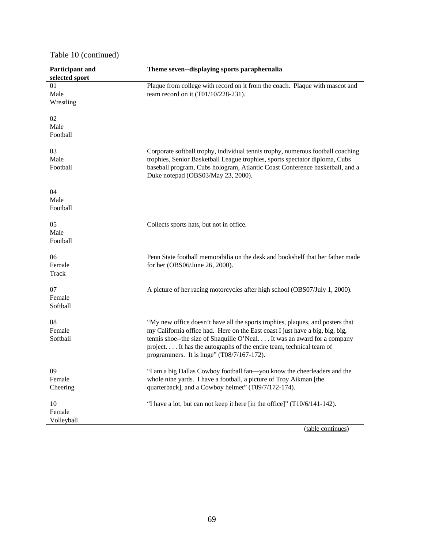| Participant and<br>selected sport | Theme seven--displaying sports paraphernalia                                                                                                                                                                                                                                                                                                                   |
|-----------------------------------|----------------------------------------------------------------------------------------------------------------------------------------------------------------------------------------------------------------------------------------------------------------------------------------------------------------------------------------------------------------|
| 01<br>Male<br>Wrestling           | Plaque from college with record on it from the coach. Plaque with mascot and<br>team record on it (T01/10/228-231).                                                                                                                                                                                                                                            |
| 02<br>Male<br>Football            |                                                                                                                                                                                                                                                                                                                                                                |
| 03<br>Male<br>Football            | Corporate softball trophy, individual tennis trophy, numerous football coaching<br>trophies, Senior Basketball League trophies, sports spectator diploma, Cubs<br>baseball program, Cubs hologram, Atlantic Coast Conference basketball, and a<br>Duke notepad (OBS03/May 23, 2000).                                                                           |
| 04<br>Male<br>Football            |                                                                                                                                                                                                                                                                                                                                                                |
| 05<br>Male<br>Football            | Collects sports hats, but not in office.                                                                                                                                                                                                                                                                                                                       |
| 06<br>Female<br>Track             | Penn State football memorabilia on the desk and bookshelf that her father made<br>for her (OBS06/June 26, 2000).                                                                                                                                                                                                                                               |
| 07<br>Female<br>Softball          | A picture of her racing motorcycles after high school (OBS07/July 1, 2000).                                                                                                                                                                                                                                                                                    |
| 08<br>Female<br>Softball          | "My new office doesn't have all the sports trophies, plaques, and posters that<br>my California office had. Here on the East coast I just have a big, big, big,<br>tennis shoe--the size of Shaquille O'Neal It was an award for a company<br>project It has the autographs of the entire team, technical team of<br>programmers. It is huge" (T08/7/167-172). |
| 09<br>Female<br>Cheering          | "I am a big Dallas Cowboy football fan—you know the cheerleaders and the<br>whole nine yards. I have a football, a picture of Troy Aikman [the<br>quarterback], and a Cowboy helmet" (T09/7/172-174).                                                                                                                                                          |
| 10<br>Female<br>Volleyball        | "I have a lot, but can not keep it here [in the office]" (T10/6/141-142).                                                                                                                                                                                                                                                                                      |
|                                   | (table continues)                                                                                                                                                                                                                                                                                                                                              |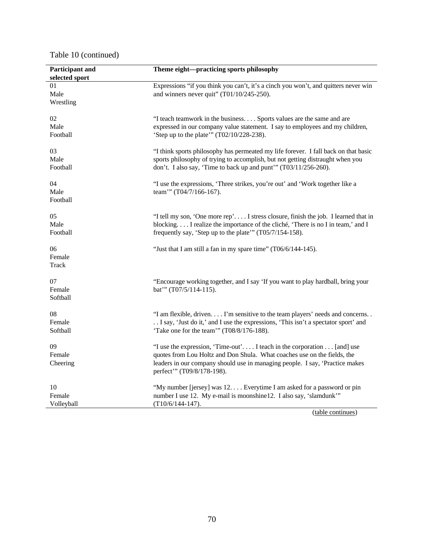| Participant and<br>selected sport | Theme eight-practicing sports philosophy                                                                                                                                                                                                                         |
|-----------------------------------|------------------------------------------------------------------------------------------------------------------------------------------------------------------------------------------------------------------------------------------------------------------|
| 01<br>Male<br>Wrestling           | Expressions "if you think you can't, it's a cinch you won't, and quitters never win<br>and winners never quit" (T01/10/245-250).                                                                                                                                 |
| 02<br>Male<br>Football            | "I teach teamwork in the business Sports values are the same and are<br>expressed in our company value statement. I say to employees and my children,<br>'Step up to the plate'" (T02/10/228-238).                                                               |
| 03<br>Male<br>Football            | "I think sports philosophy has permeated my life forever. I fall back on that basic<br>sports philosophy of trying to accomplish, but not getting distraught when you<br>don't. I also say, 'Time to back up and punt'" (T03/11/256-260).                        |
| 04<br>Male<br>Football            | "I use the expressions, 'Three strikes, you're out' and 'Work together like a<br>team"" (T04/7/166-167).                                                                                                                                                         |
| 05<br>Male<br>Football            | "I tell my son, 'One more rep' I stress closure, finish the job. I learned that in<br>blocking I realize the importance of the cliché, 'There is no I in team,' and I<br>frequently say, 'Step up to the plate'" (T05/7/154-158).                                |
| 06<br>Female<br>Track             | "Just that I am still a fan in my spare time" (T06/6/144-145).                                                                                                                                                                                                   |
| 07<br>Female<br>Softball          | "Encourage working together, and I say 'If you want to play hardball, bring your<br>bat"' (T07/5/114-115).                                                                                                                                                       |
| 08<br>Female<br>Softball          | "I am flexible, driven I'm sensitive to the team players' needs and concerns<br>I say, 'Just do it,' and I use the expressions, 'This isn't a spectator sport' and<br>'Take one for the team'" (T08/8/176-188).                                                  |
| 09<br>Female<br>Cheering          | "I use the expression, 'Time-out' I teach in the corporation  [and] use<br>quotes from Lou Holtz and Don Shula. What coaches use on the fields, the<br>leaders in our company should use in managing people. I say, 'Practice makes<br>perfect" (T09/8/178-198). |
| 10<br>Female<br>Volleyball        | "My number [jersey] was 12 Everytime I am asked for a password or pin<br>number I use 12. My e-mail is moonshine 12. I also say, 'slamdunk'"<br>$(T10/6/144-147)$ .                                                                                              |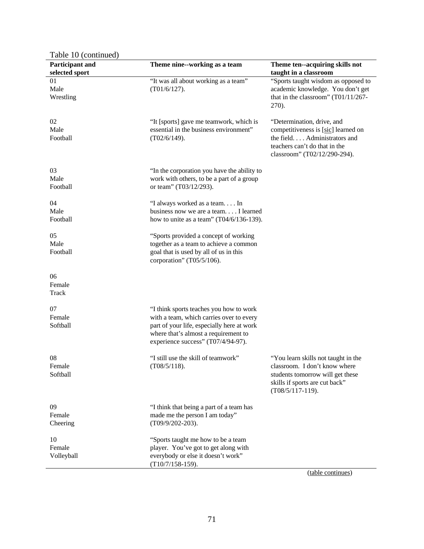| Table 10 (continued)              |                                                                                                                                                                                                                 |                                                                                                                                                                    |
|-----------------------------------|-----------------------------------------------------------------------------------------------------------------------------------------------------------------------------------------------------------------|--------------------------------------------------------------------------------------------------------------------------------------------------------------------|
| Participant and<br>selected sport | Theme nine--working as a team                                                                                                                                                                                   | Theme ten--acquiring skills not<br>taught in a classroom                                                                                                           |
| 01<br>Male<br>Wrestling           | "It was all about working as a team"<br>$(T01/6/127)$ .                                                                                                                                                         | "Sports taught wisdom as opposed to<br>academic knowledge. You don't get<br>that in the classroom" (T01/11/267-<br>270).                                           |
| 02<br>Male<br>Football            | "It [sports] gave me teamwork, which is<br>essential in the business environment"<br>(T02/6/149).                                                                                                               | "Determination, drive, and<br>competitiveness is [sic] learned on<br>the field Administrators and<br>teachers can't do that in the<br>classroom" (T02/12/290-294). |
| 03<br>Male<br>Football            | "In the corporation you have the ability to<br>work with others, to be a part of a group<br>or team" (T03/12/293).                                                                                              |                                                                                                                                                                    |
| 04<br>Male<br>Football            | "I always worked as a team In<br>business now we are a team I learned<br>how to unite as a team" $(T04/6/136-139)$ .                                                                                            |                                                                                                                                                                    |
| 05<br>Male<br>Football            | "Sports provided a concept of working<br>together as a team to achieve a common<br>goal that is used by all of us in this<br>corporation" (T05/5/106).                                                          |                                                                                                                                                                    |
| 06<br>Female<br>Track             |                                                                                                                                                                                                                 |                                                                                                                                                                    |
| 07<br>Female<br>Softball          | "I think sports teaches you how to work<br>with a team, which carries over to every<br>part of your life, especially here at work<br>where that's almost a requirement to<br>experience success" (T07/4/94-97). |                                                                                                                                                                    |
| 08<br>Female<br>Softball          | "I still use the skill of teamwork"<br>(T08/5/118).                                                                                                                                                             | "You learn skills not taught in the<br>classroom. I don't know where<br>students tomorrow will get these<br>skills if sports are cut back"<br>$(T08/5/117-119).$   |
| 09<br>Female<br>Cheering          | "I think that being a part of a team has<br>made me the person I am today"<br>(T09/9/202-203).                                                                                                                  |                                                                                                                                                                    |
| 10<br>Female<br>Volleyball        | "Sports taught me how to be a team<br>player. You've got to get along with<br>everybody or else it doesn't work"<br>$(T10/7/158-159).$                                                                          |                                                                                                                                                                    |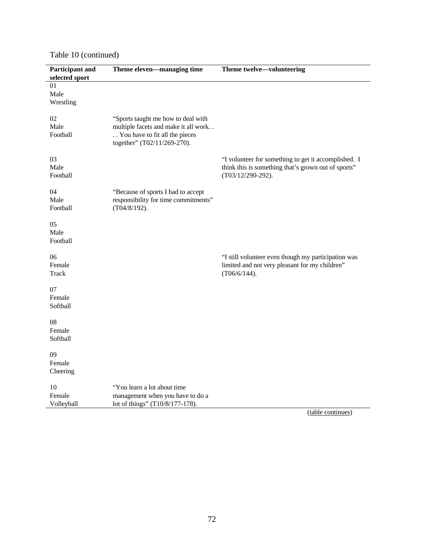| Participant and<br>selected sport | Theme eleven—managing time                                                                                                                  | Theme twelve-volunteering                                                                                                           |
|-----------------------------------|---------------------------------------------------------------------------------------------------------------------------------------------|-------------------------------------------------------------------------------------------------------------------------------------|
| 01<br>Male<br>Wrestling           |                                                                                                                                             |                                                                                                                                     |
| $02\,$<br>Male<br>Football        | "Sports taught me how to deal with<br>multiple facets and make it all work<br>You have to fit all the pieces<br>together" (T02/11/269-270). |                                                                                                                                     |
| 03<br>Male<br>Football            |                                                                                                                                             | "I volunteer for something to get it accomplished. I<br>think this is something that's grown out of sports"<br>$(T03/12/290-292)$ . |
| 04<br>Male<br>Football            | "Because of sports I had to accept<br>responsibility for time commitments"<br>$(T04/8/192)$ .                                               |                                                                                                                                     |
| 05<br>Male<br>Football            |                                                                                                                                             |                                                                                                                                     |
| 06<br>Female<br><b>Track</b>      |                                                                                                                                             | "I still volunteer even though my participation was<br>limited and not very pleasant for my children"<br>(T06/6/144).               |
| 07<br>Female<br>Softball          |                                                                                                                                             |                                                                                                                                     |
| 08<br>Female<br>Softball          |                                                                                                                                             |                                                                                                                                     |
| 09<br>Female<br>Cheering          |                                                                                                                                             |                                                                                                                                     |
| 10<br>Female<br>Volleyball        | "You learn a lot about time<br>management when you have to do a<br>lot of things" (T10/8/177-178).                                          | 1 <sub>1</sub>                                                                                                                      |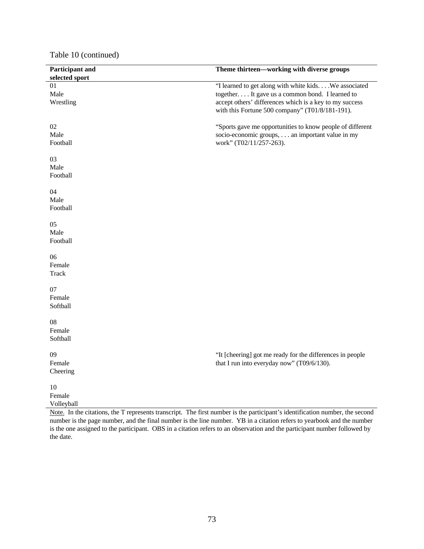| Participant and | Theme thirteen—working with diverse groups                |
|-----------------|-----------------------------------------------------------|
| selected sport  |                                                           |
| 01              | "I learned to get along with white kids . We associated   |
| Male            | together It gave us a common bond. I learned to           |
| Wrestling       | accept others' differences which is a key to my success   |
|                 | with this Fortune 500 company" (T01/8/181-191).           |
|                 |                                                           |
| 02              | "Sports gave me opportunities to know people of different |
| Male            | socio-economic groups, an important value in my           |
| Football        | work" (T02/11/257-263).                                   |
|                 |                                                           |
| 03              |                                                           |
| Male            |                                                           |
| Football        |                                                           |
|                 |                                                           |
| 04              |                                                           |
| Male            |                                                           |
|                 |                                                           |
| Football        |                                                           |
|                 |                                                           |
| 05              |                                                           |
| Male            |                                                           |
| Football        |                                                           |
|                 |                                                           |
| 06              |                                                           |
| Female          |                                                           |
| <b>Track</b>    |                                                           |
|                 |                                                           |
| 07              |                                                           |
| Female          |                                                           |
| Softball        |                                                           |
| 08              |                                                           |
|                 |                                                           |
| Female          |                                                           |
| Softball        |                                                           |
| 09              |                                                           |
|                 | "It [cheering] got me ready for the differences in people |
| Female          | that I run into everyday now" (T09/6/130).                |
| Cheering        |                                                           |
| $10\,$          |                                                           |
| Female          |                                                           |
|                 |                                                           |
| Volleyball      |                                                           |

Note. In the citations, the T represents transcript. The first number is the participant's identification number, the second number is the page number, and the final number is the line number. YB in a citation refers to yearbook and the number is the one assigned to the participant. OBS in a citation refers to an observation and the participant number followed by the date.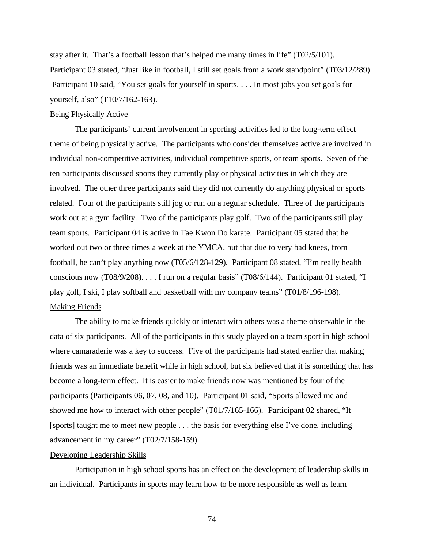stay after it. That's a football lesson that's helped me many times in life" (T02/5/101). Participant 03 stated, "Just like in football, I still set goals from a work standpoint" (T03/12/289). Participant 10 said, "You set goals for yourself in sports. . . . In most jobs you set goals for yourself, also" (T10/7/162-163).

### Being Physically Active

The participants' current involvement in sporting activities led to the long-term effect theme of being physically active. The participants who consider themselves active are involved in individual non-competitive activities, individual competitive sports, or team sports. Seven of the ten participants discussed sports they currently play or physical activities in which they are involved. The other three participants said they did not currently do anything physical or sports related. Four of the participants still jog or run on a regular schedule. Three of the participants work out at a gym facility. Two of the participants play golf. Two of the participants still play team sports. Participant 04 is active in Tae Kwon Do karate. Participant 05 stated that he worked out two or three times a week at the YMCA, but that due to very bad knees, from football, he can't play anything now (T05/6/128-129). Participant 08 stated, "I'm really health conscious now (T08/9/208). . . . I run on a regular basis" (T08/6/144). Participant 01 stated, "I play golf, I ski, I play softball and basketball with my company teams" (T01/8/196-198). Making Friends

The ability to make friends quickly or interact with others was a theme observable in the data of six participants. All of the participants in this study played on a team sport in high school where camaraderie was a key to success. Five of the participants had stated earlier that making friends was an immediate benefit while in high school, but six believed that it is something that has become a long-term effect. It is easier to make friends now was mentioned by four of the participants (Participants 06, 07, 08, and 10). Participant 01 said, "Sports allowed me and showed me how to interact with other people" (T01/7/165-166). Participant 02 shared, "It [sports] taught me to meet new people . . . the basis for everything else I've done, including advancement in my career" (T02/7/158-159).

### Developing Leadership Skills

Participation in high school sports has an effect on the development of leadership skills in an individual. Participants in sports may learn how to be more responsible as well as learn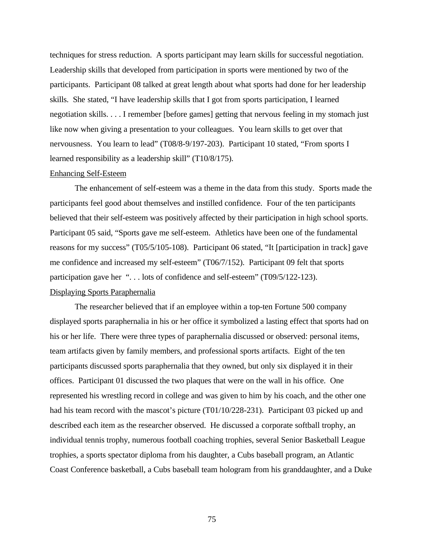techniques for stress reduction. A sports participant may learn skills for successful negotiation. Leadership skills that developed from participation in sports were mentioned by two of the participants. Participant 08 talked at great length about what sports had done for her leadership skills. She stated, "I have leadership skills that I got from sports participation, I learned negotiation skills. . . . I remember [before games] getting that nervous feeling in my stomach just like now when giving a presentation to your colleagues. You learn skills to get over that nervousness. You learn to lead" (T08/8-9/197-203). Participant 10 stated, "From sports I learned responsibility as a leadership skill" (T10/8/175).

#### Enhancing Self-Esteem

The enhancement of self-esteem was a theme in the data from this study. Sports made the participants feel good about themselves and instilled confidence. Four of the ten participants believed that their self-esteem was positively affected by their participation in high school sports. Participant 05 said, "Sports gave me self-esteem. Athletics have been one of the fundamental reasons for my success" (T05/5/105-108). Participant 06 stated, "It [participation in track] gave me confidence and increased my self-esteem" (T06/7/152). Participant 09 felt that sports participation gave her ". . . lots of confidence and self-esteem" (T09/5/122-123).

### Displaying Sports Paraphernalia

The researcher believed that if an employee within a top-ten Fortune 500 company displayed sports paraphernalia in his or her office it symbolized a lasting effect that sports had on his or her life. There were three types of paraphernalia discussed or observed: personal items, team artifacts given by family members, and professional sports artifacts. Eight of the ten participants discussed sports paraphernalia that they owned, but only six displayed it in their offices. Participant 01 discussed the two plaques that were on the wall in his office. One represented his wrestling record in college and was given to him by his coach, and the other one had his team record with the mascot's picture (T01/10/228-231). Participant 03 picked up and described each item as the researcher observed. He discussed a corporate softball trophy, an individual tennis trophy, numerous football coaching trophies, several Senior Basketball League trophies, a sports spectator diploma from his daughter, a Cubs baseball program, an Atlantic Coast Conference basketball, a Cubs baseball team hologram from his granddaughter, and a Duke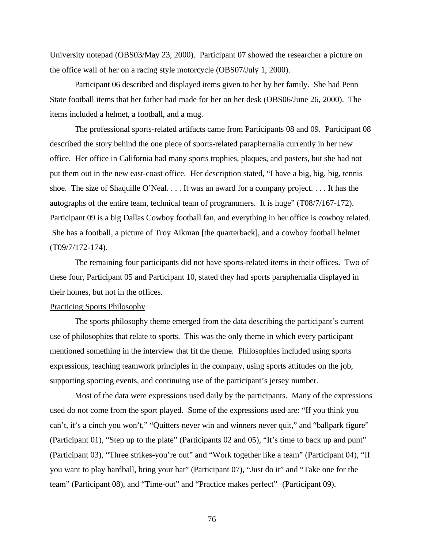University notepad (OBS03/May 23, 2000). Participant 07 showed the researcher a picture on the office wall of her on a racing style motorcycle (OBS07/July 1, 2000).

Participant 06 described and displayed items given to her by her family. She had Penn State football items that her father had made for her on her desk (OBS06/June 26, 2000). The items included a helmet, a football, and a mug.

The professional sports-related artifacts came from Participants 08 and 09. Participant 08 described the story behind the one piece of sports-related paraphernalia currently in her new office. Her office in California had many sports trophies, plaques, and posters, but she had not put them out in the new east-coast office. Her description stated, "I have a big, big, big, tennis shoe. The size of Shaquille O'Neal. . . . It was an award for a company project. . . . It has the autographs of the entire team, technical team of programmers. It is huge" (T08/7/167-172). Participant 09 is a big Dallas Cowboy football fan, and everything in her office is cowboy related. She has a football, a picture of Troy Aikman [the quarterback], and a cowboy football helmet (T09/7/172-174).

The remaining four participants did not have sports-related items in their offices. Two of these four, Participant 05 and Participant 10, stated they had sports paraphernalia displayed in their homes, but not in the offices.

#### Practicing Sports Philosophy

The sports philosophy theme emerged from the data describing the participant's current use of philosophies that relate to sports. This was the only theme in which every participant mentioned something in the interview that fit the theme. Philosophies included using sports expressions, teaching teamwork principles in the company, using sports attitudes on the job, supporting sporting events, and continuing use of the participant's jersey number.

Most of the data were expressions used daily by the participants. Many of the expressions used do not come from the sport played. Some of the expressions used are: "If you think you can't, it's a cinch you won't," "Quitters never win and winners never quit," and "ballpark figure" (Participant 01), "Step up to the plate" (Participants 02 and 05), "It's time to back up and punt" (Participant 03), "Three strikes-you're out" and "Work together like a team" (Participant 04), "If you want to play hardball, bring your bat" (Participant 07), "Just do it" and "Take one for the team" (Participant 08), and "Time-out" and "Practice makes perfect" (Participant 09).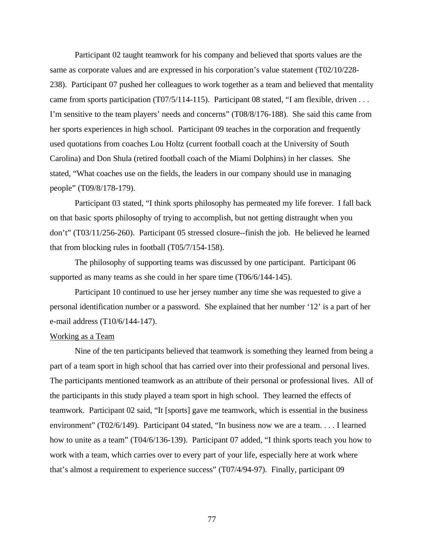Participant 02 taught teamwork for his company and believed that sports values are the same as corporate values and are expressed in his corporation's value statement (T02/10/228- 238). Participant 07 pushed her colleagues to work together as a team and believed that mentality came from sports participation (T07/5/114-115). Participant 08 stated, "I am flexible, driven . . . I'm sensitive to the team players' needs and concerns" (T08/8/176-188). She said this came from her sports experiences in high school. Participant 09 teaches in the corporation and frequently used quotations from coaches Lou Holtz (current football coach at the University of South Carolina) and Don Shula (retired football coach of the Miami Dolphins) in her classes. She stated, "What coaches use on the fields, the leaders in our company should use in managing people" (T09/8/178-179).

Participant 03 stated, "I think sports philosophy has permeated my life forever. I fall back on that basic sports philosophy of trying to accomplish, but not getting distraught when you don't" (T03/11/256-260). Participant 05 stressed closure--finish the job. He believed he learned that from blocking rules in football (T05/7/154-158).

The philosophy of supporting teams was discussed by one participant. Participant 06 supported as many teams as she could in her spare time (T06/6/144-145).

Participant 10 continued to use her jersey number any time she was requested to give a personal identification number or a password. She explained that her number '12' is a part of her e-mail address (T10/6/144-147).

#### Working as a Team

Nine of the ten participants believed that teamwork is something they learned from being a part of a team sport in high school that has carried over into their professional and personal lives. The participants mentioned teamwork as an attribute of their personal or professional lives. All of the participants in this study played a team sport in high school. They learned the effects of teamwork. Participant 02 said, "It [sports] gave me teamwork, which is essential in the business environment" (T02/6/149). Participant 04 stated, "In business now we are a team. . . . I learned how to unite as a team" (T04/6/136-139). Participant 07 added, "I think sports teach you how to work with a team, which carries over to every part of your life, especially here at work where that's almost a requirement to experience success" (T07/4/94-97). Finally, participant 09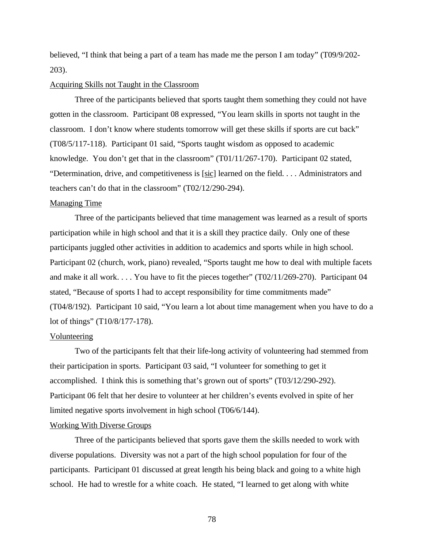believed, "I think that being a part of a team has made me the person I am today" (T09/9/202- 203).

### Acquiring Skills not Taught in the Classroom

Three of the participants believed that sports taught them something they could not have gotten in the classroom. Participant 08 expressed, "You learn skills in sports not taught in the classroom. I don't know where students tomorrow will get these skills if sports are cut back" (T08/5/117-118). Participant 01 said, "Sports taught wisdom as opposed to academic knowledge. You don't get that in the classroom" (T01/11/267-170). Participant 02 stated, "Determination, drive, and competitiveness is [sic] learned on the field. . . . Administrators and teachers can't do that in the classroom" (T02/12/290-294).

### Managing Time

Three of the participants believed that time management was learned as a result of sports participation while in high school and that it is a skill they practice daily. Only one of these participants juggled other activities in addition to academics and sports while in high school. Participant 02 (church, work, piano) revealed, "Sports taught me how to deal with multiple facets and make it all work. . . . You have to fit the pieces together" (T02/11/269-270). Participant 04 stated, "Because of sports I had to accept responsibility for time commitments made" (T04/8/192). Participant 10 said, "You learn a lot about time management when you have to do a lot of things" (T10/8/177-178).

#### Volunteering

Two of the participants felt that their life-long activity of volunteering had stemmed from their participation in sports. Participant 03 said, "I volunteer for something to get it accomplished. I think this is something that's grown out of sports" (T03/12/290-292). Participant 06 felt that her desire to volunteer at her children's events evolved in spite of her limited negative sports involvement in high school (T06/6/144).

#### Working With Diverse Groups

Three of the participants believed that sports gave them the skills needed to work with diverse populations. Diversity was not a part of the high school population for four of the participants. Participant 01 discussed at great length his being black and going to a white high school. He had to wrestle for a white coach. He stated, "I learned to get along with white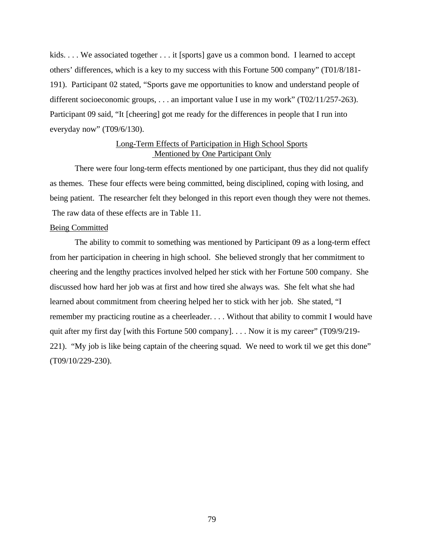kids.... We associated together ... it [sports] gave us a common bond. I learned to accept others' differences, which is a key to my success with this Fortune 500 company" (T01/8/181- 191). Participant 02 stated, "Sports gave me opportunities to know and understand people of different socioeconomic groups, . . . an important value I use in my work" (T02/11/257-263). Participant 09 said, "It [cheering] got me ready for the differences in people that I run into everyday now" (T09/6/130).

## Long-Term Effects of Participation in High School Sports Mentioned by One Participant Only

There were four long-term effects mentioned by one participant, thus they did not qualify as themes. These four effects were being committed, being disciplined, coping with losing, and being patient. The researcher felt they belonged in this report even though they were not themes. The raw data of these effects are in Table 11.

### Being Committed

The ability to commit to something was mentioned by Participant 09 as a long-term effect from her participation in cheering in high school. She believed strongly that her commitment to cheering and the lengthy practices involved helped her stick with her Fortune 500 company. She discussed how hard her job was at first and how tired she always was. She felt what she had learned about commitment from cheering helped her to stick with her job. She stated, "I remember my practicing routine as a cheerleader. . . . Without that ability to commit I would have quit after my first day [with this Fortune 500 company]. . . . Now it is my career" (T09/9/219-221). "My job is like being captain of the cheering squad. We need to work til we get this done" (T09/10/229-230).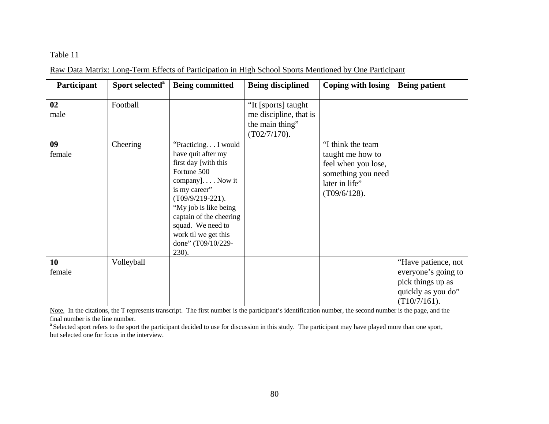## Table 11

Raw Data Matrix: Long-Term Effects of Participation in High School Sports Mentioned by One Participant

| Participant  | Sport selected <sup>a</sup> | <b>Being committed</b>                                                                                                                                                                                                                                                       | <b>Being disciplined</b>                                                            | Coping with losing                                                                                                      | <b>Being patient</b>                                                                                     |
|--------------|-----------------------------|------------------------------------------------------------------------------------------------------------------------------------------------------------------------------------------------------------------------------------------------------------------------------|-------------------------------------------------------------------------------------|-------------------------------------------------------------------------------------------------------------------------|----------------------------------------------------------------------------------------------------------|
| 02<br>male   | Football                    |                                                                                                                                                                                                                                                                              | "It [sports] taught<br>me discipline, that is<br>the main thing"<br>$(T02/7/170)$ . |                                                                                                                         |                                                                                                          |
| 09<br>female | Cheering                    | "Practicing I would<br>have quit after my<br>first day [with this<br>Fortune 500<br>company]. Now it<br>is my career"<br>$(T09/9/219-221)$ .<br>"My job is like being<br>captain of the cheering<br>squad. We need to<br>work til we get this<br>done" (T09/10/229-<br>230). |                                                                                     | "I think the team<br>taught me how to<br>feel when you lose,<br>something you need<br>later in life"<br>$(T09/6/128)$ . |                                                                                                          |
| 10<br>female | Volleyball                  |                                                                                                                                                                                                                                                                              |                                                                                     |                                                                                                                         | "Have patience, not<br>everyone's going to<br>pick things up as<br>quickly as you do"<br>$(T10/7/161)$ . |

Note. In the citations, the T represents transcript. The first number is the participant's identification number, the second number is the page, and the final number is the line number.

<sup>a</sup> Selected sport refers to the sport the participant decided to use for discussion in this study. The participant may have played more than one sport, but selected one for focus in the interview.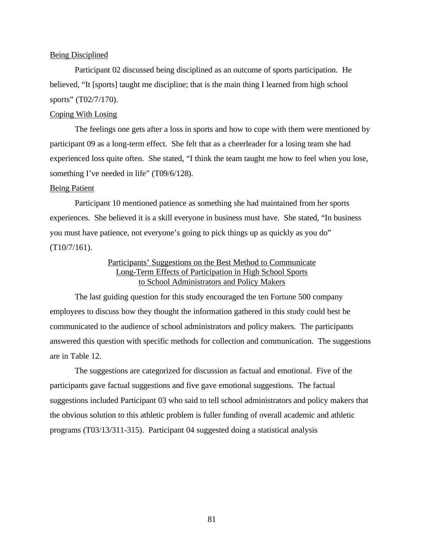#### Being Disciplined

Participant 02 discussed being disciplined as an outcome of sports participation. He believed, "It [sports] taught me discipline; that is the main thing I learned from high school sports" (T02/7/170).

### Coping With Losing

The feelings one gets after a loss in sports and how to cope with them were mentioned by participant 09 as a long-term effect. She felt that as a cheerleader for a losing team she had experienced loss quite often. She stated, "I think the team taught me how to feel when you lose, something I've needed in life" (T09/6/128).

### Being Patient

Participant 10 mentioned patience as something she had maintained from her sports experiences. She believed it is a skill everyone in business must have. She stated, "In business you must have patience, not everyone's going to pick things up as quickly as you do" (T10/7/161).

## Participants' Suggestions on the Best Method to Communicate Long-Term Effects of Participation in High School Sports to School Administrators and Policy Makers

The last guiding question for this study encouraged the ten Fortune 500 company employees to discuss how they thought the information gathered in this study could best be communicated to the audience of school administrators and policy makers. The participants answered this question with specific methods for collection and communication. The suggestions are in Table 12.

The suggestions are categorized for discussion as factual and emotional. Five of the participants gave factual suggestions and five gave emotional suggestions. The factual suggestions included Participant 03 who said to tell school administrators and policy makers that the obvious solution to this athletic problem is fuller funding of overall academic and athletic programs (T03/13/311-315). Participant 04 suggested doing a statistical analysis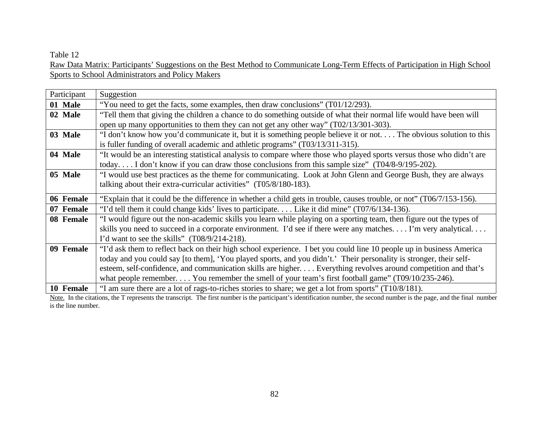### Table 12

Raw Data Matrix: Participants' Suggestions on the Best Method to Communicate Long-Term Effects of Participation in High School Sports to School Administrators and Policy Makers

| Participant | Suggestion                                                                                                                                                                                                                                                     |
|-------------|----------------------------------------------------------------------------------------------------------------------------------------------------------------------------------------------------------------------------------------------------------------|
| 01 Male     | "You need to get the facts, some examples, then draw conclusions" (T01/12/293).                                                                                                                                                                                |
| 02 Male     | "Tell them that giving the children a chance to do something outside of what their normal life would have been will                                                                                                                                            |
|             | open up many opportunities to them they can not get any other way" (T02/13/301-303).                                                                                                                                                                           |
| 03 Male     | "I don't know how you'd communicate it, but it is something people believe it or not The obvious solution to this                                                                                                                                              |
|             | is fuller funding of overall academic and athletic programs" (T03/13/311-315).                                                                                                                                                                                 |
| 04 Male     | "It would be an interesting statistical analysis to compare where those who played sports versus those who didn't are                                                                                                                                          |
|             | today I don't know if you can draw those conclusions from this sample size" (T04/8-9/195-202).                                                                                                                                                                 |
| 05 Male     | "I would use best practices as the theme for communicating. Look at John Glenn and George Bush, they are always                                                                                                                                                |
|             | talking about their extra-curricular activities" (T05/8/180-183).                                                                                                                                                                                              |
| 06 Female   | "Explain that it could be the difference in whether a child gets in trouble, causes trouble, or not" (T06/7/153-156).                                                                                                                                          |
| 07 Female   | "I'd tell them it could change kids' lives to participate Like it did mine" (T07/6/134-136).                                                                                                                                                                   |
| 08 Female   | "I would figure out the non-academic skills you learn while playing on a sporting team, then figure out the types of                                                                                                                                           |
|             | skills you need to succeed in a corporate environment. I'd see if there were any matches I'm very analytical                                                                                                                                                   |
|             | I'd want to see the skills" $(T08/9/214-218)$ .                                                                                                                                                                                                                |
| 09 Female   | "I'd ask them to reflect back on their high school experience. I bet you could line 10 people up in business America                                                                                                                                           |
|             | today and you could say [to them], 'You played sports, and you didn't.' Their personality is stronger, their self-                                                                                                                                             |
|             | esteem, self-confidence, and communication skills are higher. Everything revolves around competition and that's                                                                                                                                                |
|             | what people remember You remember the smell of your team's first football game" $(T09/10/235-246)$ .                                                                                                                                                           |
| 10 Female   | "I am sure there are a lot of rags-to-riches stories to share; we get a lot from sports" (T10/8/181).<br>NEW YORK AND CONTINUES IN A RELEASED FOR THE MILK OF START CONTINUES AND THE AMOUNT CONTINUES. THE CONTINUES OF<br>$-4$ $-2$ $-1$ $-1$ $-1$ $-1$ $-1$ |

Note. In the citations, the T represents the transcript. The first number is the participant's identification number, the second number is the page, and the final number is the line number.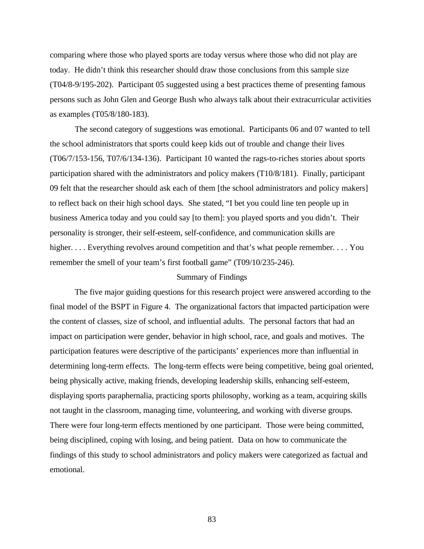comparing where those who played sports are today versus where those who did not play are today. He didn't think this researcher should draw those conclusions from this sample size (T04/8-9/195-202). Participant 05 suggested using a best practices theme of presenting famous persons such as John Glen and George Bush who always talk about their extracurricular activities as examples (T05/8/180-183).

The second category of suggestions was emotional. Participants 06 and 07 wanted to tell the school administrators that sports could keep kids out of trouble and change their lives (T06/7/153-156, T07/6/134-136). Participant 10 wanted the rags-to-riches stories about sports participation shared with the administrators and policy makers (T10/8/181). Finally, participant 09 felt that the researcher should ask each of them [the school administrators and policy makers] to reflect back on their high school days. She stated, "I bet you could line ten people up in business America today and you could say [to them]: you played sports and you didn't. Their personality is stronger, their self-esteem, self-confidence, and communication skills are higher. . . . Everything revolves around competition and that's what people remember. . . . You remember the smell of your team's first football game" (T09/10/235-246).

#### Summary of Findings

The five major guiding questions for this research project were answered according to the final model of the BSPT in Figure 4. The organizational factors that impacted participation were the content of classes, size of school, and influential adults. The personal factors that had an impact on participation were gender, behavior in high school, race, and goals and motives. The participation features were descriptive of the participants' experiences more than influential in determining long-term effects. The long-term effects were being competitive, being goal oriented, being physically active, making friends, developing leadership skills, enhancing self-esteem, displaying sports paraphernalia, practicing sports philosophy, working as a team, acquiring skills not taught in the classroom, managing time, volunteering, and working with diverse groups. There were four long-term effects mentioned by one participant. Those were being committed, being disciplined, coping with losing, and being patient. Data on how to communicate the findings of this study to school administrators and policy makers were categorized as factual and emotional.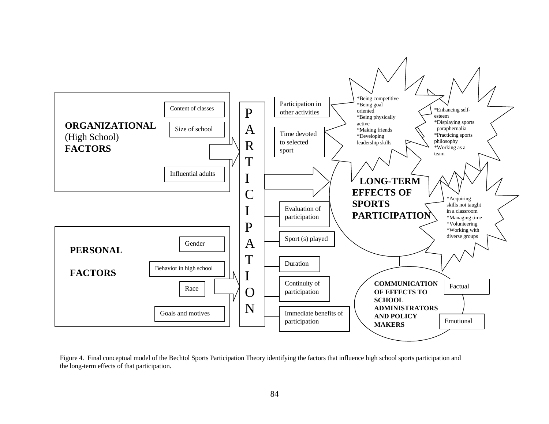

Figure 4. Final conceptual model of the Bechtol Sports Participation Theory identifying the factors that influence high school sports participation and the long-term effects of that participation.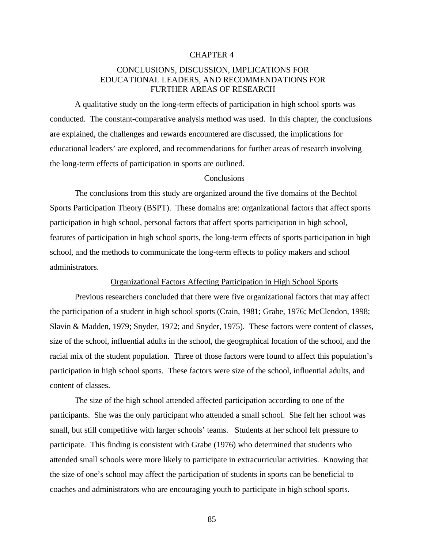#### CHAPTER 4

## CONCLUSIONS, DISCUSSION, IMPLICATIONS FOR  [EDUCATIONAL LEADERS, AND RECOMMENDATIONS FOR](#page-6-0) FURTHER AREAS OF RESEARCH

A qualitative study on the long-term effects of participation in high school sports was conducted. The constant-comparative analysis method was used. In this chapter, the conclusions are explained, the challenges and rewards encountered are discussed, the implications for educational leaders' are explored, and recommendations for further areas of research involving the long-term effects of participation in sports are outlined.

#### **Conclusions**

The conclusions from this study are organized around the five domains of the Bechtol Sports Participation Theory (BSPT). These domains are: organizational factors that affect sports participation in high school, personal factors that affect sports participation in high school, features of participation in high school sports, the long-term effects of sports participation in high school, and the methods to communicate the long-term effects to policy makers and school administrators.

### Organizational Factors Affecting Participation in High School Sports

Previous researchers concluded that there were five organizational factors that may affect the participation of a student in high school sports (Crain, 1981; Grabe, 1976; McClendon, 1998; Slavin & Madden, 1979; Snyder, 1972; and Snyder, 1975). These factors were content of classes, size of the school, influential adults in the school, the geographical location of the school, and the racial mix of the student population. Three of those factors were found to affect this population's participation in high school sports. These factors were size of the school, influential adults, and content of classes.

The size of the high school attended affected participation according to one of the participants. She was the only participant who attended a small school. She felt her school was small, but still competitive with larger schools' teams. Students at her school felt pressure to participate. This finding is consistent with Grabe (1976) who determined that students who attended small schools were more likely to participate in extracurricular activities. Knowing that the size of one's school may affect the participation of students in sports can be beneficial to coaches and administrators who are encouraging youth to participate in high school sports.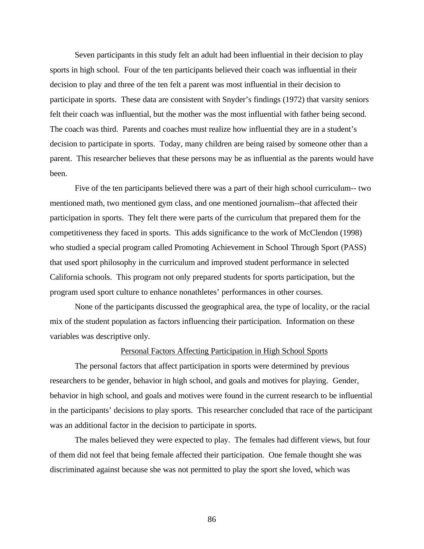Seven participants in this study felt an adult had been influential in their decision to play sports in high school. Four of the ten participants believed their coach was influential in their decision to play and three of the ten felt a parent was most influential in their decision to participate in sports. These data are consistent with Snyder's findings (1972) that varsity seniors felt their coach was influential, but the mother was the most influential with father being second. The coach was third. Parents and coaches must realize how influential they are in a student's decision to participate in sports. Today, many children are being raised by someone other than a parent. This researcher believes that these persons may be as influential as the parents would have been.

Five of the ten participants believed there was a part of their high school curriculum-- two mentioned math, two mentioned gym class, and one mentioned journalism--that affected their participation in sports. They felt there were parts of the curriculum that prepared them for the competitiveness they faced in sports. This adds significance to the work of McClendon (1998) who studied a special program called Promoting Achievement in School Through Sport (PASS) that used sport philosophy in the curriculum and improved student performance in selected California schools. This program not only prepared students for sports participation, but the program used sport culture to enhance nonathletes' performances in other courses.

None of the participants discussed the geographical area, the type of locality, or the racial mix of the student population as factors influencing their participation. Information on these variables was descriptive only.

#### Personal Factors Affecting Participation in High School Sports

The personal factors that affect participation in sports were determined by previous researchers to be gender, behavior in high school, and goals and motives for playing. Gender, behavior in high school, and goals and motives were found in the current research to be influential in the participants' decisions to play sports. This researcher concluded that race of the participant was an additional factor in the decision to participate in sports.

The males believed they were expected to play. The females had different views, but four of them did not feel that being female affected their participation. One female thought she was discriminated against because she was not permitted to play the sport she loved, which was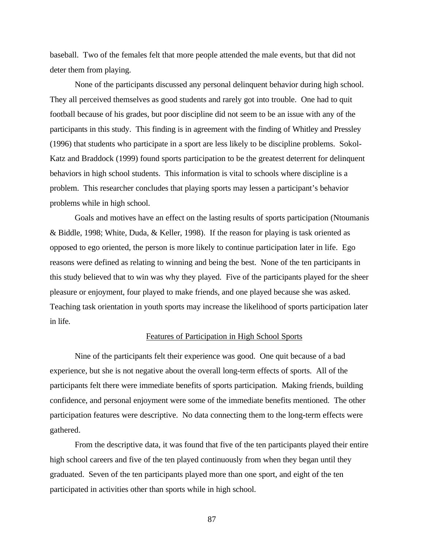baseball. Two of the females felt that more people attended the male events, but that did not deter them from playing.

None of the participants discussed any personal delinquent behavior during high school. They all perceived themselves as good students and rarely got into trouble. One had to quit football because of his grades, but poor discipline did not seem to be an issue with any of the participants in this study. This finding is in agreement with the finding of Whitley and Pressley (1996) that students who participate in a sport are less likely to be discipline problems. Sokol-Katz and Braddock (1999) found sports participation to be the greatest deterrent for delinquent behaviors in high school students. This information is vital to schools where discipline is a problem. This researcher concludes that playing sports may lessen a participant's behavior problems while in high school.

Goals and motives have an effect on the lasting results of sports participation (Ntoumanis & Biddle, 1998; White, Duda, & Keller, 1998). If the reason for playing is task oriented as opposed to ego oriented, the person is more likely to continue participation later in life. Ego reasons were defined as relating to winning and being the best. None of the ten participants in this study believed that to win was why they played. Five of the participants played for the sheer pleasure or enjoyment, four played to make friends, and one played because she was asked. Teaching task orientation in youth sports may increase the likelihood of sports participation later in life.

#### Features of Participation in High School Sports

Nine of the participants felt their experience was good. One quit because of a bad experience, but she is not negative about the overall long-term effects of sports. All of the participants felt there were immediate benefits of sports participation. Making friends, building confidence, and personal enjoyment were some of the immediate benefits mentioned. The other participation features were descriptive. No data connecting them to the long-term effects were gathered.

From the descriptive data, it was found that five of the ten participants played their entire high school careers and five of the ten played continuously from when they began until they graduated. Seven of the ten participants played more than one sport, and eight of the ten participated in activities other than sports while in high school.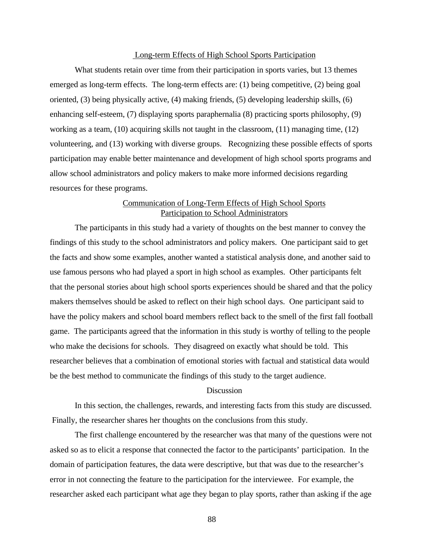#### Long-term Effects of High School Sports Participation

What students retain over time from their participation in sports varies, but 13 themes emerged as long-term effects. The long-term effects are: (1) being competitive, (2) being goal oriented, (3) being physically active, (4) making friends, (5) developing leadership skills, (6) enhancing self-esteem, (7) displaying sports paraphernalia (8) practicing sports philosophy, (9) working as a team,  $(10)$  acquiring skills not taught in the classroom,  $(11)$  managing time,  $(12)$ volunteering, and (13) working with diverse groups. Recognizing these possible effects of sports participation may enable better maintenance and development of high school sports programs and allow school administrators and policy makers to make more informed decisions regarding resources for these programs.

## Communication of Long-Term Effects of High School Sports Participation to School Administrators

The participants in this study had a variety of thoughts on the best manner to convey the findings of this study to the school administrators and policy makers. One participant said to get the facts and show some examples, another wanted a statistical analysis done, and another said to use famous persons who had played a sport in high school as examples. Other participants felt that the personal stories about high school sports experiences should be shared and that the policy makers themselves should be asked to reflect on their high school days. One participant said to have the policy makers and school board members reflect back to the smell of the first fall football game. The participants agreed that the information in this study is worthy of telling to the people who make the decisions for schools. They disagreed on exactly what should be told. This researcher believes that a combination of emotional stories with factual and statistical data would be the best method to communicate the findings of this study to the target audience.

### **Discussion**

In this section, the challenges, rewards, and interesting facts from this study are discussed. Finally, the researcher shares her thoughts on the conclusions from this study.

The first challenge encountered by the researcher was that many of the questions were not asked so as to elicit a response that connected the factor to the participants' participation. In the domain of participation features, the data were descriptive, but that was due to the researcher's error in not connecting the feature to the participation for the interviewee. For example, the researcher asked each participant what age they began to play sports, rather than asking if the age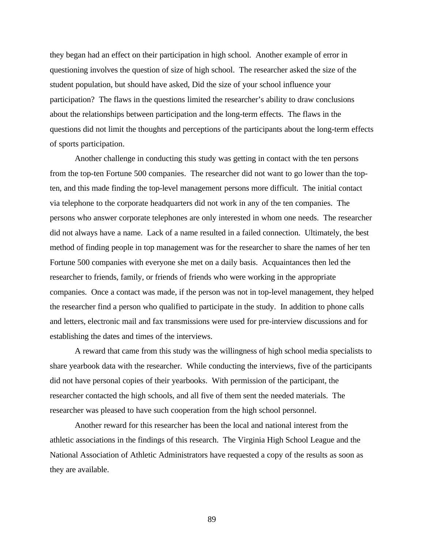they began had an effect on their participation in high school. Another example of error in questioning involves the question of size of high school. The researcher asked the size of the student population, but should have asked, Did the size of your school influence your participation? The flaws in the questions limited the researcher's ability to draw conclusions about the relationships between participation and the long-term effects. The flaws in the questions did not limit the thoughts and perceptions of the participants about the long-term effects of sports participation.

Another challenge in conducting this study was getting in contact with the ten persons from the top-ten Fortune 500 companies. The researcher did not want to go lower than the topten, and this made finding the top-level management persons more difficult. The initial contact via telephone to the corporate headquarters did not work in any of the ten companies. The persons who answer corporate telephones are only interested in whom one needs. The researcher did not always have a name. Lack of a name resulted in a failed connection. Ultimately, the best method of finding people in top management was for the researcher to share the names of her ten Fortune 500 companies with everyone she met on a daily basis. Acquaintances then led the researcher to friends, family, or friends of friends who were working in the appropriate companies. Once a contact was made, if the person was not in top-level management, they helped the researcher find a person who qualified to participate in the study. In addition to phone calls and letters, electronic mail and fax transmissions were used for pre-interview discussions and for establishing the dates and times of the interviews.

A reward that came from this study was the willingness of high school media specialists to share yearbook data with the researcher. While conducting the interviews, five of the participants did not have personal copies of their yearbooks. With permission of the participant, the researcher contacted the high schools, and all five of them sent the needed materials. The researcher was pleased to have such cooperation from the high school personnel.

Another reward for this researcher has been the local and national interest from the athletic associations in the findings of this research. The Virginia High School League and the National Association of Athletic Administrators have requested a copy of the results as soon as they are available.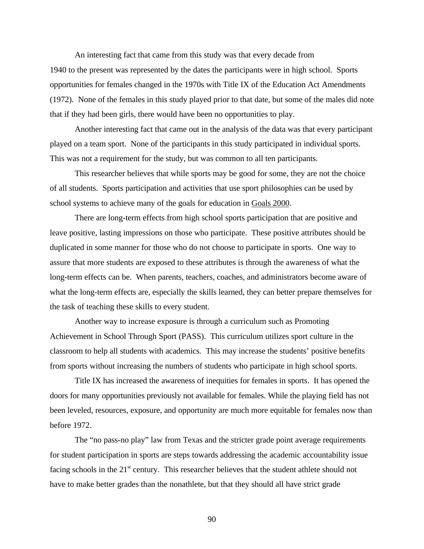An interesting fact that came from this study was that every decade from 1940 to the present was represented by the dates the participants were in high school. Sports opportunities for females changed in the 1970s with Title IX of the Education Act Amendments (1972). None of the females in this study played prior to that date, but some of the males did note that if they had been girls, there would have been no opportunities to play.

Another interesting fact that came out in the analysis of the data was that every participant played on a team sport. None of the participants in this study participated in individual sports. This was not a requirement for the study, but was common to all ten participants.

This researcher believes that while sports may be good for some, they are not the choice of all students. Sports participation and activities that use sport philosophies can be used by school systems to achieve many of the goals for education in Goals 2000.

There are long-term effects from high school sports participation that are positive and leave positive, lasting impressions on those who participate. These positive attributes should be duplicated in some manner for those who do not choose to participate in sports. One way to assure that more students are exposed to these attributes is through the awareness of what the long-term effects can be. When parents, teachers, coaches, and administrators become aware of what the long-term effects are, especially the skills learned, they can better prepare themselves for the task of teaching these skills to every student.

Another way to increase exposure is through a curriculum such as Promoting Achievement in School Through Sport (PASS). This curriculum utilizes sport culture in the classroom to help all students with academics. This may increase the students' positive benefits from sports without increasing the numbers of students who participate in high school sports.

Title IX has increased the awareness of inequities for females in sports. It has opened the doors for many opportunities previously not available for females. While the playing field has not been leveled, resources, exposure, and opportunity are much more equitable for females now than before 1972.

The "no pass-no play" law from Texas and the stricter grade point average requirements for student participation in sports are steps towards addressing the academic accountability issue facing schools in the  $21<sup>st</sup>$  century. This researcher believes that the student athlete should not have to make better grades than the nonathlete, but that they should all have strict grade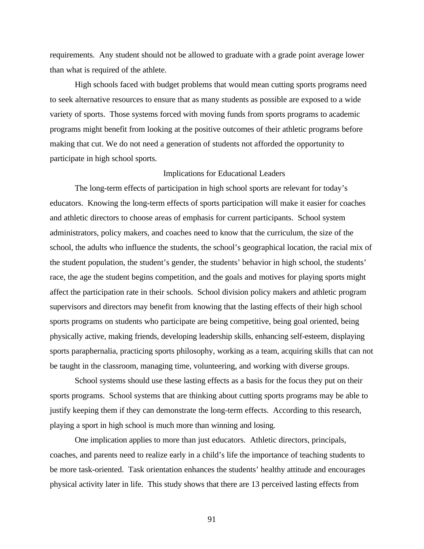requirements. Any student should not be allowed to graduate with a grade point average lower than what is required of the athlete.

High schools faced with budget problems that would mean cutting sports programs need to seek alternative resources to ensure that as many students as possible are exposed to a wide variety of sports. Those systems forced with moving funds from sports programs to academic programs might benefit from looking at the positive outcomes of their athletic programs before making that cut. We do not need a generation of students not afforded the opportunity to participate in high school sports.

#### Implications for Educational Leaders

The long-term effects of participation in high school sports are relevant for today's educators. Knowing the long-term effects of sports participation will make it easier for coaches and athletic directors to choose areas of emphasis for current participants. School system administrators, policy makers, and coaches need to know that the curriculum, the size of the school, the adults who influence the students, the school's geographical location, the racial mix of the student population, the student's gender, the students' behavior in high school, the students' race, the age the student begins competition, and the goals and motives for playing sports might affect the participation rate in their schools. School division policy makers and athletic program supervisors and directors may benefit from knowing that the lasting effects of their high school sports programs on students who participate are being competitive, being goal oriented, being physically active, making friends, developing leadership skills, enhancing self-esteem, displaying sports paraphernalia, practicing sports philosophy, working as a team, acquiring skills that can not be taught in the classroom, managing time, volunteering, and working with diverse groups.

School systems should use these lasting effects as a basis for the focus they put on their sports programs. School systems that are thinking about cutting sports programs may be able to justify keeping them if they can demonstrate the long-term effects. According to this research, playing a sport in high school is much more than winning and losing.

One implication applies to more than just educators. Athletic directors, principals, coaches, and parents need to realize early in a child's life the importance of teaching students to be more task-oriented. Task orientation enhances the students' healthy attitude and encourages physical activity later in life. This study shows that there are 13 perceived lasting effects from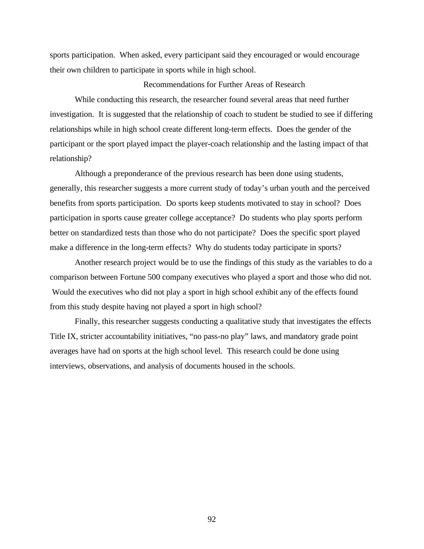sports participation. When asked, every participant said they encouraged or would encourage their own children to participate in sports while in high school.

### Recommendations for Further Areas of Research

While conducting this research, the researcher found several areas that need further investigation. It is suggested that the relationship of coach to student be studied to see if differing relationships while in high school create different long-term effects. Does the gender of the participant or the sport played impact the player-coach relationship and the lasting impact of that relationship?

Although a preponderance of the previous research has been done using students, generally, this researcher suggests a more current study of today's urban youth and the perceived benefits from sports participation. Do sports keep students motivated to stay in school? Does participation in sports cause greater college acceptance? Do students who play sports perform better on standardized tests than those who do not participate? Does the specific sport played make a difference in the long-term effects? Why do students today participate in sports?

Another research project would be to use the findings of this study as the variables to do a comparison between Fortune 500 company executives who played a sport and those who did not. Would the executives who did not play a sport in high school exhibit any of the effects found from this study despite having not played a sport in high school?

Finally, this researcher suggests conducting a qualitative study that investigates the effects Title IX, stricter accountability initiatives, "no pass-no play" laws, and mandatory grade point averages have had on sports at the high school level. This research could be done using interviews, observations, and analysis of documents housed in the schools.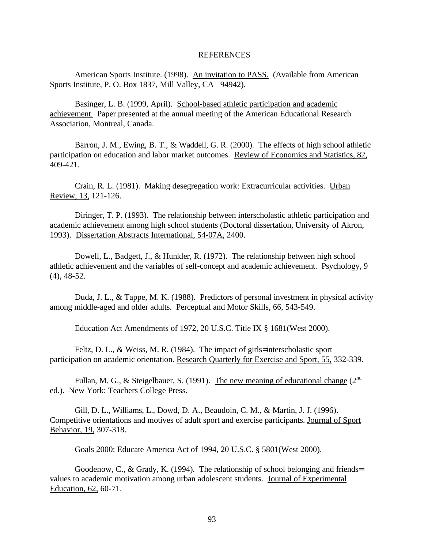#### [REFERENCES](#page-6-0)

American Sports Institute. (1998). An invitation to PASS. (Available from American Sports Institute, P. O. Box 1837, Mill Valley, CA 94942).

Basinger, L. B. (1999, April). School-based athletic participation and academic achievement. Paper presented at the annual meeting of the American Educational Research Association, Montreal, Canada.

Barron, J. M., Ewing, B. T., & Waddell, G. R. (2000). The effects of high school athletic participation on education and labor market outcomes. Review of Economics and Statistics, 82, 409-421.

Crain, R. L. (1981). Making desegregation work: Extracurricular activities. Urban Review, 13, 121-126.

Diringer, T. P. (1993). The relationship between interscholastic athletic participation and academic achievement among high school students (Doctoral dissertation, University of Akron, 1993). Dissertation Abstracts International, 54-07A, 2400.

Dowell, L., Badgett, J., & Hunkler, R. (1972). The relationship between high school athletic achievement and the variables of self-concept and academic achievement. Psychology, 9 (4), 48-52.

Duda, J. L., & Tappe, M. K. (1988). Predictors of personal investment in physical activity among middle-aged and older adults. Perceptual and Motor Skills, 66, 543-549.

Education Act Amendments of 1972, 20 U.S.C. Title IX § 1681(West 2000).

Feltz, D. L., & Weiss, M. R. (1984). The impact of girls= interscholastic sport participation on academic orientation. Research Quarterly for Exercise and Sport, 55, 332-339.

Fullan, M. G., & Steigelbauer, S. (1991). The new meaning of educational change  $(2^{nd}$ ed.). New York: Teachers College Press.

Gill, D. L., Williams, L., Dowd, D. A., Beaudoin, C. M., & Martin, J. J. (1996). Competitive orientations and motives of adult sport and exercise participants. Journal of Sport Behavior, 19, 307-318.

Goals 2000: Educate America Act of 1994, 20 U.S.C. § 5801(West 2000).

Goodenow, C., & Grady, K. (1994). The relationship of school belonging and friends= values to academic motivation among urban adolescent students. Journal of Experimental Education, 62, 60-71.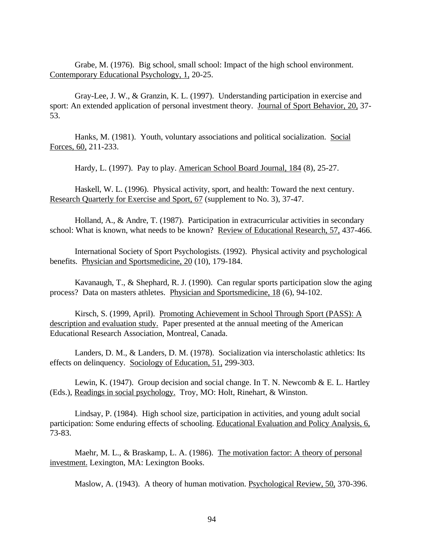Grabe, M. (1976). Big school, small school: Impact of the high school environment. Contemporary Educational Psychology, 1, 20-25.

Gray-Lee, J. W., & Granzin, K. L. (1997). Understanding participation in exercise and sport: An extended application of personal investment theory. Journal of Sport Behavior, 20, 37-53.

Hanks, M. (1981). Youth, voluntary associations and political socialization. Social Forces, 60, 211-233.

Hardy, L. (1997). Pay to play. American School Board Journal, 184 (8), 25-27.

Haskell, W. L. (1996). Physical activity, sport, and health: Toward the next century. Research Quarterly for Exercise and Sport, 67 (supplement to No. 3), 37-47.

Holland, A., & Andre, T. (1987). Participation in extracurricular activities in secondary school: What is known, what needs to be known? Review of Educational Research, 57, 437-466.

International Society of Sport Psychologists. (1992). Physical activity and psychological benefits. Physician and Sportsmedicine, 20 (10), 179-184.

Kavanaugh, T., & Shephard, R. J. (1990). Can regular sports participation slow the aging process? Data on masters athletes. Physician and Sportsmedicine, 18 (6), 94-102.

Kirsch, S. (1999, April). Promoting Achievement in School Through Sport (PASS): A description and evaluation study. Paper presented at the annual meeting of the American Educational Research Association, Montreal, Canada.

Landers, D. M., & Landers, D. M. (1978). Socialization via interscholastic athletics: Its effects on delinquency. Sociology of Education, 51, 299-303.

Lewin, K. (1947). Group decision and social change. In T. N. Newcomb  $\&$  E. L. Hartley (Eds.), Readings in social psychology. Troy, MO: Holt, Rinehart, & Winston.

Lindsay, P. (1984). High school size, participation in activities, and young adult social participation: Some enduring effects of schooling. Educational Evaluation and Policy Analysis, 6, 73-83.

Maehr, M. L., & Braskamp, L. A. (1986). The motivation factor: A theory of personal investment. Lexington, MA: Lexington Books.

Maslow, A. (1943). A theory of human motivation. Psychological Review, 50, 370-396.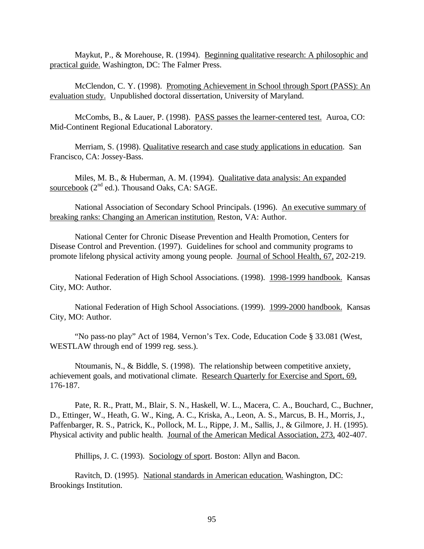Maykut, P., & Morehouse, R. (1994). Beginning qualitative research: A philosophic and practical guide. Washington, DC: The Falmer Press.

McClendon, C. Y. (1998). Promoting Achievement in School through Sport (PASS): An evaluation study. Unpublished doctoral dissertation, University of Maryland.

McCombs, B., & Lauer, P. (1998). PASS passes the learner-centered test. Auroa, CO: Mid-Continent Regional Educational Laboratory.

Merriam, S. (1998). Qualitative research and case study applications in education. San Francisco, CA: Jossey-Bass.

Miles, M. B., & Huberman, A. M. (1994). Qualitative data analysis: An expanded sourcebook  $(2<sup>nd</sup>$  ed.). Thousand Oaks, CA: SAGE.

National Association of Secondary School Principals. (1996). An executive summary of breaking ranks: Changing an American institution. Reston, VA: Author.

National Center for Chronic Disease Prevention and Health Promotion, Centers for Disease Control and Prevention. (1997). Guidelines for school and community programs to promote lifelong physical activity among young people. Journal of School Health, 67, 202-219.

National Federation of High School Associations. (1998). 1998-1999 handbook. Kansas City, MO: Author.

National Federation of High School Associations. (1999). 1999-2000 handbook. Kansas City, MO: Author.

"No pass-no play" Act of 1984, Vernon's Tex. Code, Education Code § 33.081 (West, WESTLAW through end of 1999 reg. sess.).

Ntoumanis, N., & Biddle, S. (1998). The relationship between competitive anxiety, achievement goals, and motivational climate. Research Quarterly for Exercise and Sport, 69, 176-187.

Pate, R. R., Pratt, M., Blair, S. N., Haskell, W. L., Macera, C. A., Bouchard, C., Buchner, D., Ettinger, W., Heath, G. W., King, A. C., Kriska, A., Leon, A. S., Marcus, B. H., Morris, J., Paffenbarger, R. S., Patrick, K., Pollock, M. L., Rippe, J. M., Sallis, J., & Gilmore, J. H. (1995). Physical activity and public health. Journal of the American Medical Association, 273, 402-407.

Phillips, J. C. (1993). Sociology of sport. Boston: Allyn and Bacon.

Ravitch, D. (1995). National standards in American education. Washington, DC: Brookings Institution.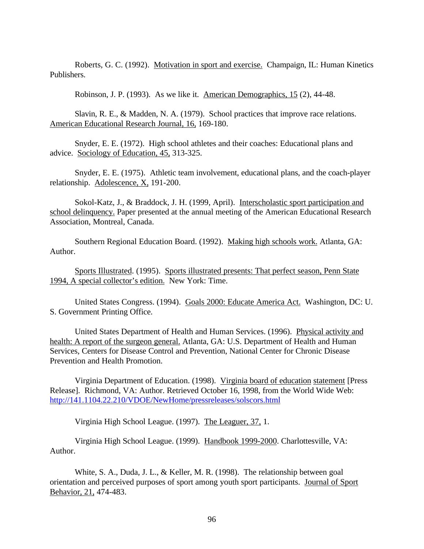Roberts, G. C. (1992). Motivation in sport and exercise. Champaign, IL: Human Kinetics Publishers.

Robinson, J. P. (1993). As we like it. American Demographics, 15 (2), 44-48.

Slavin, R. E., & Madden, N. A. (1979). School practices that improve race relations. American Educational Research Journal, 16, 169-180.

Snyder, E. E. (1972). High school athletes and their coaches: Educational plans and advice. Sociology of Education, 45, 313-325.

Snyder, E. E. (1975). Athletic team involvement, educational plans, and the coach-player relationship. Adolescence, X, 191-200.

Sokol-Katz, J., & Braddock, J. H. (1999, April). Interscholastic sport participation and school delinquency. Paper presented at the annual meeting of the American Educational Research Association, Montreal, Canada.

Southern Regional Education Board. (1992). Making high schools work. Atlanta, GA: Author.

Sports Illustrated. (1995). Sports illustrated presents: That perfect season, Penn State 1994, A special collector's edition. New York: Time.

United States Congress. (1994). Goals 2000: Educate America Act. Washington, DC: U. S. Government Printing Office.

United States Department of Health and Human Services. (1996). Physical activity and health: A report of the surgeon general. Atlanta, GA: U.S. Department of Health and Human Services, Centers for Disease Control and Prevention, National Center for Chronic Disease Prevention and Health Promotion.

Virginia Department of Education. (1998). Virginia board of education statement [Press Release]. Richmond, VA: Author. Retrieved October 16, 1998, from the World Wide Web: http://141.1104.22.210/VDOE/NewHome/pressreleases/solscors.html

Virginia High School League. (1997). The Leaguer, 37, 1.

Virginia High School League. (1999). Handbook 1999-2000. Charlottesville, VA: Author.

White, S. A., Duda, J. L., & Keller, M. R. (1998). The relationship between goal orientation and perceived purposes of sport among youth sport participants. Journal of Sport Behavior, 21, 474-483.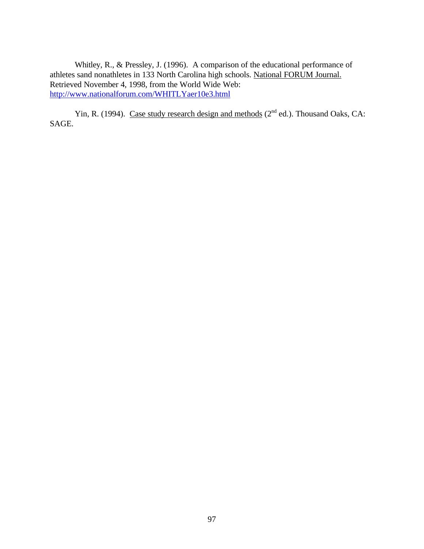Whitley, R., & Pressley, J. (1996). A comparison of the educational performance of athletes sand nonathletes in 133 North Carolina high schools. National FORUM Journal. Retrieved November 4, 1998, from the World Wide Web: http://www.nationalforum.com/WHITLYaer10e3.html

Yin, R. (1994). Case study research design and methods  $(2^{nd}$  ed.). Thousand Oaks, CA: SAGE.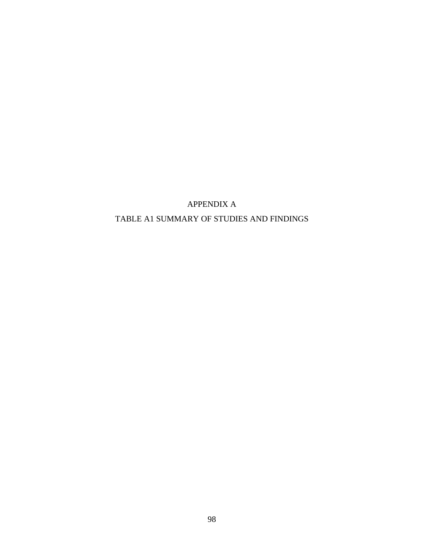# APPENDIX A TABLE A1 SUMMARY OF STUDIES AND FINDINGS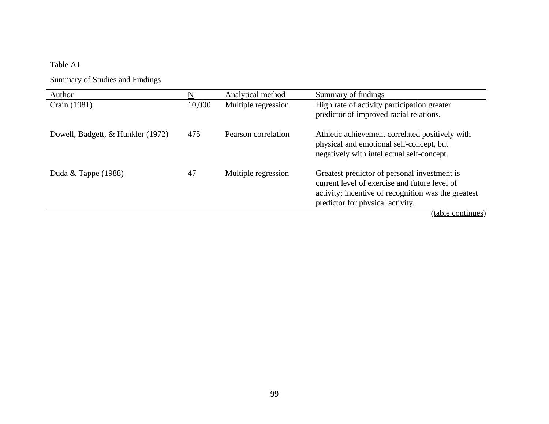## Table A1

Summary of Studies and Findings

| Author                            |        | Analytical method   | Summary of findings                                                                                                                                                                      |
|-----------------------------------|--------|---------------------|------------------------------------------------------------------------------------------------------------------------------------------------------------------------------------------|
| Crain (1981)                      | 10,000 | Multiple regression | High rate of activity participation greater<br>predictor of improved racial relations.                                                                                                   |
| Dowell, Badgett, & Hunkler (1972) | 475    | Pearson correlation | Athletic achievement correlated positively with<br>physical and emotional self-concept, but<br>negatively with intellectual self-concept.                                                |
| Duda & Tappe $(1988)$             | 47     | Multiple regression | Greatest predictor of personal investment is<br>current level of exercise and future level of<br>activity; incentive of recognition was the greatest<br>predictor for physical activity. |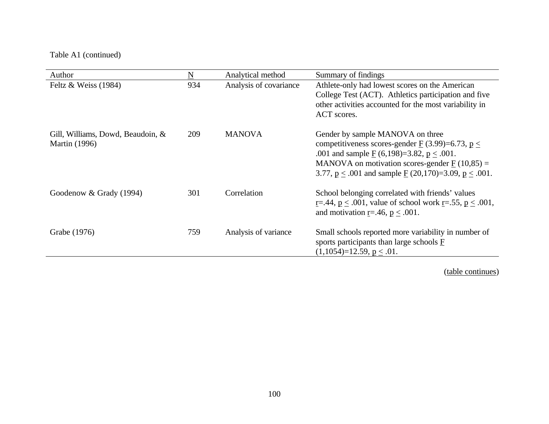| Author                                                    | $\underline{\mathbf{N}}$ | Analytical method      | Summary of findings                                                                                                                                                                                                                                                                                                          |
|-----------------------------------------------------------|--------------------------|------------------------|------------------------------------------------------------------------------------------------------------------------------------------------------------------------------------------------------------------------------------------------------------------------------------------------------------------------------|
| Feltz & Weiss $(1984)$                                    | 934                      | Analysis of covariance | Athlete-only had lowest scores on the American<br>College Test (ACT). Athletics participation and five<br>other activities accounted for the most variability in<br>ACT scores.                                                                                                                                              |
| Gill, Williams, Dowd, Beaudoin, &<br><b>Martin</b> (1996) | 209                      | <b>MANOVA</b>          | Gender by sample MANOVA on three<br>competitiveness scores-gender $\underline{F}(3.99)=6.73, \underline{p} \le$<br>.001 and sample $\underline{F}(6,198)=3.82, \underline{p} \le .001$ .<br>MANOVA on motivation scores-gender $\underline{F}(10,85) =$<br>3.77, $p \le 0.001$ and sample $F(20,170)=3.09$ , $p \le 0.001$ . |
| Goodenow & Grady (1994)                                   | 301                      | Correlation            | School belonging correlated with friends' values<br><u>r</u> =.44, $p \leq .001$ , value of school work <u>r</u> =.55, $p \leq .001$ ,<br>and motivation r=.46, $p < .001$ .                                                                                                                                                 |
| Grabe (1976)                                              | 759                      | Analysis of variance   | Small schools reported more variability in number of<br>sports participants than large schools $\overline{F}$<br>$(1,1054)=12.59, p \le .01.$                                                                                                                                                                                |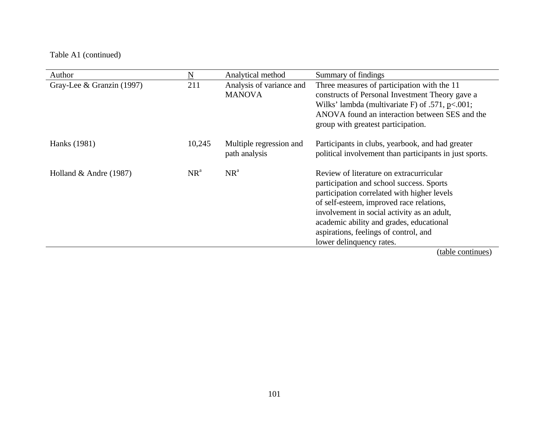| Author                    | $\underline{N}$ | Analytical method                         | Summary of findings                                                                                                                                                                                                                                                                                                                            |
|---------------------------|-----------------|-------------------------------------------|------------------------------------------------------------------------------------------------------------------------------------------------------------------------------------------------------------------------------------------------------------------------------------------------------------------------------------------------|
| Gray-Lee & Granzin (1997) | 211             | Analysis of variance and<br><b>MANOVA</b> | Three measures of participation with the 11<br>constructs of Personal Investment Theory gave a<br>Wilks' lambda (multivariate F) of .571, $p<.001$ ;<br>ANOVA found an interaction between SES and the<br>group with greatest participation.                                                                                                   |
| Hanks (1981)              | 10,245          | Multiple regression and<br>path analysis  | Participants in clubs, yearbook, and had greater<br>political involvement than participants in just sports.                                                                                                                                                                                                                                    |
| Holland $&$ Andre (1987)  | $NR^a$          | $NR^a$                                    | Review of literature on extracurricular<br>participation and school success. Sports<br>participation correlated with higher levels<br>of self-esteem, improved race relations,<br>involvement in social activity as an adult,<br>academic ability and grades, educational<br>aspirations, feelings of control, and<br>lower delinquency rates. |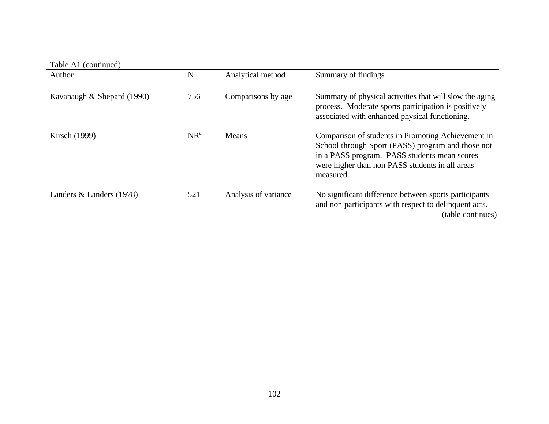| Table A1 (continued)         |        |                      |                                                                                                                                                                                                                         |
|------------------------------|--------|----------------------|-------------------------------------------------------------------------------------------------------------------------------------------------------------------------------------------------------------------------|
| Author                       | N      | Analytical method    | Summary of findings                                                                                                                                                                                                     |
| Kavanaugh $&$ Shepard (1990) | 756    | Comparisons by age   | Summary of physical activities that will slow the aging<br>process. Moderate sports participation is positively<br>associated with enhanced physical functioning.                                                       |
| <b>Kirsch</b> (1999)         | $NR^a$ | Means                | Comparison of students in Promoting Achievement in<br>School through Sport (PASS) program and those not<br>in a PASS program. PASS students mean scores<br>were higher than non PASS students in all areas<br>measured. |
| Landers $&$ Landers (1978)   | 521    | Analysis of variance | No significant difference between sports participants<br>and non participants with respect to delinquent acts.                                                                                                          |
|                              |        |                      | (table continues)                                                                                                                                                                                                       |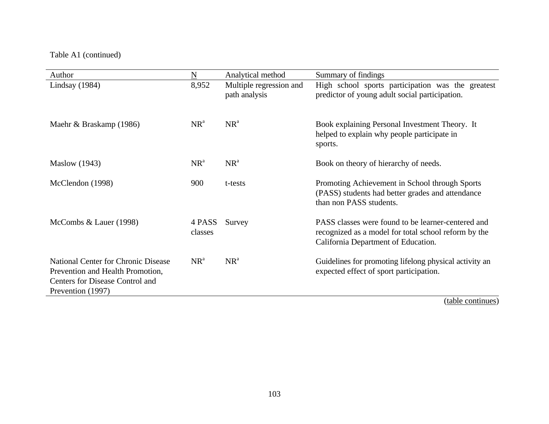| Author                                                                                                                                 | N                 | Analytical method                        | Summary of findings                                                                                                                               |
|----------------------------------------------------------------------------------------------------------------------------------------|-------------------|------------------------------------------|---------------------------------------------------------------------------------------------------------------------------------------------------|
| Lindsay $(1984)$                                                                                                                       | 8,952             | Multiple regression and<br>path analysis | High school sports participation was the greatest<br>predictor of young adult social participation.                                               |
| Maehr & Braskamp (1986)                                                                                                                | NR <sup>a</sup>   | $NR^a$                                   | Book explaining Personal Investment Theory. It<br>helped to explain why people participate in<br>sports.                                          |
| <b>Maslow</b> (1943)                                                                                                                   | $NR^a$            | $NR^a$                                   | Book on theory of hierarchy of needs.                                                                                                             |
| McClendon (1998)                                                                                                                       | 900               | t-tests                                  | Promoting Achievement in School through Sports<br>(PASS) students had better grades and attendance<br>than non PASS students.                     |
| McCombs $& Lauer(1998)$                                                                                                                | 4 PASS<br>classes | Survey                                   | PASS classes were found to be learner-centered and<br>recognized as a model for total school reform by the<br>California Department of Education. |
| <b>National Center for Chronic Disease</b><br>Prevention and Health Promotion,<br>Centers for Disease Control and<br>Prevention (1997) | $NR^a$            | $NR^a$                                   | Guidelines for promoting lifelong physical activity an<br>expected effect of sport participation.                                                 |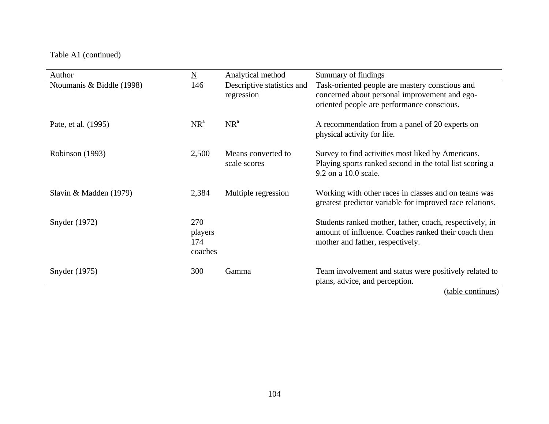| Author                    | N                                | Analytical method                        | Summary of findings                                                                                                                                 |
|---------------------------|----------------------------------|------------------------------------------|-----------------------------------------------------------------------------------------------------------------------------------------------------|
| Ntoumanis & Biddle (1998) | 146                              | Descriptive statistics and<br>regression | Task-oriented people are mastery conscious and<br>concerned about personal improvement and ego-<br>oriented people are performance conscious.       |
| Pate, et al. (1995)       | $NR^a$                           | $NR^a$                                   | A recommendation from a panel of 20 experts on<br>physical activity for life.                                                                       |
| Robinson (1993)           | 2,500                            | Means converted to<br>scale scores       | Survey to find activities most liked by Americans.<br>Playing sports ranked second in the total list scoring a<br>9.2 on a 10.0 scale.              |
| Slavin & Madden $(1979)$  | 2,384                            | Multiple regression                      | Working with other races in classes and on teams was<br>greatest predictor variable for improved race relations.                                    |
| Snyder (1972)             | 270<br>players<br>174<br>coaches |                                          | Students ranked mother, father, coach, respectively, in<br>amount of influence. Coaches ranked their coach then<br>mother and father, respectively. |
| Snyder (1975)             | 300                              | Gamma                                    | Team involvement and status were positively related to<br>plans, advice, and perception.                                                            |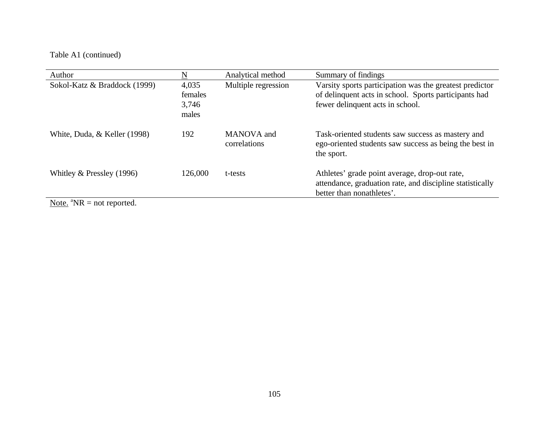| Author                                                      | N                                  | Analytical method          | Summary of findings                                                                                                                                  |
|-------------------------------------------------------------|------------------------------------|----------------------------|------------------------------------------------------------------------------------------------------------------------------------------------------|
| Sokol-Katz & Braddock (1999)                                | 4,035<br>females<br>3,746<br>males | Multiple regression        | Varsity sports participation was the greatest predictor<br>of delinquent acts in school. Sports participants had<br>fewer delinquent acts in school. |
| White, Duda, & Keller (1998)                                | 192                                | MANOVA and<br>correlations | Task-oriented students saw success as mastery and<br>ego-oriented students saw success as being the best in<br>the sport.                            |
| Whitley $&$ Pressley (1996)<br>$\mathbf{M}$ at $\mathbf{M}$ | 126,000                            | t-tests                    | Athletes' grade point average, drop-out rate,<br>attendance, graduation rate, and discipline statistically<br>better than nonathletes'.              |

Note.  ${}^{\text{a}}\text{NR}$  = not reported.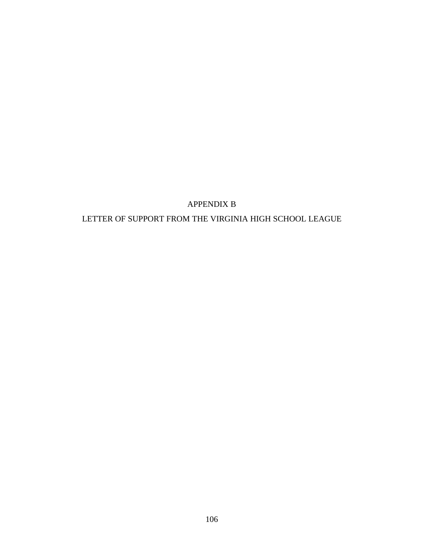# APPENDIX B

# LETTER OF SUPPORT FROM THE VIRGINIA HIGH SCHOOL LEAGUE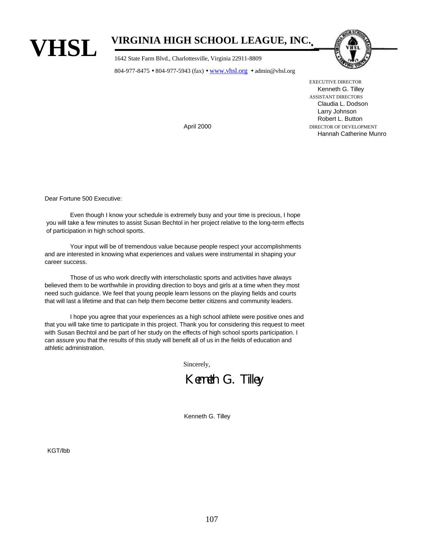

# **VIRGINIA HIGH SCHOOL LEAGUE, INC.**

1642 State Farm Blvd., Charlottesville, Virginia 22911-8809

804-977-8475 • 804-977-5943 (fax) • www.vhsl.org • admin@vhsl.org



EXECUTIVE DIRECTOR Kenneth G. Tilley ASSISTANT DIRECTORS Claudia L. Dodson Larry Johnson Robert L. Button April 2000 DIRECTOR OF DEVELOPMENT Hannah Catherine Munro

Dear Fortune 500 Executive:

Even though I know your schedule is extremely busy and your time is precious, I hope you will take a few minutes to assist Susan Bechtol in her project relative to the long-term effects of participation in high school sports.

Your input will be of tremendous value because people respect your accomplishments and are interested in knowing what experiences and values were instrumental in shaping your career success.

Those of us who work directly with interscholastic sports and activities have always believed them to be worthwhile in providing direction to boys and girls at a time when they most need such guidance. We feel that young people learn lessons on the playing fields and courts that will last a lifetime and that can help them become better citizens and community leaders.

I hope you agree that your experiences as a high school athlete were positive ones and that you will take time to participate in this project. Thank you for considering this request to meet with Susan Bechtol and be part of her study on the effects of high school sports participation. I can assure you that the results of this study will benefit all of us in the fields of education and athletic administration.

Sincerely,

Kenneth G. Tilley

Kenneth G. Tilley

KGT/lbb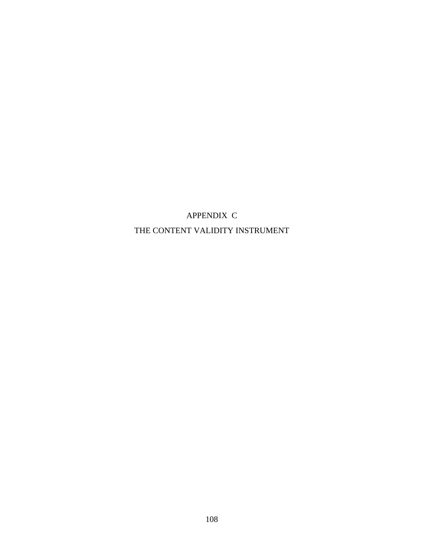APPENDIX C THE CONTENT VALIDITY INSTRUMENT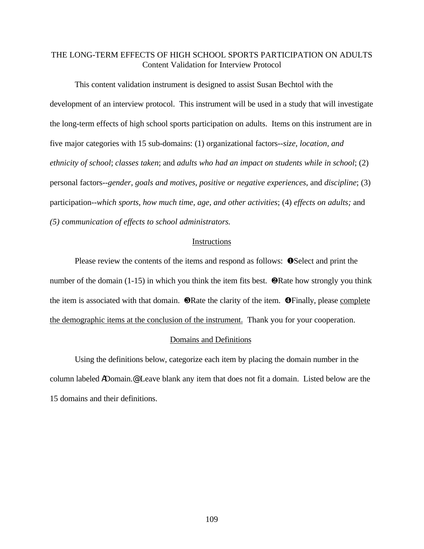# THE LONG-TERM EFFECTS OF HIGH SCHOOL SPORTS PARTICIPATION ON ADULTS Content Validation for Interview Protocol

This content validation instrument is designed to assist Susan Bechtol with the development of an interview protocol. This instrument will be used in a study that will investigate the long-term effects of high school sports participation on adults. Items on this instrument are in five major categories with 15 sub-domains: (1) organizational factors--*size, location, and ethnicity of school*; *classes taken*; and *adults who had an impact on students while in school*; (2) personal factors--*gender, goals and motives, positive or negative experiences*, and *discipline*; (3) participation--*which sports, how much time, age, and other activities*; (4) *effects on adults;* and *(5) communication of effects to school administrators.*

### **Instructions**

Please review the contents of the items and respond as follows:  $\bullet$  Select and print the number of the domain  $(1-15)$  in which you think the item fits best. **@Rate how strongly you think** the item is associated with that domain.  $\bigcirc$ Rate the clarity of the item.  $\bigcirc$ Finally, please complete the demographic items at the conclusion of the instrument. Thank you for your cooperation.

#### Domains and Definitions

Using the definitions below, categorize each item by placing the domain number in the column labeled ADomain.@ Leave blank any item that does not fit a domain. Listed below are the 15 domains and their definitions.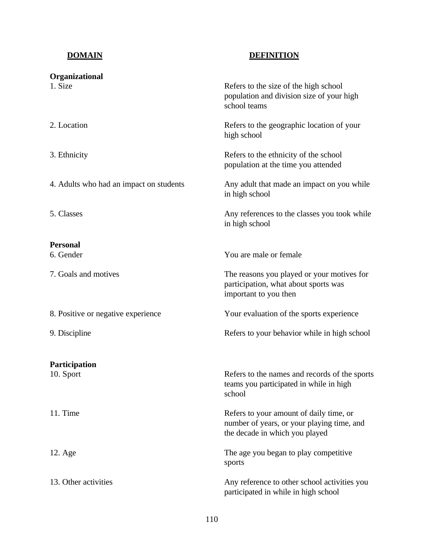# **DOMAIN DEFINITION**

| Organizational                          |                                                                                                                         |
|-----------------------------------------|-------------------------------------------------------------------------------------------------------------------------|
| 1. Size                                 | Refers to the size of the high school<br>population and division size of your high<br>school teams                      |
| 2. Location                             | Refers to the geographic location of your<br>high school                                                                |
| 3. Ethnicity                            | Refers to the ethnicity of the school<br>population at the time you attended                                            |
| 4. Adults who had an impact on students | Any adult that made an impact on you while<br>in high school                                                            |
| 5. Classes                              | Any references to the classes you took while<br>in high school                                                          |
| <b>Personal</b>                         |                                                                                                                         |
| 6. Gender                               | You are male or female                                                                                                  |
| 7. Goals and motives                    | The reasons you played or your motives for<br>participation, what about sports was<br>important to you then             |
| 8. Positive or negative experience      | Your evaluation of the sports experience                                                                                |
| 9. Discipline                           | Refers to your behavior while in high school                                                                            |
| Participation                           |                                                                                                                         |
| 10. Sport                               | Refers to the names and records of the sports<br>teams you participated in while in high<br>school                      |
| 11. Time                                | Refers to your amount of daily time, or<br>number of years, or your playing time, and<br>the decade in which you played |
| 12. Age                                 | The age you began to play competitive<br>sports                                                                         |
| 13. Other activities                    | Any reference to other school activities you<br>participated in while in high school                                    |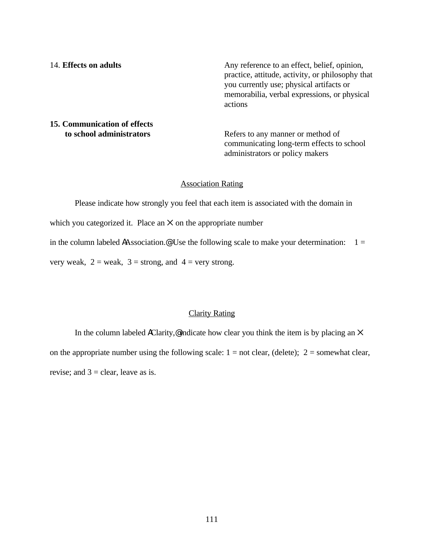14. **Effects on adults** Any reference to an effect, belief, opinion, practice, attitude, activity, or philosophy that you currently use; physical artifacts or memorabilia, verbal expressions, or physical actions

# **15. Communication of effects to school administrators Refers to any manner or method of**

communicating long-term effects to school administrators or policy makers

#### Association Rating

Please indicate how strongly you feel that each item is associated with the domain in which you categorized it. Place an  $\times$  on the appropriate number in the column labeled AAssociation.<sup>@</sup> Use the following scale to make your determination:  $1 =$ very weak,  $2 =$  weak,  $3 =$  strong, and  $4 =$  very strong.

### Clarity Rating

In the column labeled AClarity,  $\mathcal Q$  indicate how clear you think the item is by placing an  $\times$ on the appropriate number using the following scale:  $1 = not clear$ , (delete);  $2 =$  somewhat clear, revise; and  $3 =$  clear, leave as is.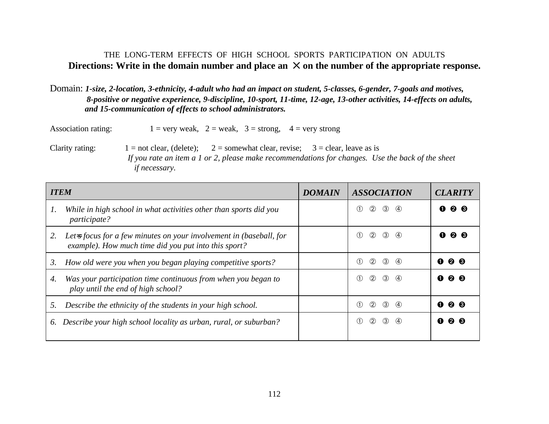# THE LONG-TERM EFFECTS OF HIGH SCHOOL SPORTS PARTICIPATION ON ADULTS Directions: Write in the domain number and place an  $\times$  on the number of the appropriate response.

# Domain: *1-size, 2-location, 3-ethnicity, 4-adult who had an impact on student, 5-classes, 6-gender, 7-goals and motives, 8-positive or negative experience, 9-discipline, 10-sport, 11-time, 12-age, 13-other activities, 14-effects on adults, and 15-communication of effects to school administrators.*

Association rating:  $1 = \text{very weak}, 2 = \text{weak}, 3 = \text{strong}, 4 = \text{very strong}$ 

Clarity rating:  $1 = not clear$ , (delete);  $2 = somewhat clear$ , revise;  $3 = clear$ , leave as is  *If you rate an item a 1 or 2, please make recommendations for changes. Use the back of the sheet if necessary.*

| <b>ITEM</b> |                                                                                                                                          | <b>DOMAIN</b> | <b>ASSOCIATION</b>                                         | <b>CLARITY</b>            |
|-------------|------------------------------------------------------------------------------------------------------------------------------------------|---------------|------------------------------------------------------------|---------------------------|
| 1.          | While in high school in what activities other than sports did you<br><i>participate?</i>                                                 |               | $^{\circledR}$<br>$\circled{3}$<br>$\left(4\right)$<br>(1) | $Q$ $Q$<br>O              |
| 2.          | Let- $\frac{1}{2}$ focus for a few minutes on your involvement in (baseball, for<br>example). How much time did you put into this sport? |               | $^{\circledR}$<br>$\circled{3}$<br>(4)<br>(1)              | <b>0 0</b>                |
| 3.          | How old were you when you began playing competitive sports?                                                                              |               | $^{\circledR}$<br>$\circled{3}$<br>$\circ$<br>(1)          | Q 0<br>Œ                  |
| 4.          | Was your participation time continuous from when you began to<br>play until the end of high school?                                      |               | $\circled{2}$<br>$\circled{3}$<br>$\circ$<br>$\circ$       | <b>00</b><br>$\mathbf{r}$ |
| 5.          | Describe the ethnicity of the students in your high school.                                                                              |               | $^{\circledR}$<br>$\circled{3}$<br>$\left(4\right)$<br>(1) | <b>00</b><br>O            |
|             | 6. Describe your high school locality as urban, rural, or suburban?                                                                      |               | $^{\circledR}$<br>$\circled{3}$<br>$\circ$<br>$\circ$      | <b>00</b><br>Œ            |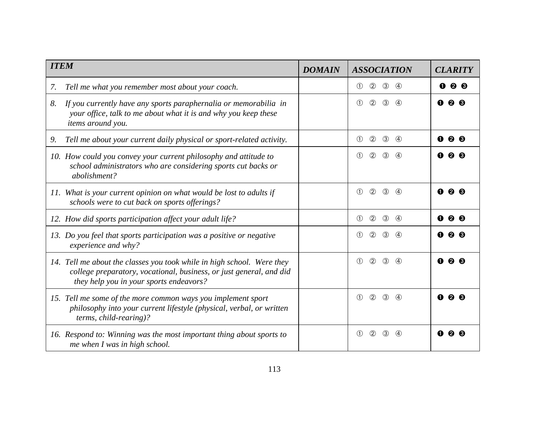| <b>ITEM</b>                                                                                                                                                                              | <b>DOMAIN</b> | <b>ASSOCIATION</b>                                               | <b>CLARITY</b>           |
|------------------------------------------------------------------------------------------------------------------------------------------------------------------------------------------|---------------|------------------------------------------------------------------|--------------------------|
| Tell me what you remember most about your coach.<br>7.                                                                                                                                   |               | $\circled{2}$<br>$\circled{3}$<br>4<br>$\circled{\pi}$           | $Q$ $Q$<br>O             |
| 8.<br>If you currently have any sports paraphernalia or memorabilia in<br>your office, talk to me about what it is and why you keep these<br>items around you.                           |               | $\circled{3}$<br>$\circled{2}$<br>$\circ$<br>$\circled{\pi}$     | $Q$ $Q$<br>$\mathbf 0$   |
| Tell me about your current daily physical or sport-related activity.<br>9.                                                                                                               |               | $^{\circledR}$<br>$\circled{3}$<br>$\circled{1}$<br>4            | 0<br>00                  |
| 10. How could you convey your current philosophy and attitude to<br>school administrators who are considering sports cut backs or<br>abolishment?                                        |               | $\circled{2}$<br>$\circled{3}$<br>$\circled{1}$<br>$\circ$       | <b>00</b>                |
| 11. What is your current opinion on what would be lost to adults if<br>schools were to cut back on sports offerings?                                                                     |               | $^{\circledR}$<br>$\bigcirc$<br>$\circled{3}$<br>(4)             | 0<br>Ø.                  |
| 12. How did sports participation affect your adult life?                                                                                                                                 |               | $\circled{2}$<br>$\circled{1}$<br>$\circled{3}$<br>$\circled{4}$ | $Q$ $Q$<br>$\bullet$     |
| 13. Do you feel that sports participation was a positive or negative<br>experience and why?                                                                                              |               | (2)<br>$\circled{3}$<br>$\circ$<br>$\bigcirc$                    | ๏<br>O                   |
| 14. Tell me about the classes you took while in high school. Were they<br>college preparatory, vocational, business, or just general, and did<br>they help you in your sports endeavors? |               | $\circled{2}$<br>$\circled{3}$<br>$\circled{1}$<br>$\circled{4}$ | $\mathbf 0$<br><b>00</b> |
| 15. Tell me some of the more common ways you implement sport<br>philosophy into your current lifestyle (physical, verbal, or written<br>terms, child-rearing)?                           |               | $\circled{2}$<br>$\circled{3}$<br>$\circled{1}$<br>$\circ$       | O                        |
| 16. Respond to: Winning was the most important thing about sports to<br>me when I was in high school.                                                                                    |               | $\circled{1}$<br>$\circled{2}$<br>$\circled{3}$<br>(4)           | O                        |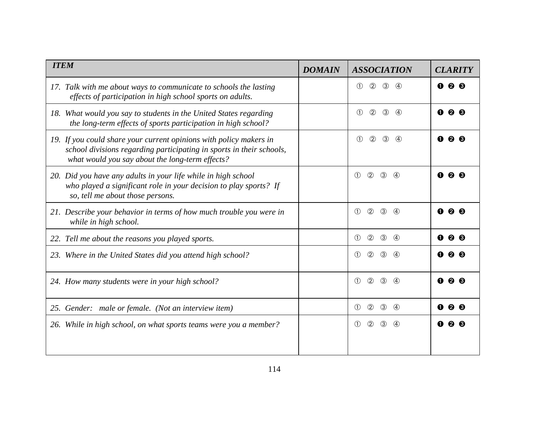| <b>ITEM</b>                                                                                                                                                                                   | <b>DOMAIN</b> | <b>ASSOCIATION</b>                                                             | <b>CLARITY</b>           |
|-----------------------------------------------------------------------------------------------------------------------------------------------------------------------------------------------|---------------|--------------------------------------------------------------------------------|--------------------------|
| 17. Talk with me about ways to communicate to schools the lasting<br>effects of participation in high school sports on adults.                                                                |               | $\circled{2}$<br>$\circled{3}$<br>$\circ$<br>$\circ$                           | <b>00</b><br>O           |
| 18. What would you say to students in the United States regarding<br>the long-term effects of sports participation in high school?                                                            |               | (2)<br>$\circled{3}$<br>$\circled{1}$<br>$\circ$                               | $\mathbf 0$<br><b>00</b> |
| 19. If you could share your current opinions with policy makers in<br>school divisions regarding participating in sports in their schools,<br>what would you say about the long-term effects? |               | $\circled{1}$<br>$\circled{2}$<br>$\circled{3}$<br>$\circled{4}$               | O                        |
| 20. Did you have any adults in your life while in high school<br>who played a significant role in your decision to play sports? If<br>so, tell me about those persons.                        |               | (2)<br>(3)<br>$\bigcirc$<br>$\circled{4}$                                      | O<br>❷.                  |
| 21. Describe your behavior in terms of how much trouble you were in<br>while in high school.                                                                                                  |               | (2)<br>$\circ$<br>$\circled{3}$<br>$\circ$                                     | $\bf o$<br>❷             |
| 22. Tell me about the reasons you played sports.                                                                                                                                              |               | (2)<br>(3)<br>$\circled{1}$<br>$\circ$                                         | $Q$ $Q$<br>$\mathbf 0$   |
| 23. Where in the United States did you attend high school?                                                                                                                                    |               | (2)<br>$\bigcirc$<br>(3)<br>(4)                                                | മ                        |
| 24. How many students were in your high school?                                                                                                                                               |               | $\circled{2}$<br>$\circled{1}$<br>$\circled{3}$<br>$\left( \widehat{4}\right)$ | O                        |
| 25. Gender: male or female. (Not an interview item)                                                                                                                                           |               | (2)<br>$\circled{3}$<br>$\circled{1}$<br>$\circ$                               | 00<br>O                  |
| 26. While in high school, on what sports teams were you a member?                                                                                                                             |               | (2)<br>$\circled{3}$<br>$\circ$<br>(4)                                         |                          |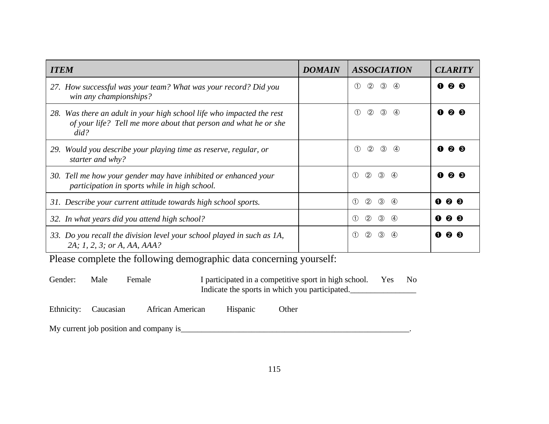| <b>ITEM</b>                                                                                                                                      | <b>DOMAIN</b> | <b>ASSOCIATION</b>                                                    | <b>CLARITY</b>         |
|--------------------------------------------------------------------------------------------------------------------------------------------------|---------------|-----------------------------------------------------------------------|------------------------|
| 27. How successful was your team? What was your record? Did you<br>win any championships?                                                        |               | $^{\circledR}$<br>$\circled{3}$<br>$\circ$<br>$\circ$                 | 00<br>0                |
| 28. Was there an adult in your high school life who impacted the rest<br>of your life? Tell me more about that person and what he or she<br>did? |               | $\circled{2}$<br>$\circled{3}$<br>$\circled{1}$<br>4                  | <b>00</b>              |
| 29. Would you describe your playing time as reserve, regular, or<br>starter and why?                                                             |               | $^{\circledR}$<br>$\circled{3}$<br>$\bigcirc$<br>$\circ$              | <b>p</b> ®             |
| 30. Tell me how your gender may have inhibited or enhanced your<br>participation in sports while in high school.                                 |               | $\circled{2}$<br>$\circled{3}$<br>(1)<br>$\circ$                      | $\bullet$<br><b>28</b> |
| 31. Describe your current attitude towards high school sports.                                                                                   |               | $\bigcirc$<br>$\circled{2}$<br>$\circled{3}$<br>$\circ$               | ❷<br>8<br>O            |
| 32. In what years did you attend high school?                                                                                                    |               | $\circled{2}$<br>$\circled{3}$<br>$\bigcirc$<br>$\circ$               | $0\;0\;0$              |
| 33. Do you recall the division level your school played in such as 1A,<br>2A; 1, 2, 3; or A, AA, AAA?                                            |               | $^{\circledR}$<br>$\circled{3}$<br>$\circled{1}$<br>$\left( 4\right)$ | ❷<br>O                 |

Please complete the following demographic data concerning yourself:

| Gender: | Male | Female | I participated in a competitive sport in high school. | Yes | N <sub>0</sub> |
|---------|------|--------|-------------------------------------------------------|-----|----------------|
|         |      |        | Indicate the sports in which you participated.        |     |                |

Ethnicity: Caucasian African American Hispanic Other

My current job position and company is\_\_\_\_\_\_\_\_\_\_\_\_\_\_\_\_\_\_\_\_\_\_\_\_\_\_\_\_\_\_\_\_\_\_\_\_\_\_\_\_\_\_\_\_\_\_\_\_\_\_\_\_\_\_\_.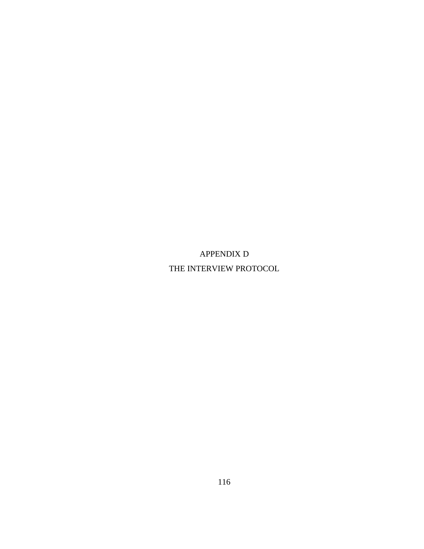APPENDIX D THE INTERVIEW PROTOCOL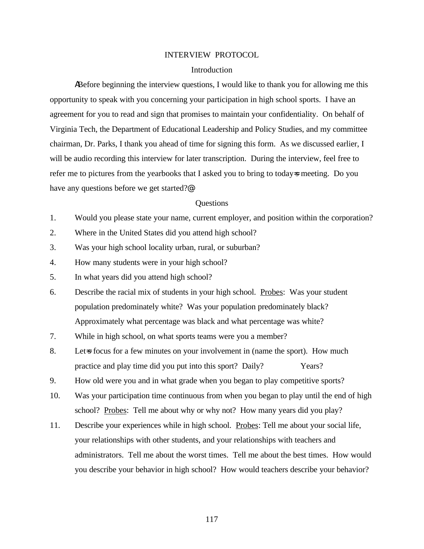#### INTERVIEW PROTOCOL

#### Introduction

ABefore beginning the interview questions, I would like to thank you for allowing me this opportunity to speak with you concerning your participation in high school sports. I have an agreement for you to read and sign that promises to maintain your confidentiality. On behalf of Virginia Tech, the Department of Educational Leadership and Policy Studies, and my committee chairman, Dr. Parks, I thank you ahead of time for signing this form. As we discussed earlier, I will be audio recording this interview for later transcription. During the interview, feel free to refer me to pictures from the yearbooks that I asked you to bring to today=s meeting. Do you have any questions before we get started?@

#### **Ouestions**

- 1. Would you please state your name, current employer, and position within the corporation?
- 2. Where in the United States did you attend high school?
- 3. Was your high school locality urban, rural, or suburban?
- 4. How many students were in your high school?
- 5. In what years did you attend high school?
- 6. Describe the racial mix of students in your high school. Probes: Was your student population predominately white? Was your population predominately black? Approximately what percentage was black and what percentage was white?
- 7. While in high school, on what sports teams were you a member?
- 8. Let is focus for a few minutes on your involvement in (name the sport). How much practice and play time did you put into this sport? Daily? Years?
- 9. How old were you and in what grade when you began to play competitive sports?
- 10. Was your participation time continuous from when you began to play until the end of high school? Probes: Tell me about why or why not? How many years did you play?
- 11. Describe your experiences while in high school. Probes: Tell me about your social life, your relationships with other students, and your relationships with teachers and administrators. Tell me about the worst times. Tell me about the best times. How would you describe your behavior in high school? How would teachers describe your behavior?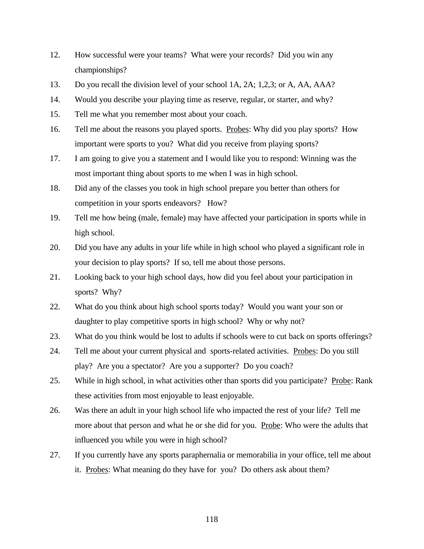- 12. How successful were your teams? What were your records? Did you win any championships?
- 13. Do you recall the division level of your school 1A, 2A; 1,2,3; or A, AA, AAA?
- 14. Would you describe your playing time as reserve, regular, or starter, and why?
- 15. Tell me what you remember most about your coach.
- 16. Tell me about the reasons you played sports. Probes: Why did you play sports? How important were sports to you? What did you receive from playing sports?
- 17. I am going to give you a statement and I would like you to respond: Winning was the most important thing about sports to me when I was in high school.
- 18. Did any of the classes you took in high school prepare you better than others for competition in your sports endeavors? How?
- 19. Tell me how being (male, female) may have affected your participation in sports while in high school.
- 20. Did you have any adults in your life while in high school who played a significant role in your decision to play sports? If so, tell me about those persons.
- 21. Looking back to your high school days, how did you feel about your participation in sports? Why?
- 22. What do you think about high school sports today? Would you want your son or daughter to play competitive sports in high school? Why or why not?
- 23. What do you think would be lost to adults if schools were to cut back on sports offerings?
- 24. Tell me about your current physical and sports-related activities. Probes: Do you still play? Are you a spectator? Are you a supporter? Do you coach?
- 25. While in high school, in what activities other than sports did you participate? Probe: Rank these activities from most enjoyable to least enjoyable.
- 26. Was there an adult in your high school life who impacted the rest of your life? Tell me more about that person and what he or she did for you. Probe: Who were the adults that influenced you while you were in high school?
- 27. If you currently have any sports paraphernalia or memorabilia in your office, tell me about it. Probes: What meaning do they have for you? Do others ask about them?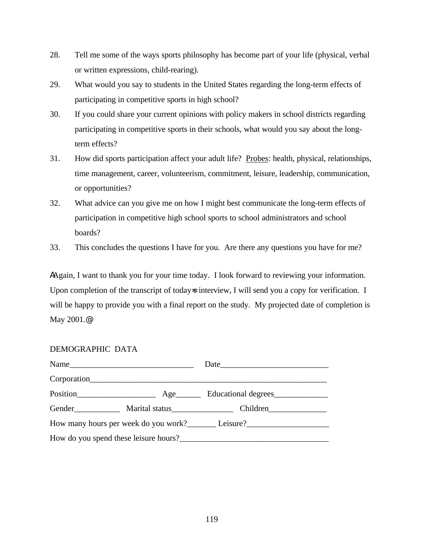- 28. Tell me some of the ways sports philosophy has become part of your life (physical, verbal or written expressions, child-rearing).
- 29. What would you say to students in the United States regarding the long-term effects of participating in competitive sports in high school?
- 30. If you could share your current opinions with policy makers in school districts regarding participating in competitive sports in their schools, what would you say about the longterm effects?
- 31. How did sports participation affect your adult life? Probes: health, physical, relationships, time management, career, volunteerism, commitment, leisure, leadership, communication, or opportunities?
- 32. What advice can you give me on how I might best communicate the long-term effects of participation in competitive high school sports to school administrators and school boards?
- 33. This concludes the questions I have for you. Are there any questions you have for me?

AAgain, I want to thank you for your time today. I look forward to reviewing your information. Upon completion of the transcript of today=s interview, I will send you a copy for verification. I will be happy to provide you with a final report on the study. My projected date of completion is May 2001.@

| DEMOGRAPHIC DATA |  |
|------------------|--|
|------------------|--|

|                                               |             | Date                                                |  |  |
|-----------------------------------------------|-------------|-----------------------------------------------------|--|--|
|                                               | Corporation |                                                     |  |  |
|                                               |             | Position Resilient Resilient Age Relational degrees |  |  |
|                                               |             | Gender Marital status Children                      |  |  |
| How many hours per week do you work? Leisure? |             |                                                     |  |  |
| How do you spend these leisure hours?         |             |                                                     |  |  |